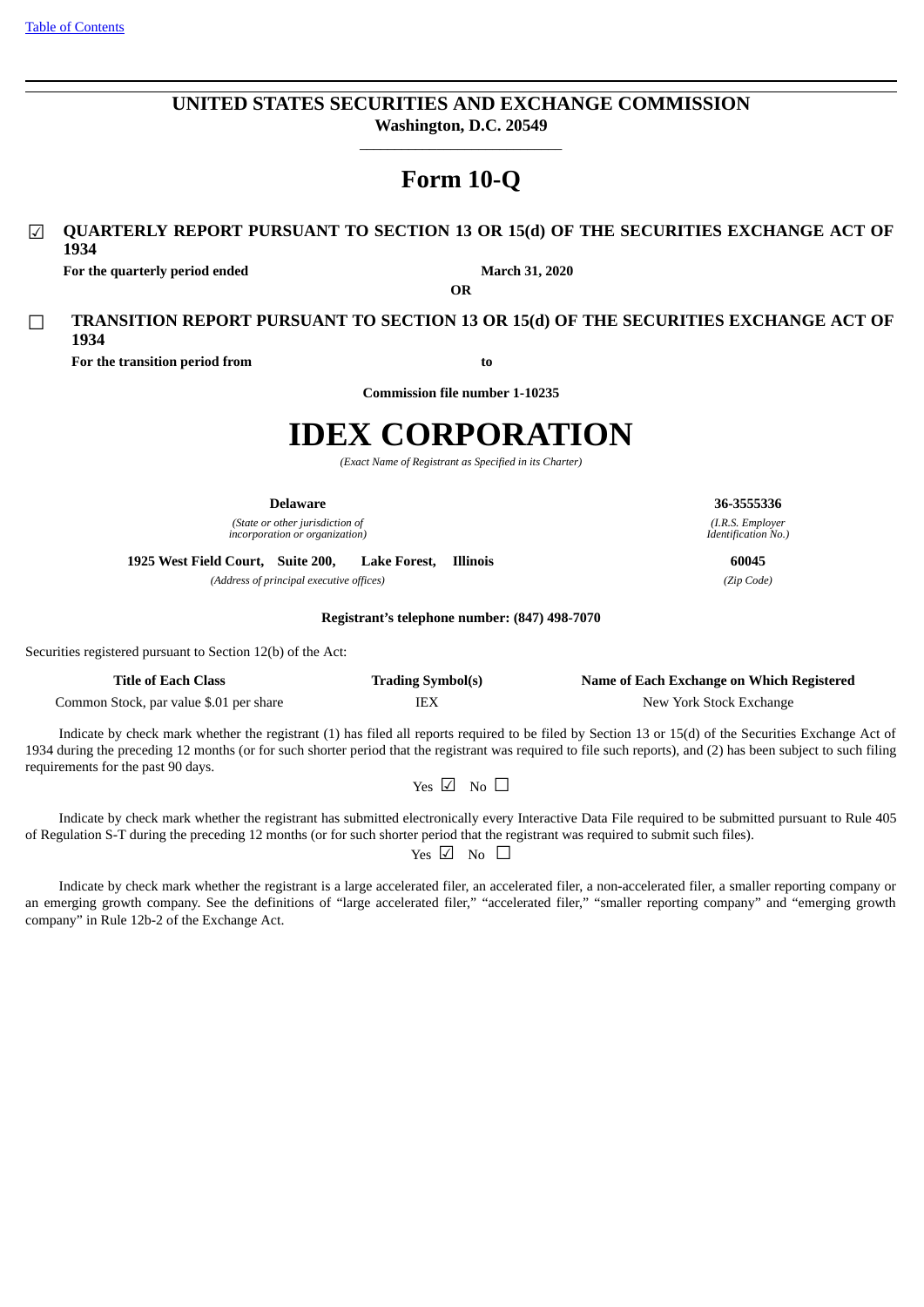## **UNITED STATES SECURITIES AND EXCHANGE COMMISSION**

**Washington, D.C. 20549**  $\_$ 

# **Form 10-Q**

### ☑ **QUARTERLY REPORT PURSUANT TO SECTION 13 OR 15(d) OF THE SECURITIES EXCHANGE ACT OF 1934**

**For the quarterly period ended March 31, 2020**

**OR**

### ☐ **TRANSITION REPORT PURSUANT TO SECTION 13 OR 15(d) OF THE SECURITIES EXCHANGE ACT OF 1934**

**For the transition period from to**

**Commission file number 1-10235**

# **IDEX CORPORATION**

*(Exact Name of Registrant as Specified in its Charter)*

*(State or other jurisdiction of incorporation or organization)*

**1925 West Field Court, Suite 200, Lake Forest, Illinois 60045** *(Address of principal executive offices) (Zip Code)*

**Registrant's telephone number: (847) 498-7070**

Securities registered pursuant to Section 12(b) of the Act:

**Title of Each Class Trading Symbol(s) Name of Each Exchange on Which Registered** Common Stock, par value \$.01 per share IEX IEX New York Stock Exchange

Indicate by check mark whether the registrant (1) has filed all reports required to be filed by Section 13 or 15(d) of the Securities Exchange Act of 1934 during the preceding 12 months (or for such shorter period that the registrant was required to file such reports), and (2) has been subject to such filing requirements for the past 90 days.

Indicate by check mark whether the registrant has submitted electronically every Interactive Data File required to be submitted pursuant to Rule 405 of Regulation S-T during the preceding 12 months (or for such shorter period that the registrant was required to submit such files).

Yes  $\Box$  No  $\Box$ 

Indicate by check mark whether the registrant is a large accelerated filer, an accelerated filer, a non-accelerated filer, a smaller reporting company or an emerging growth company. See the definitions of "large accelerated filer," "accelerated filer," "smaller reporting company" and "emerging growth company" in Rule 12b-2 of the Exchange Act.

**Delaware 36-3555336** *(I.R.S. Employer Identification No.)*

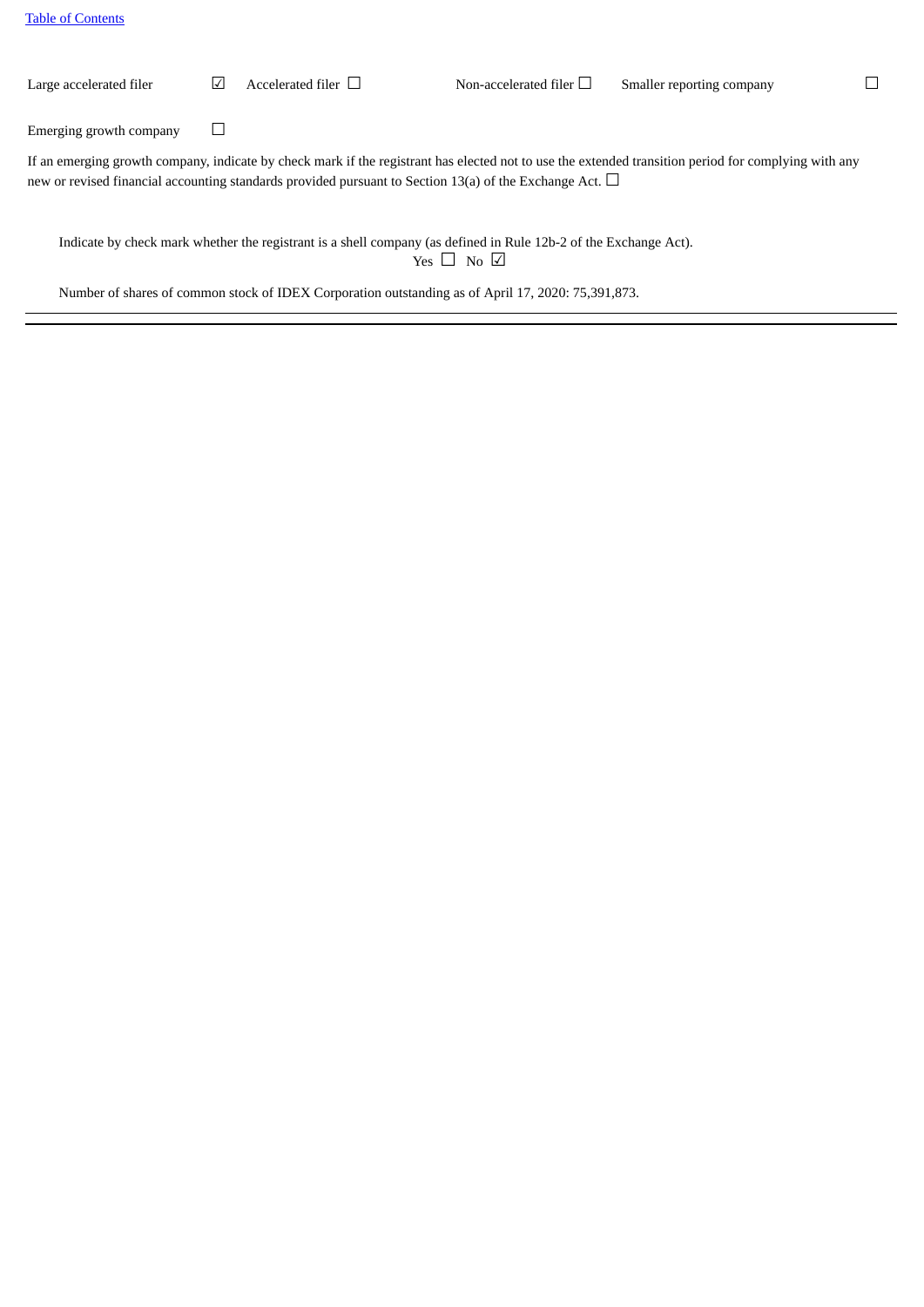### Table of [Contents](#page-2-0)

| Large accelerated filer | Accelerated filer | Non-accelerated filer $\Box$ | Smaller reporting company |  |
|-------------------------|-------------------|------------------------------|---------------------------|--|
|                         |                   |                              |                           |  |

Emerging growth company  $\Box$ 

If an emerging growth company, indicate by check mark if the registrant has elected not to use the extended transition period for complying with any new or revised financial accounting standards provided pursuant to Section 13(a) of the Exchange Act.  $\Box$ 

| Indicate by check mark whether the registrant is a shell company (as defined in Rule 12b-2 of the Exchange Act). |                      |
|------------------------------------------------------------------------------------------------------------------|----------------------|
|                                                                                                                  | Yes $\Box$ No $\Box$ |

Number of shares of common stock of IDEX Corporation outstanding as of April 17, 2020: 75,391,873.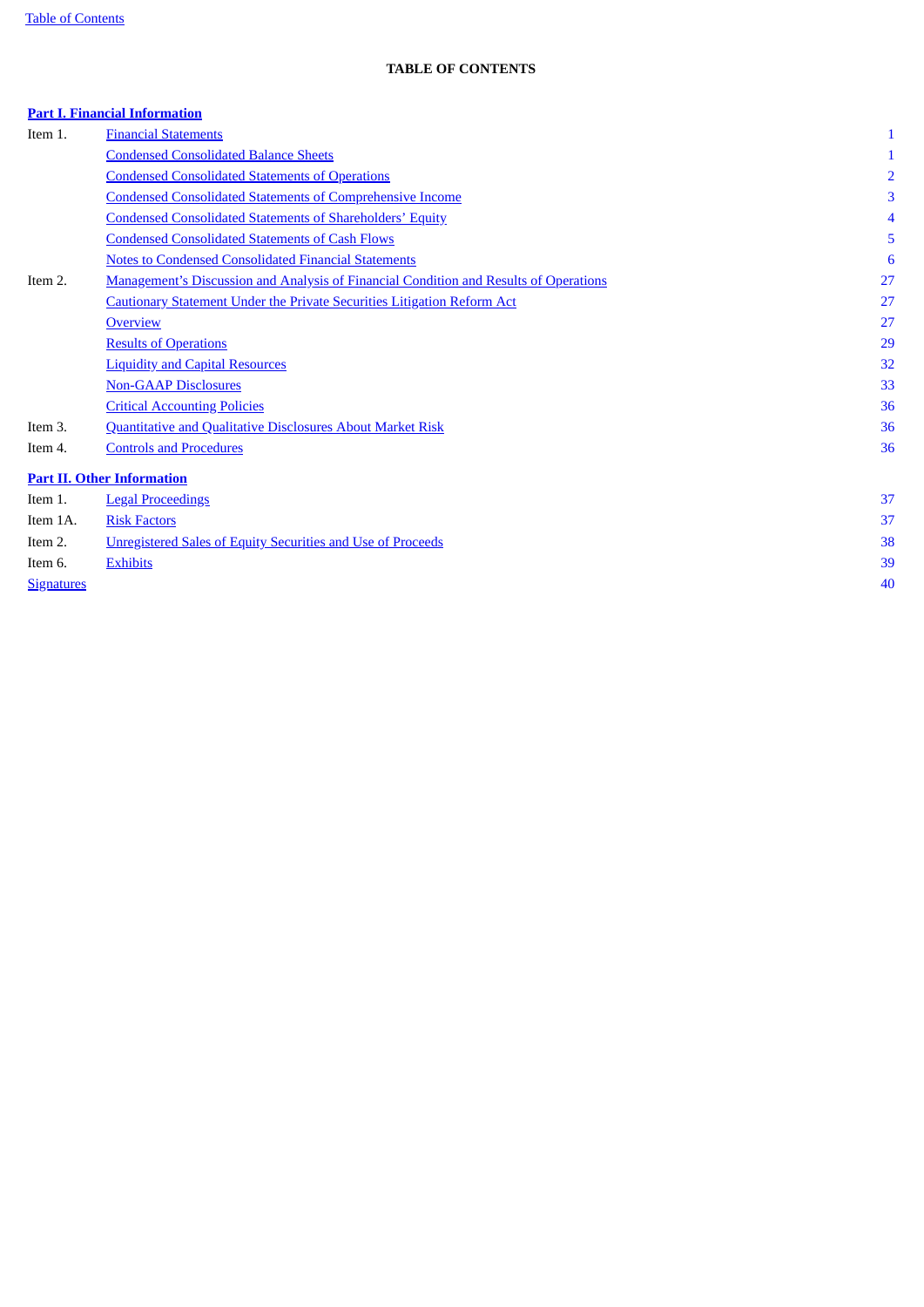### **TABLE OF CONTENTS**

<span id="page-2-0"></span>

|                   | <b>Part I. Financial Information</b>                                                         |                          |
|-------------------|----------------------------------------------------------------------------------------------|--------------------------|
| Item 1.           | <b>Financial Statements</b>                                                                  |                          |
|                   | <b>Condensed Consolidated Balance Sheets</b>                                                 |                          |
|                   | <b>Condensed Consolidated Statements of Operations</b>                                       | $\overline{2}$           |
|                   | <b>Condensed Consolidated Statements of Comprehensive Income</b>                             | 3                        |
|                   | <b>Condensed Consolidated Statements of Shareholders' Equity</b>                             | $\overline{\mathcal{A}}$ |
|                   | <b>Condensed Consolidated Statements of Cash Flows</b>                                       | 5                        |
|                   | <b>Notes to Condensed Consolidated Financial Statements</b>                                  | 6                        |
| Item 2.           | <b>Management's Discussion and Analysis of Financial Condition and Results of Operations</b> | 27                       |
|                   | <b>Cautionary Statement Under the Private Securities Litigation Reform Act</b>               | 27                       |
|                   | <b>Overview</b>                                                                              | 27                       |
|                   | <b>Results of Operations</b>                                                                 | 29                       |
|                   | <b>Liquidity and Capital Resources</b>                                                       | 32                       |
|                   | <b>Non-GAAP Disclosures</b>                                                                  | 33                       |
|                   | <b>Critical Accounting Policies</b>                                                          | 36                       |
| Item 3.           | Quantitative and Qualitative Disclosures About Market Risk                                   | 36                       |
| Item 4.           | <b>Controls and Procedures</b>                                                               | 36                       |
|                   | <b>Part II. Other Information</b>                                                            |                          |
| Item 1.           | <b>Legal Proceedings</b>                                                                     | 37                       |
| Item 1A.          | <b>Risk Factors</b>                                                                          | 37                       |
| Item 2.           | <b>Unregistered Sales of Equity Securities and Use of Proceeds</b>                           | 38                       |
| Item 6.           | <b>Exhibits</b>                                                                              | 39                       |
| <b>Signatures</b> |                                                                                              | 40                       |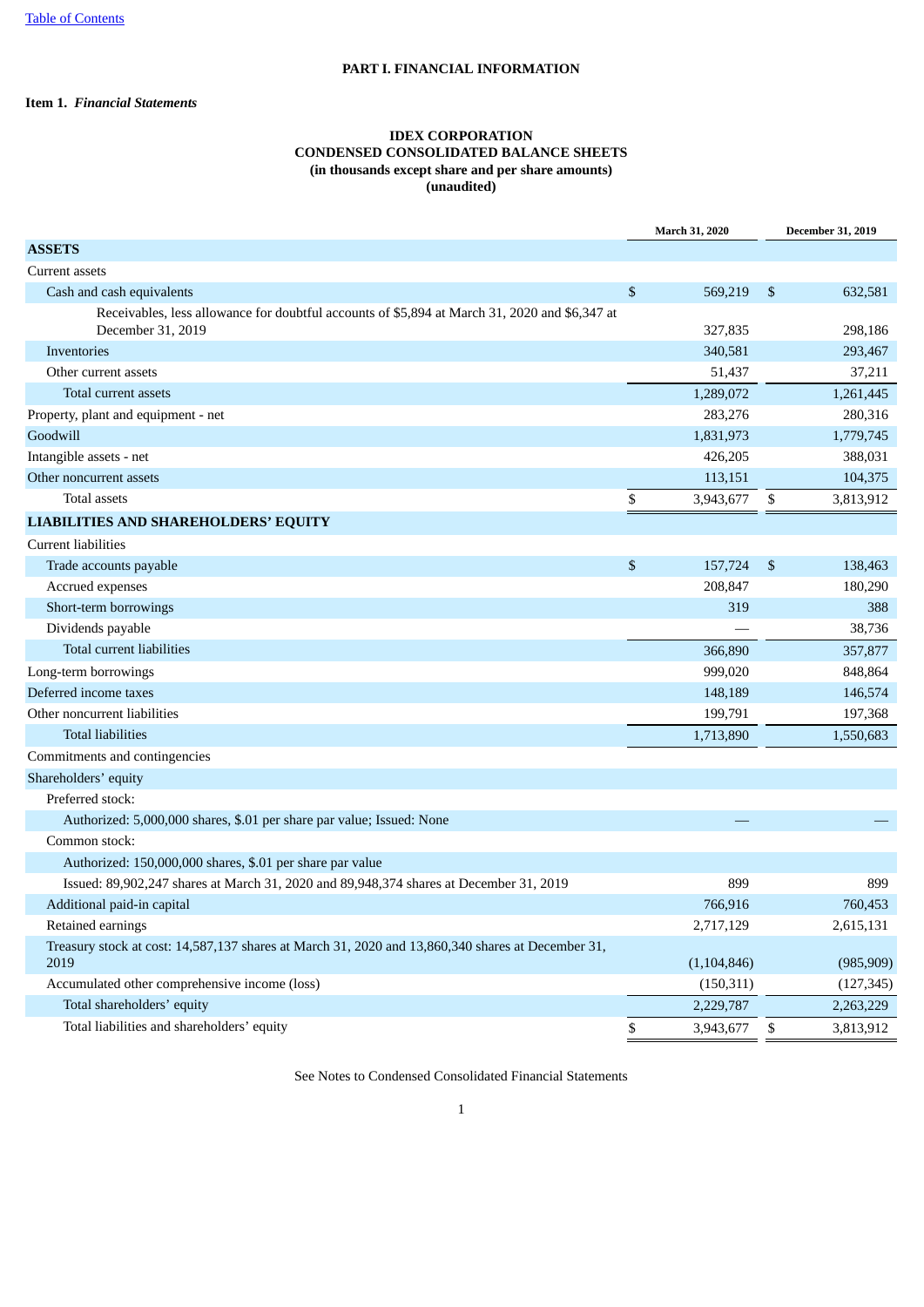### **PART I. FINANCIAL INFORMATION**

### <span id="page-3-2"></span><span id="page-3-1"></span><span id="page-3-0"></span>**Item 1.** *Financial Statements*

### **IDEX CORPORATION CONDENSED CONSOLIDATED BALANCE SHEETS (in thousands except share and per share amounts) (unaudited)**

|                                                                                                           |              | March 31, 2020 | <b>December 31, 2019</b> |
|-----------------------------------------------------------------------------------------------------------|--------------|----------------|--------------------------|
| <b>ASSETS</b>                                                                                             |              |                |                          |
| Current assets                                                                                            |              |                |                          |
| Cash and cash equivalents                                                                                 | \$           | 569,219        | \$<br>632,581            |
| Receivables, less allowance for doubtful accounts of \$5,894 at March 31, 2020 and \$6,347 at             |              |                |                          |
| December 31, 2019                                                                                         |              | 327,835        | 298,186                  |
| Inventories                                                                                               |              | 340,581        | 293,467                  |
| Other current assets                                                                                      |              | 51,437         | 37,211                   |
| Total current assets                                                                                      |              | 1,289,072      | 1,261,445                |
| Property, plant and equipment - net                                                                       |              | 283,276        | 280,316                  |
| Goodwill                                                                                                  |              | 1,831,973      | 1,779,745                |
| Intangible assets - net                                                                                   |              | 426,205        | 388,031                  |
| Other noncurrent assets                                                                                   |              | 113,151        | 104,375                  |
| <b>Total assets</b>                                                                                       | \$           | 3,943,677      | \$<br>3,813,912          |
| <b>LIABILITIES AND SHAREHOLDERS' EQUITY</b>                                                               |              |                |                          |
| Current liabilities                                                                                       |              |                |                          |
| Trade accounts payable                                                                                    | $\mathbb{S}$ | 157,724        | \$<br>138,463            |
| Accrued expenses                                                                                          |              | 208,847        | 180,290                  |
| Short-term borrowings                                                                                     |              | 319            | 388                      |
| Dividends payable                                                                                         |              |                | 38,736                   |
| <b>Total current liabilities</b>                                                                          |              | 366,890        | 357,877                  |
| Long-term borrowings                                                                                      |              | 999,020        | 848,864                  |
| Deferred income taxes                                                                                     |              | 148,189        | 146,574                  |
| Other noncurrent liabilities                                                                              |              | 199,791        | 197,368                  |
| <b>Total liabilities</b>                                                                                  |              | 1,713,890      | 1,550,683                |
| Commitments and contingencies                                                                             |              |                |                          |
| Shareholders' equity                                                                                      |              |                |                          |
| Preferred stock:                                                                                          |              |                |                          |
| Authorized: 5,000,000 shares, \$.01 per share par value; Issued: None                                     |              |                |                          |
| Common stock:                                                                                             |              |                |                          |
| Authorized: 150,000,000 shares, \$.01 per share par value                                                 |              |                |                          |
| Issued: 89,902,247 shares at March 31, 2020 and 89,948,374 shares at December 31, 2019                    |              | 899            | 899                      |
| Additional paid-in capital                                                                                |              | 766,916        | 760,453                  |
| Retained earnings                                                                                         |              | 2,717,129      | 2,615,131                |
| Treasury stock at cost: 14,587,137 shares at March 31, 2020 and 13,860,340 shares at December 31,<br>2019 |              | (1, 104, 846)  | (985, 909)               |
| Accumulated other comprehensive income (loss)                                                             |              | (150, 311)     | (127, 345)               |
| Total shareholders' equity                                                                                |              | 2,229,787      | 2,263,229                |
| Total liabilities and shareholders' equity                                                                | \$           | 3,943,677      | \$<br>3,813,912          |

See Notes to Condensed Consolidated Financial Statements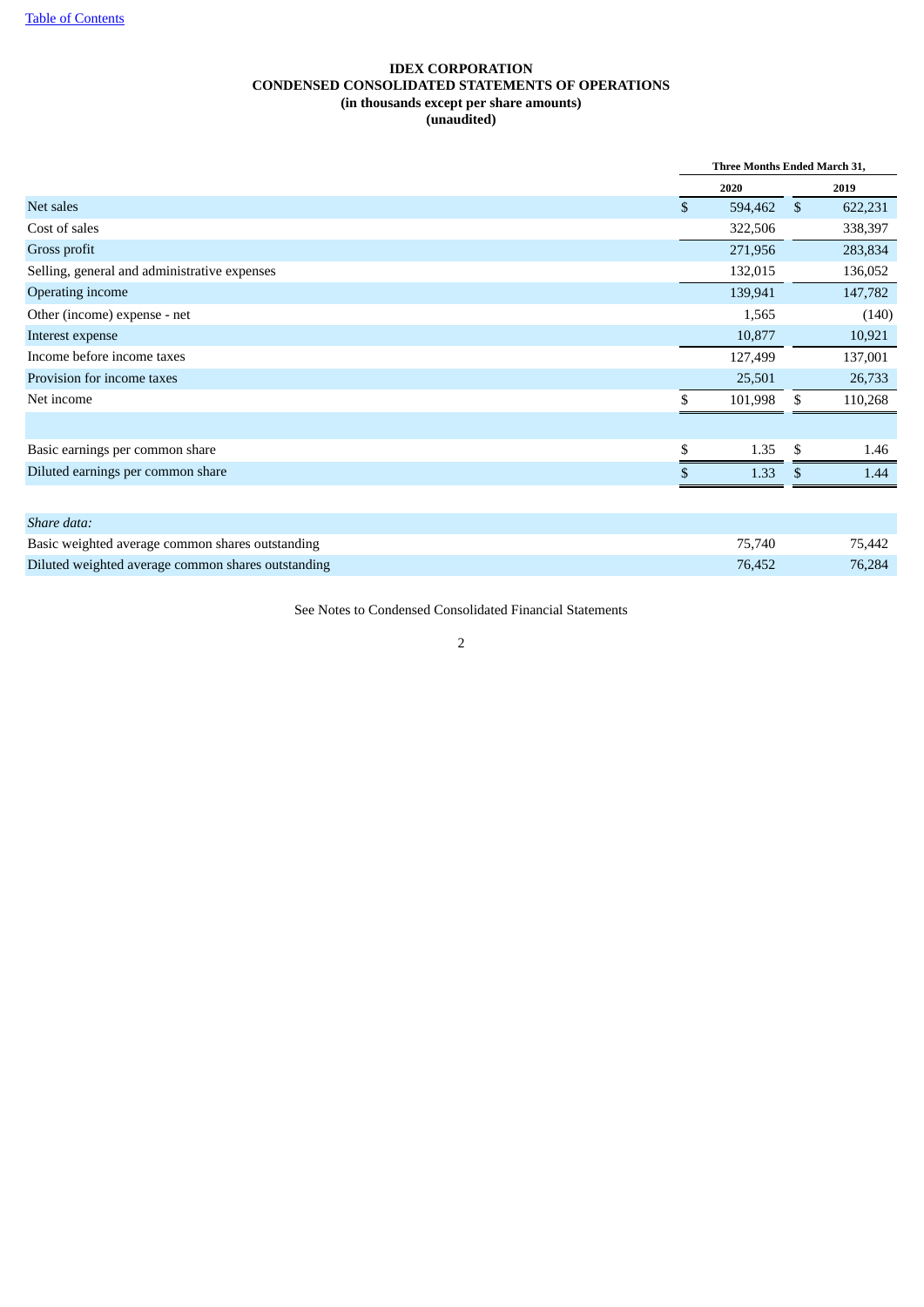### **IDEX CORPORATION CONDENSED CONSOLIDATED STATEMENTS OF OPERATIONS (in thousands except per share amounts) (unaudited)**

<span id="page-4-0"></span>

|                                              | Three Months Ended March 31, |         |              |         |
|----------------------------------------------|------------------------------|---------|--------------|---------|
|                                              |                              | 2020    |              | 2019    |
| Net sales                                    | $\sqrt{2}$                   | 594,462 | $\mathbb{S}$ | 622,231 |
| Cost of sales                                |                              | 322,506 |              | 338,397 |
| Gross profit                                 |                              | 271,956 |              | 283,834 |
| Selling, general and administrative expenses |                              | 132,015 |              | 136,052 |
| Operating income                             |                              | 139,941 |              | 147,782 |
| Other (income) expense - net                 |                              | 1,565   |              | (140)   |
| Interest expense                             |                              | 10,877  |              | 10,921  |
| Income before income taxes                   |                              | 127,499 |              | 137,001 |
| Provision for income taxes                   |                              | 25,501  |              | 26,733  |
| Net income                                   | \$                           | 101,998 | \$           | 110,268 |
|                                              |                              |         |              |         |
| Basic earnings per common share              | \$                           | 1.35    | \$           | 1.46    |
| Diluted earnings per common share            |                              | 1.33    | \$           | 1.44    |
|                                              |                              |         |              |         |
| Share data:                                  |                              |         |              |         |

Diluted weighted average common shares outstanding 76,284 76,284

Basic weighted average common shares outstanding 75,740 75,740 75,442

See Notes to Condensed Consolidated Financial Statements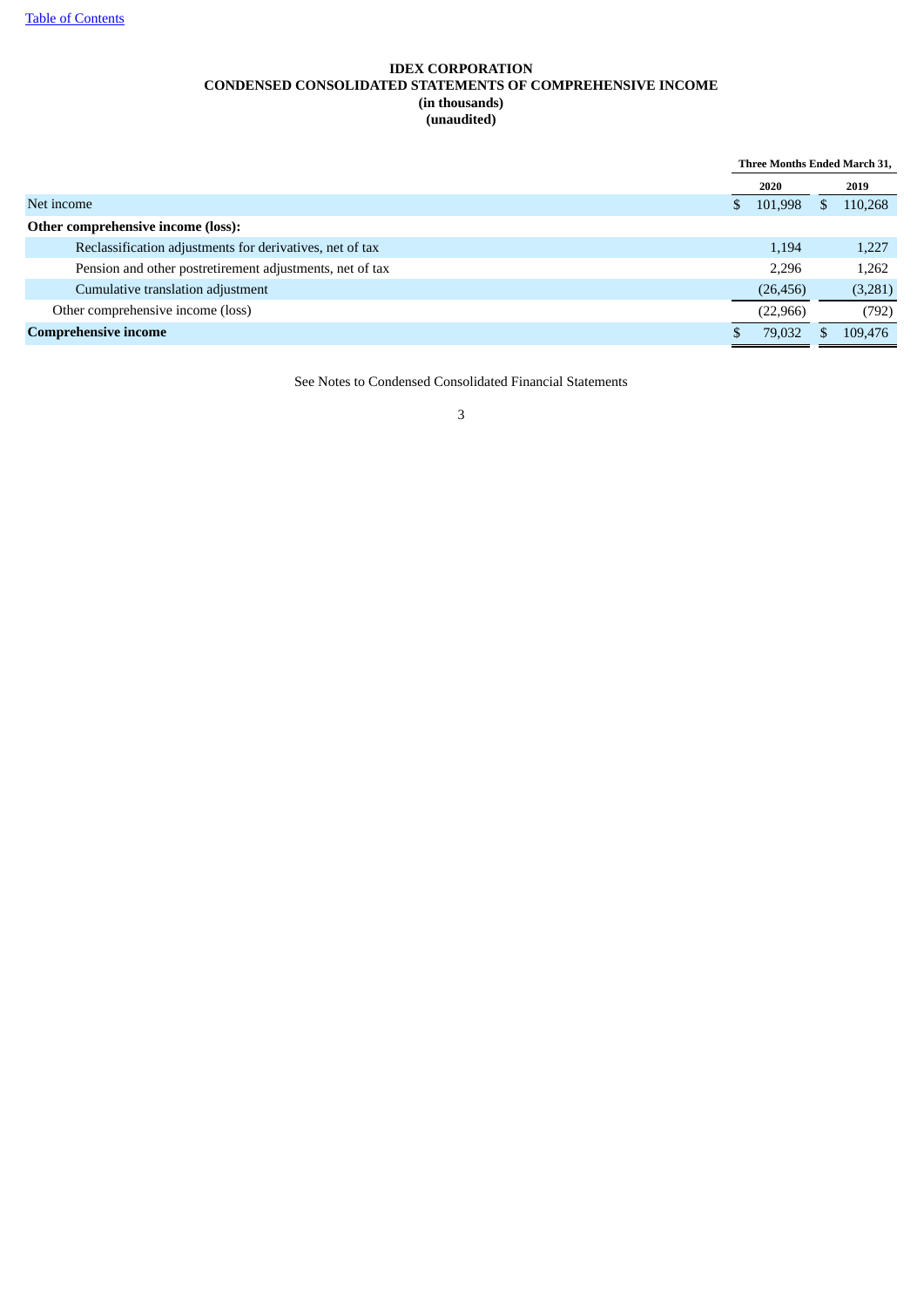### **IDEX CORPORATION CONDENSED CONSOLIDATED STATEMENTS OF COMPREHENSIVE INCOME (in thousands) (unaudited)**

<span id="page-5-0"></span>

|                                                          | Three Months Ended March 31, |           |   |         |
|----------------------------------------------------------|------------------------------|-----------|---|---------|
|                                                          |                              | 2020      |   | 2019    |
| Net income                                               |                              | 101,998   | S | 110,268 |
| Other comprehensive income (loss):                       |                              |           |   |         |
| Reclassification adjustments for derivatives, net of tax |                              | 1,194     |   | 1,227   |
| Pension and other postretirement adjustments, net of tax |                              | 2.296     |   | 1,262   |
| Cumulative translation adjustment                        |                              | (26, 456) |   | (3,281) |
| Other comprehensive income (loss)                        |                              | (22,966)  |   | (792)   |
| <b>Comprehensive income</b>                              |                              | 79,032    | S | 109,476 |

See Notes to Condensed Consolidated Financial Statements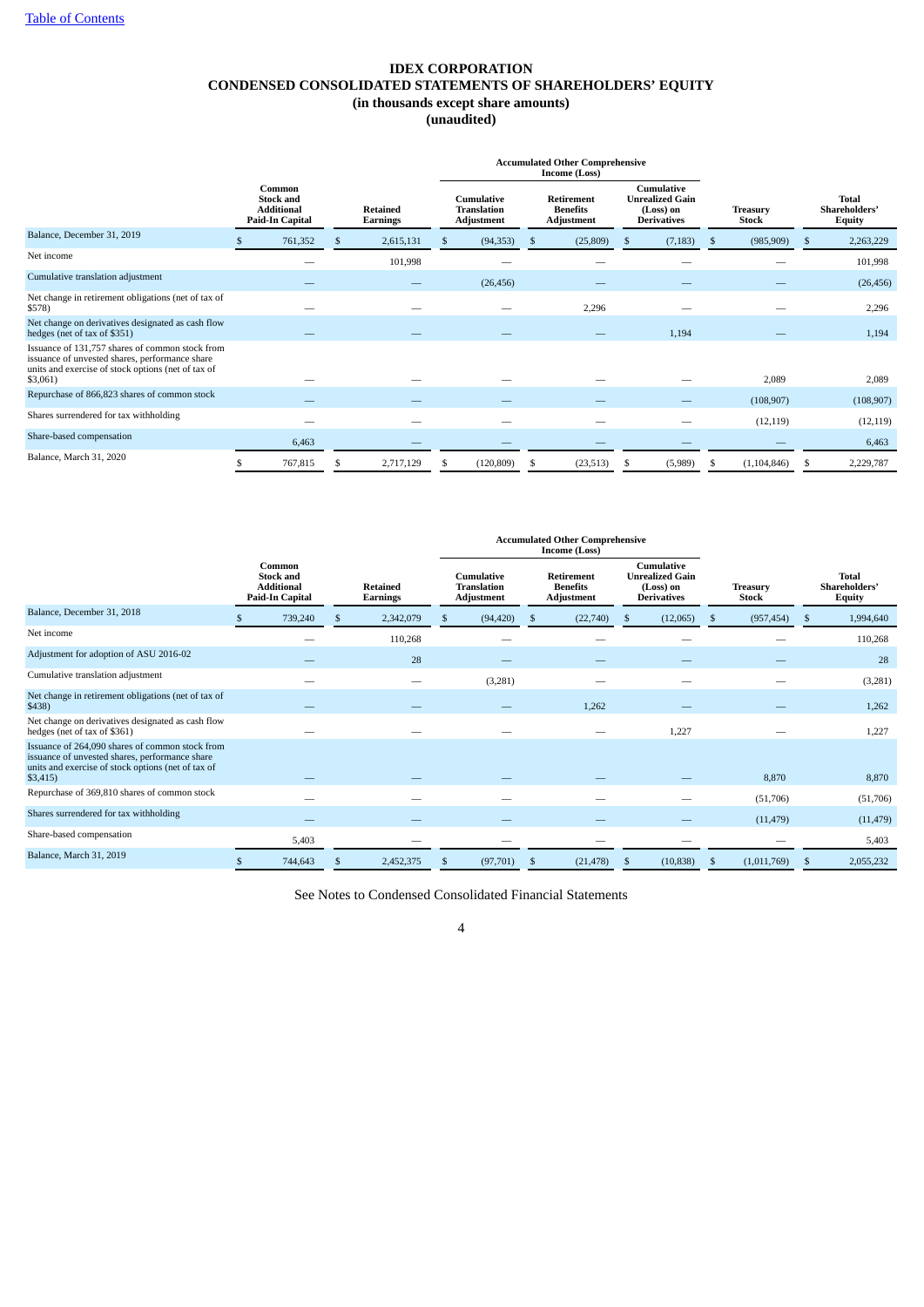### **IDEX CORPORATION CONDENSED CONSOLIDATED STATEMENTS OF SHAREHOLDERS' EQUITY (in thousands except share amounts)**

<span id="page-6-0"></span>

|                                                                                                                                                                       |                                                                    |    |                                    |     |                                                |     | <b>Accumulated Other Comprehensive</b><br>Income (Loss) |      |                                                                                |     |                                 |    |                                                |
|-----------------------------------------------------------------------------------------------------------------------------------------------------------------------|--------------------------------------------------------------------|----|------------------------------------|-----|------------------------------------------------|-----|---------------------------------------------------------|------|--------------------------------------------------------------------------------|-----|---------------------------------|----|------------------------------------------------|
|                                                                                                                                                                       | Common<br><b>Stock and</b><br><b>Additional</b><br>Paid-In Capital |    | <b>Retained</b><br><b>Earnings</b> |     | Cumulative<br><b>Translation</b><br>Adjustment |     | Retirement<br><b>Benefits</b><br>Adjustment             |      | <b>Cumulative</b><br><b>Unrealized Gain</b><br>(Loss) on<br><b>Derivatives</b> |     | <b>Treasury</b><br><b>Stock</b> |    | <b>Total</b><br>Shareholders'<br><b>Equity</b> |
| Balance, December 31, 2019                                                                                                                                            | 761,352                                                            | S. | 2,615,131                          | £.  | (94, 353)                                      | -\$ | (25, 809)                                               | - \$ | (7, 183)                                                                       | \$. | (985, 909)                      | -S | 2,263,229                                      |
| Net income                                                                                                                                                            |                                                                    |    | 101,998                            |     |                                                |     |                                                         |      |                                                                                |     |                                 |    | 101,998                                        |
| Cumulative translation adjustment                                                                                                                                     |                                                                    |    | _                                  |     | (26, 456)                                      |     |                                                         |      |                                                                                |     |                                 |    | (26, 456)                                      |
| Net change in retirement obligations (net of tax of<br>\$578)                                                                                                         |                                                                    |    |                                    |     |                                                |     | 2,296                                                   |      |                                                                                |     |                                 |    | 2,296                                          |
| Net change on derivatives designated as cash flow<br>hedges (net of tax of \$351)                                                                                     |                                                                    |    |                                    |     |                                                |     |                                                         |      | 1,194                                                                          |     |                                 |    | 1,194                                          |
| Issuance of 131,757 shares of common stock from<br>issuance of unvested shares, performance share<br>units and exercise of stock options (net of tax of<br>$$3,061$ ) |                                                                    |    |                                    |     |                                                |     |                                                         |      |                                                                                |     | 2,089                           |    | 2,089                                          |
| Repurchase of 866,823 shares of common stock                                                                                                                          |                                                                    |    |                                    |     |                                                |     |                                                         |      |                                                                                |     | (108, 907)                      |    | (108, 907)                                     |
| Shares surrendered for tax withholding                                                                                                                                | -                                                                  |    |                                    |     |                                                |     |                                                         |      |                                                                                |     | (12, 119)                       |    | (12, 119)                                      |
| Share-based compensation                                                                                                                                              | 6,463                                                              |    |                                    |     |                                                |     |                                                         |      |                                                                                |     |                                 |    | 6,463                                          |
| Balance, March 31, 2020                                                                                                                                               | 767,815                                                            |    | 2,717,129                          | \$. | (120, 809)                                     | \$  | (23, 513)                                               | \$   | (5,989)                                                                        | S   | (1, 104, 846)                   | -S | 2,229,787                                      |

|                                                                                                                                                                       |                                                                    |                             |    |                                                |     | <b>Accumulated Other Comprehensive</b><br>Income (Loss) |     |                                                                                |                          |    |                                                |
|-----------------------------------------------------------------------------------------------------------------------------------------------------------------------|--------------------------------------------------------------------|-----------------------------|----|------------------------------------------------|-----|---------------------------------------------------------|-----|--------------------------------------------------------------------------------|--------------------------|----|------------------------------------------------|
|                                                                                                                                                                       | Common<br><b>Stock and</b><br><b>Additional</b><br>Paid-In Capital | Retained<br><b>Earnings</b> |    | Cumulative<br><b>Translation</b><br>Adjustment |     | Retirement<br><b>Benefits</b><br>Adjustment             |     | <b>Cumulative</b><br><b>Unrealized Gain</b><br>(Loss) on<br><b>Derivatives</b> | <b>Treasury</b><br>Stock |    | <b>Total</b><br>Shareholders'<br><b>Equity</b> |
| Balance, December 31, 2018                                                                                                                                            | 739,240                                                            | 2,342,079                   | S. | (94, 420)                                      | -\$ | (22,740)                                                | -\$ | (12,065)                                                                       | \$<br>(957, 454)         | -5 | 1,994,640                                      |
| Net income                                                                                                                                                            |                                                                    | 110,268                     |    |                                                |     |                                                         |     |                                                                                |                          |    | 110,268                                        |
| Adjustment for adoption of ASU 2016-02                                                                                                                                |                                                                    | 28                          |    |                                                |     |                                                         |     |                                                                                |                          |    | 28                                             |
| Cumulative translation adjustment                                                                                                                                     |                                                                    |                             |    | (3,281)                                        |     |                                                         |     |                                                                                |                          |    | (3,281)                                        |
| Net change in retirement obligations (net of tax of<br>\$438)                                                                                                         |                                                                    |                             |    |                                                |     | 1,262                                                   |     |                                                                                |                          |    | 1,262                                          |
| Net change on derivatives designated as cash flow<br>hedges (net of tax of \$361)                                                                                     |                                                                    |                             |    |                                                |     |                                                         |     | 1,227                                                                          |                          |    | 1,227                                          |
| Issuance of 264,090 shares of common stock from<br>issuance of unvested shares, performance share<br>units and exercise of stock options (net of tax of<br>$$3,415$ ) |                                                                    |                             |    |                                                |     |                                                         |     |                                                                                | 8,870                    |    | 8,870                                          |
| Repurchase of 369,810 shares of common stock                                                                                                                          |                                                                    |                             |    |                                                |     |                                                         |     |                                                                                | (51,706)                 |    | (51,706)                                       |
| Shares surrendered for tax withholding                                                                                                                                |                                                                    |                             |    |                                                |     |                                                         |     |                                                                                | (11, 479)                |    | (11, 479)                                      |
| Share-based compensation                                                                                                                                              | 5,403                                                              |                             |    |                                                |     |                                                         |     |                                                                                |                          |    | 5,403                                          |
| Balance, March 31, 2019                                                                                                                                               | \$<br>744,643                                                      | 2,452,375                   | \$ | (97, 701)                                      | \$  | (21, 478)                                               | \$  | (10, 838)                                                                      | \$<br>(1,011,769)        | \$ | 2,055,232                                      |

See Notes to Condensed Consolidated Financial Statements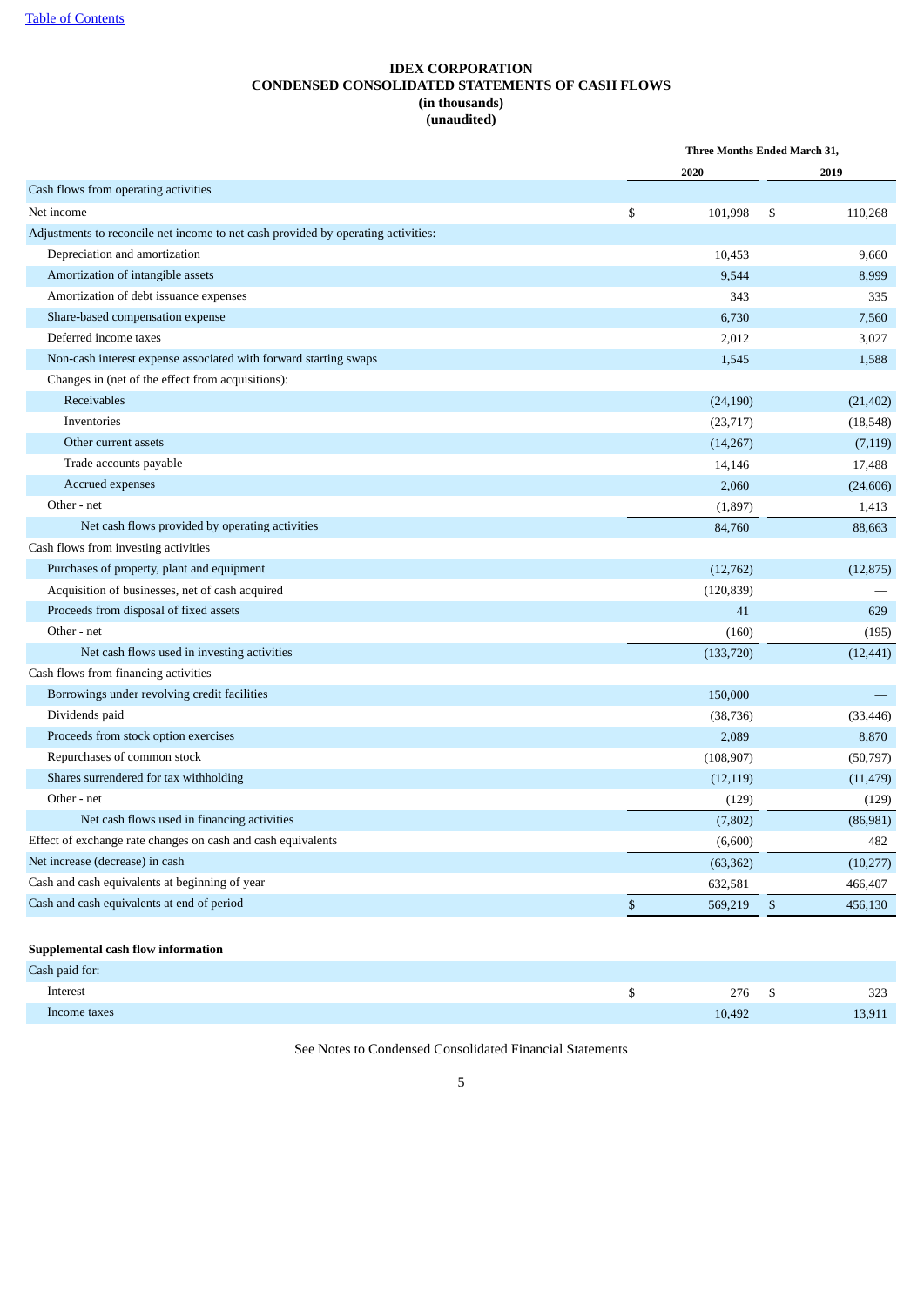### **IDEX CORPORATION CONDENSED CONSOLIDATED STATEMENTS OF CASH FLOWS (in thousands) (unaudited)**

<span id="page-7-0"></span>

|                                                                                   | <b>Three Months Ended March 31,</b> |    |           |  |
|-----------------------------------------------------------------------------------|-------------------------------------|----|-----------|--|
|                                                                                   | 2020                                |    | 2019      |  |
| Cash flows from operating activities                                              |                                     |    |           |  |
| Net income                                                                        | \$<br>101,998                       | \$ | 110,268   |  |
| Adjustments to reconcile net income to net cash provided by operating activities: |                                     |    |           |  |
| Depreciation and amortization                                                     | 10,453                              |    | 9,660     |  |
| Amortization of intangible assets                                                 | 9,544                               |    | 8,999     |  |
| Amortization of debt issuance expenses                                            | 343                                 |    | 335       |  |
| Share-based compensation expense                                                  | 6,730                               |    | 7,560     |  |
| Deferred income taxes                                                             | 2,012                               |    | 3,027     |  |
| Non-cash interest expense associated with forward starting swaps                  | 1,545                               |    | 1,588     |  |
| Changes in (net of the effect from acquisitions):                                 |                                     |    |           |  |
| Receivables                                                                       | (24, 190)                           |    | (21, 402) |  |
| Inventories                                                                       | (23, 717)                           |    | (18, 548) |  |
| Other current assets                                                              | (14,267)                            |    | (7, 119)  |  |
| Trade accounts payable                                                            | 14,146                              |    | 17,488    |  |
| Accrued expenses                                                                  | 2,060                               |    | (24, 606) |  |
| Other - net                                                                       | (1,897)                             |    | 1,413     |  |
| Net cash flows provided by operating activities                                   | 84,760                              |    | 88,663    |  |
| Cash flows from investing activities                                              |                                     |    |           |  |
| Purchases of property, plant and equipment                                        | (12,762)                            |    | (12, 875) |  |
| Acquisition of businesses, net of cash acquired                                   | (120, 839)                          |    |           |  |
| Proceeds from disposal of fixed assets                                            | 41                                  |    | 629       |  |
| Other - net                                                                       | (160)                               |    | (195)     |  |
| Net cash flows used in investing activities                                       | (133, 720)                          |    | (12, 441) |  |
| Cash flows from financing activities                                              |                                     |    |           |  |
| Borrowings under revolving credit facilities                                      | 150,000                             |    |           |  |
| Dividends paid                                                                    | (38, 736)                           |    | (33, 446) |  |
| Proceeds from stock option exercises                                              | 2,089                               |    | 8,870     |  |
| Repurchases of common stock                                                       | (108, 907)                          |    | (50, 797) |  |
| Shares surrendered for tax withholding                                            | (12, 119)                           |    | (11, 479) |  |
| Other - net                                                                       | (129)                               |    | (129)     |  |
| Net cash flows used in financing activities                                       | (7, 802)                            |    | (86,981)  |  |
| Effect of exchange rate changes on cash and cash equivalents                      | (6,600)                             |    | 482       |  |
| Net increase (decrease) in cash                                                   | (63, 362)                           |    | (10, 277) |  |
| Cash and cash equivalents at beginning of year                                    | 632,581                             |    | 466,407   |  |
| Cash and cash equivalents at end of period                                        | \$<br>569,219                       | \$ | 456,130   |  |
|                                                                                   |                                     |    |           |  |

### **Supplemental cash flow information**

| Cash paid for: |        |        |
|----------------|--------|--------|
| Interest       | 276    | 323    |
| Income taxes   | 10,492 | 13,911 |

See Notes to Condensed Consolidated Financial Statements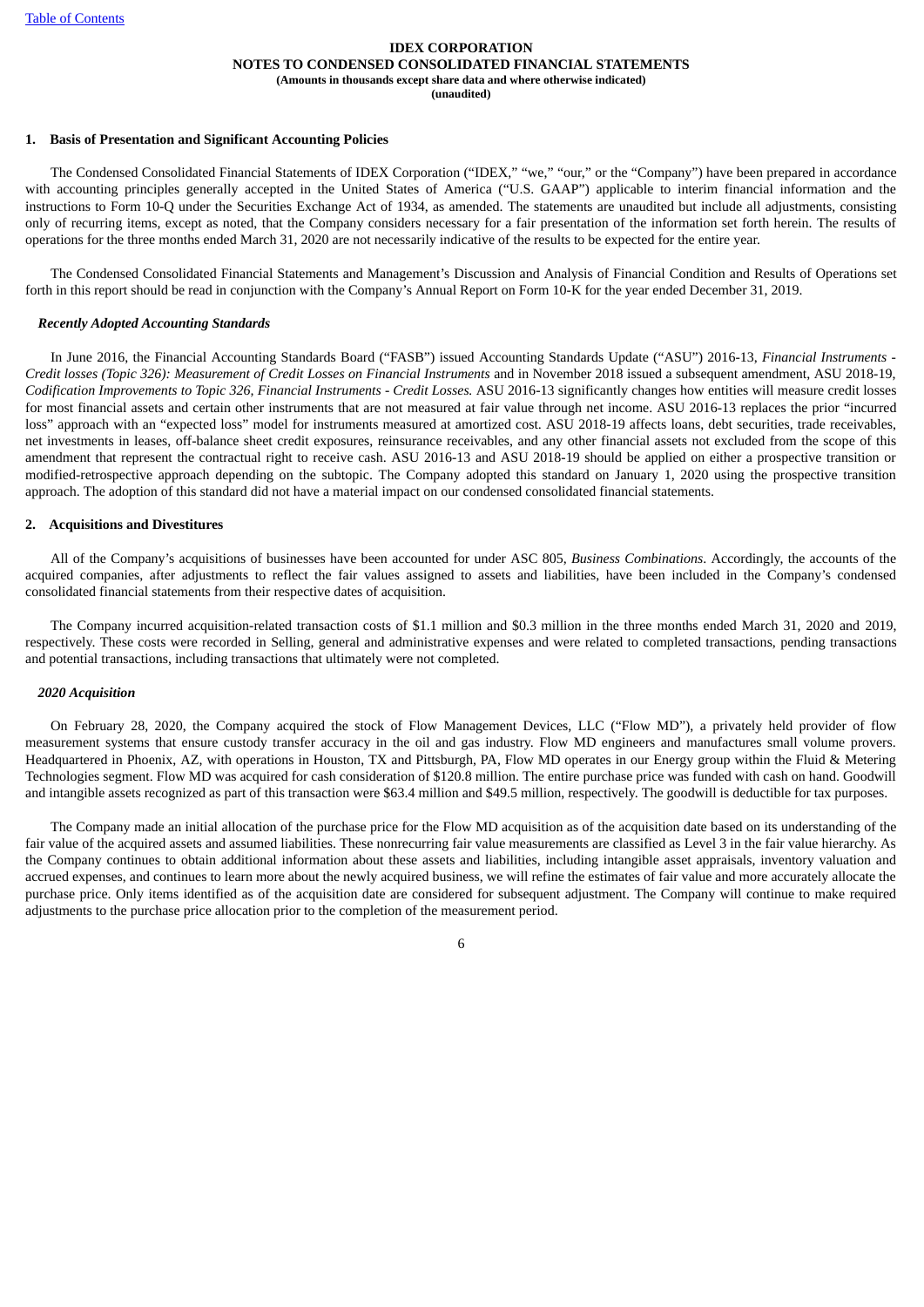**(unaudited)**

#### <span id="page-8-0"></span>**1. Basis of Presentation and Significant Accounting Policies**

The Condensed Consolidated Financial Statements of IDEX Corporation ("IDEX," "we," "our," or the "Company") have been prepared in accordance with accounting principles generally accepted in the United States of America ("U.S. GAAP") applicable to interim financial information and the instructions to Form 10-Q under the Securities Exchange Act of 1934, as amended. The statements are unaudited but include all adjustments, consisting only of recurring items, except as noted, that the Company considers necessary for a fair presentation of the information set forth herein. The results of operations for the three months ended March 31, 2020 are not necessarily indicative of the results to be expected for the entire year.

The Condensed Consolidated Financial Statements and Management's Discussion and Analysis of Financial Condition and Results of Operations set forth in this report should be read in conjunction with the Company's Annual Report on Form 10-K for the year ended December 31, 2019.

#### *Recently Adopted Accounting Standards*

In June 2016, the Financial Accounting Standards Board ("FASB") issued Accounting Standards Update ("ASU") 2016-13, *Financial Instruments - Credit losses (Topic 326): Measurement of Credit Losses on Financial Instruments* and in November 2018 issued a subsequent amendment, ASU 2018-19, *Codification Improvements to Topic 326, Financial Instruments - Credit Losses.* ASU 2016-13 significantly changes how entities will measure credit losses for most financial assets and certain other instruments that are not measured at fair value through net income. ASU 2016-13 replaces the prior "incurred loss" approach with an "expected loss" model for instruments measured at amortized cost. ASU 2018-19 affects loans, debt securities, trade receivables, net investments in leases, off-balance sheet credit exposures, reinsurance receivables, and any other financial assets not excluded from the scope of this amendment that represent the contractual right to receive cash. ASU 2016-13 and ASU 2018-19 should be applied on either a prospective transition or modified-retrospective approach depending on the subtopic. The Company adopted this standard on January 1, 2020 using the prospective transition approach. The adoption of this standard did not have a material impact on our condensed consolidated financial statements.

#### **2. Acquisitions and Divestitures**

All of the Company's acquisitions of businesses have been accounted for under ASC 805, *Business Combinations*. Accordingly, the accounts of the acquired companies, after adjustments to reflect the fair values assigned to assets and liabilities, have been included in the Company's condensed consolidated financial statements from their respective dates of acquisition.

The Company incurred acquisition-related transaction costs of \$1.1 million and \$0.3 million in the three months ended March 31, 2020 and 2019, respectively. These costs were recorded in Selling, general and administrative expenses and were related to completed transactions, pending transactions and potential transactions, including transactions that ultimately were not completed.

#### *2020 Acquisition*

On February 28, 2020, the Company acquired the stock of Flow Management Devices, LLC ("Flow MD"), a privately held provider of flow measurement systems that ensure custody transfer accuracy in the oil and gas industry. Flow MD engineers and manufactures small volume provers. Headquartered in Phoenix, AZ, with operations in Houston, TX and Pittsburgh, PA, Flow MD operates in our Energy group within the Fluid & Metering Technologies segment. Flow MD was acquired for cash consideration of \$120.8 million. The entire purchase price was funded with cash on hand. Goodwill and intangible assets recognized as part of this transaction were \$63.4 million and \$49.5 million, respectively. The goodwill is deductible for tax purposes.

The Company made an initial allocation of the purchase price for the Flow MD acquisition as of the acquisition date based on its understanding of the fair value of the acquired assets and assumed liabilities. These nonrecurring fair value measurements are classified as Level 3 in the fair value hierarchy. As the Company continues to obtain additional information about these assets and liabilities, including intangible asset appraisals, inventory valuation and accrued expenses, and continues to learn more about the newly acquired business, we will refine the estimates of fair value and more accurately allocate the purchase price. Only items identified as of the acquisition date are considered for subsequent adjustment. The Company will continue to make required adjustments to the purchase price allocation prior to the completion of the measurement period.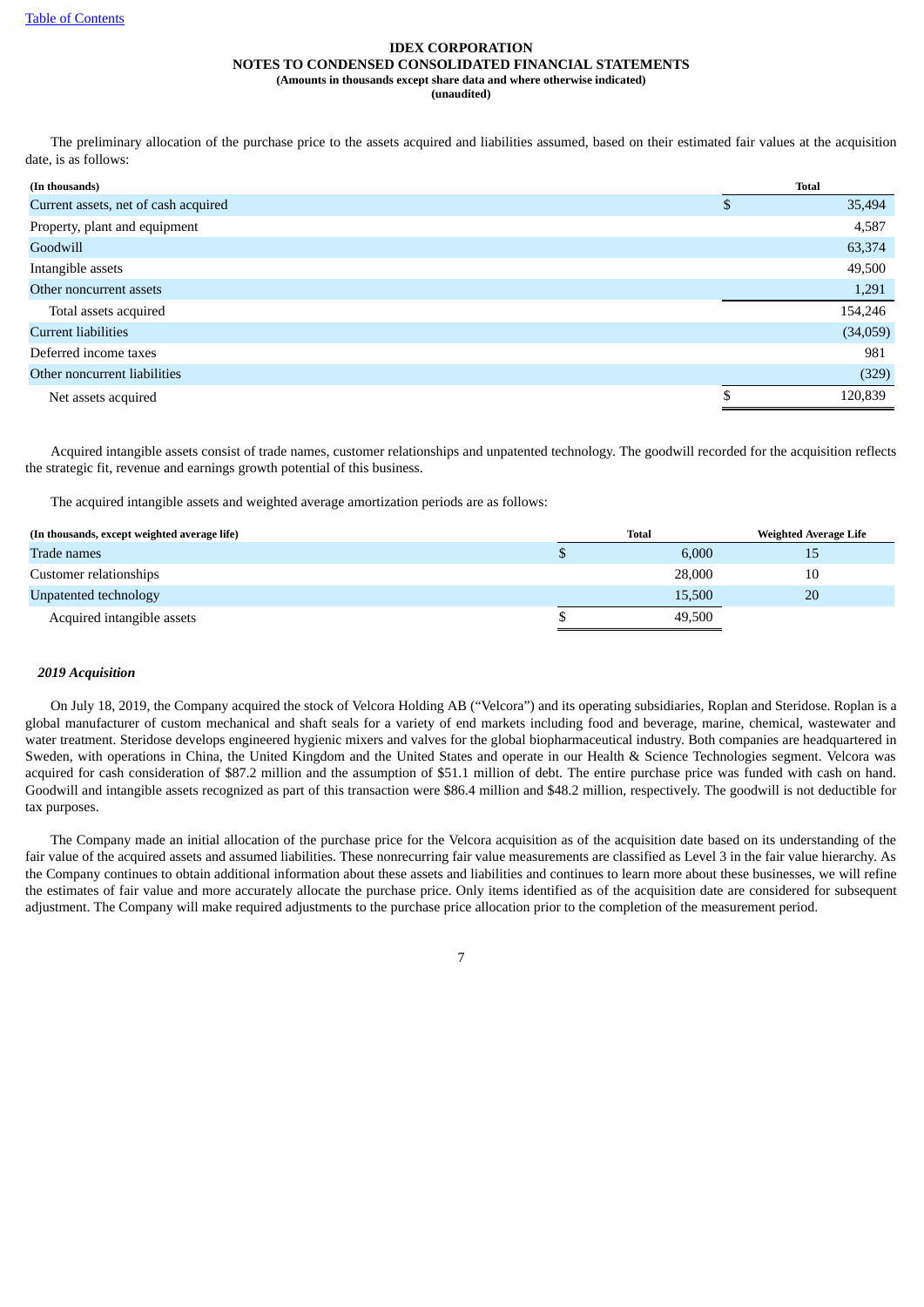**(unaudited)**

The preliminary allocation of the purchase price to the assets acquired and liabilities assumed, based on their estimated fair values at the acquisition date, is as follows:

| (In thousands)                       |   | <b>Total</b> |
|--------------------------------------|---|--------------|
| Current assets, net of cash acquired |   | 35,494       |
| Property, plant and equipment        |   | 4,587        |
| Goodwill                             |   | 63,374       |
| Intangible assets                    |   | 49,500       |
| Other noncurrent assets              |   | 1,291        |
| Total assets acquired                |   | 154,246      |
| <b>Current liabilities</b>           |   | (34,059)     |
| Deferred income taxes                |   | 981          |
| Other noncurrent liabilities         |   | (329)        |
| Net assets acquired                  | ጦ | 120,839      |

Acquired intangible assets consist of trade names, customer relationships and unpatented technology. The goodwill recorded for the acquisition reflects the strategic fit, revenue and earnings growth potential of this business.

The acquired intangible assets and weighted average amortization periods are as follows:

| (In thousands, except weighted average life) | <b>Total</b> |        | <b>Weighted Average Life</b> |
|----------------------------------------------|--------------|--------|------------------------------|
| Trade names                                  |              | 6.000  | 15                           |
| Customer relationships                       |              | 28,000 | 10                           |
| Unpatented technology                        |              | 15.500 | 20                           |
| Acquired intangible assets                   |              | 49,500 |                              |

### *2019 Acquisition*

On July 18, 2019, the Company acquired the stock of Velcora Holding AB ("Velcora") and its operating subsidiaries, Roplan and Steridose. Roplan is a global manufacturer of custom mechanical and shaft seals for a variety of end markets including food and beverage, marine, chemical, wastewater and water treatment. Steridose develops engineered hygienic mixers and valves for the global biopharmaceutical industry. Both companies are headquartered in Sweden, with operations in China, the United Kingdom and the United States and operate in our Health & Science Technologies segment. Velcora was acquired for cash consideration of \$87.2 million and the assumption of \$51.1 million of debt. The entire purchase price was funded with cash on hand. Goodwill and intangible assets recognized as part of this transaction were \$86.4 million and \$48.2 million, respectively. The goodwill is not deductible for tax purposes.

The Company made an initial allocation of the purchase price for the Velcora acquisition as of the acquisition date based on its understanding of the fair value of the acquired assets and assumed liabilities. These nonrecurring fair value measurements are classified as Level 3 in the fair value hierarchy. As the Company continues to obtain additional information about these assets and liabilities and continues to learn more about these businesses, we will refine the estimates of fair value and more accurately allocate the purchase price. Only items identified as of the acquisition date are considered for subsequent adjustment. The Company will make required adjustments to the purchase price allocation prior to the completion of the measurement period.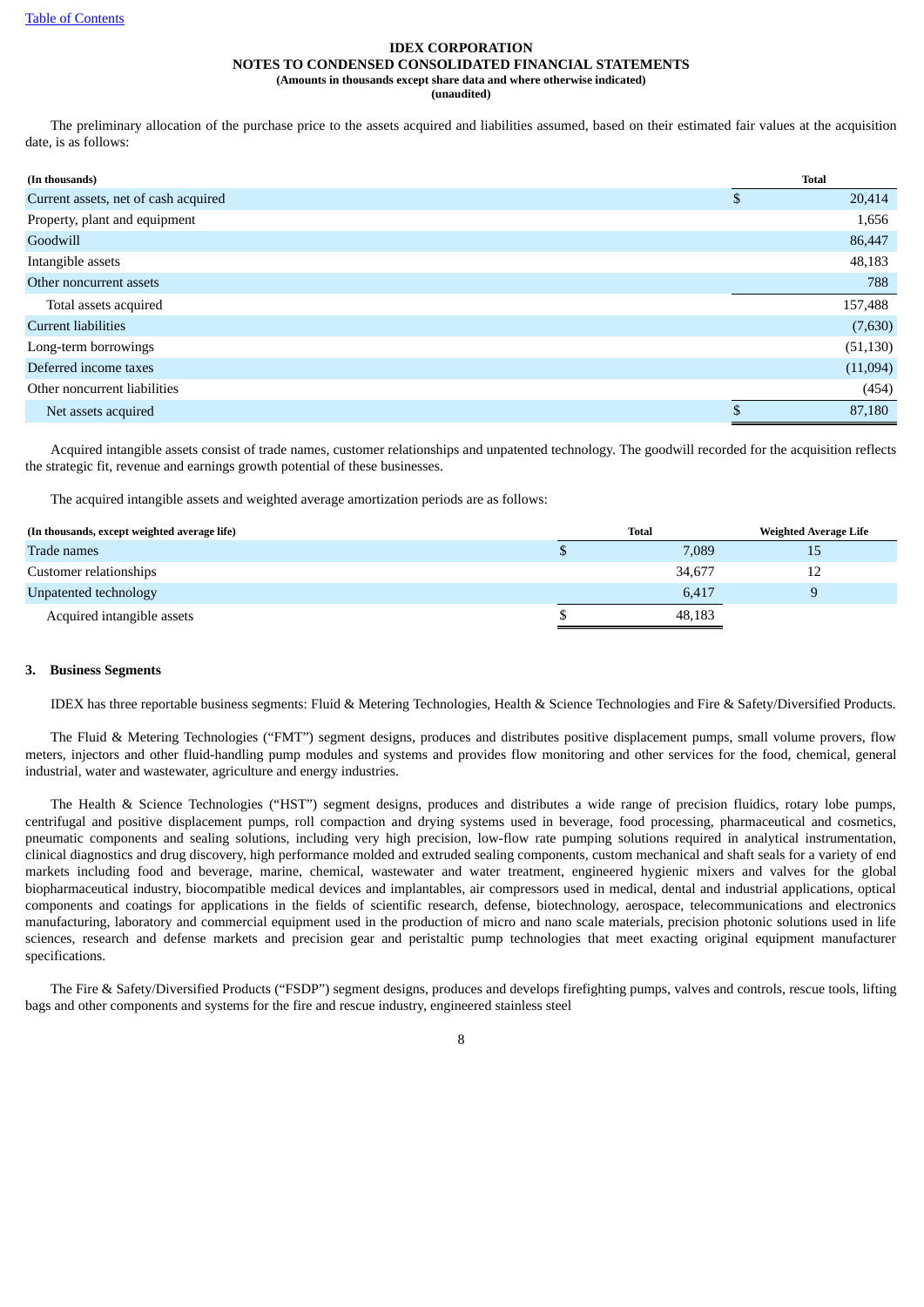**(unaudited)**

The preliminary allocation of the purchase price to the assets acquired and liabilities assumed, based on their estimated fair values at the acquisition date, is as follows:

| (In thousands)                       | <b>Total</b> |
|--------------------------------------|--------------|
| Current assets, net of cash acquired | 20,414       |
| Property, plant and equipment        | 1,656        |
| Goodwill                             | 86,447       |
| Intangible assets                    | 48,183       |
| Other noncurrent assets              | 788          |
| Total assets acquired                | 157,488      |
| <b>Current liabilities</b>           | (7,630)      |
| Long-term borrowings                 | (51, 130)    |
| Deferred income taxes                | (11,094)     |
| Other noncurrent liabilities         | (454)        |
| Net assets acquired                  | 87,180       |

Acquired intangible assets consist of trade names, customer relationships and unpatented technology. The goodwill recorded for the acquisition reflects the strategic fit, revenue and earnings growth potential of these businesses.

The acquired intangible assets and weighted average amortization periods are as follows:

| (In thousands, except weighted average life) | <b>Total</b> |        | <b>Weighted Average Life</b> |  |  |
|----------------------------------------------|--------------|--------|------------------------------|--|--|
| Trade names                                  |              | 7.089  | 15                           |  |  |
| Customer relationships                       |              | 34,677 |                              |  |  |
| Unpatented technology                        |              | 6.417  |                              |  |  |
| Acquired intangible assets                   |              | 48,183 |                              |  |  |

### **3. Business Segments**

IDEX has three reportable business segments: Fluid & Metering Technologies, Health & Science Technologies and Fire & Safety/Diversified Products.

The Fluid & Metering Technologies ("FMT") segment designs, produces and distributes positive displacement pumps, small volume provers, flow meters, injectors and other fluid-handling pump modules and systems and provides flow monitoring and other services for the food, chemical, general industrial, water and wastewater, agriculture and energy industries.

The Health & Science Technologies ("HST") segment designs, produces and distributes a wide range of precision fluidics, rotary lobe pumps, centrifugal and positive displacement pumps, roll compaction and drying systems used in beverage, food processing, pharmaceutical and cosmetics, pneumatic components and sealing solutions, including very high precision, low-flow rate pumping solutions required in analytical instrumentation, clinical diagnostics and drug discovery, high performance molded and extruded sealing components, custom mechanical and shaft seals for a variety of end markets including food and beverage, marine, chemical, wastewater and water treatment, engineered hygienic mixers and valves for the global biopharmaceutical industry, biocompatible medical devices and implantables, air compressors used in medical, dental and industrial applications, optical components and coatings for applications in the fields of scientific research, defense, biotechnology, aerospace, telecommunications and electronics manufacturing, laboratory and commercial equipment used in the production of micro and nano scale materials, precision photonic solutions used in life sciences, research and defense markets and precision gear and peristaltic pump technologies that meet exacting original equipment manufacturer specifications.

The Fire & Safety/Diversified Products ("FSDP") segment designs, produces and develops firefighting pumps, valves and controls, rescue tools, lifting bags and other components and systems for the fire and rescue industry, engineered stainless steel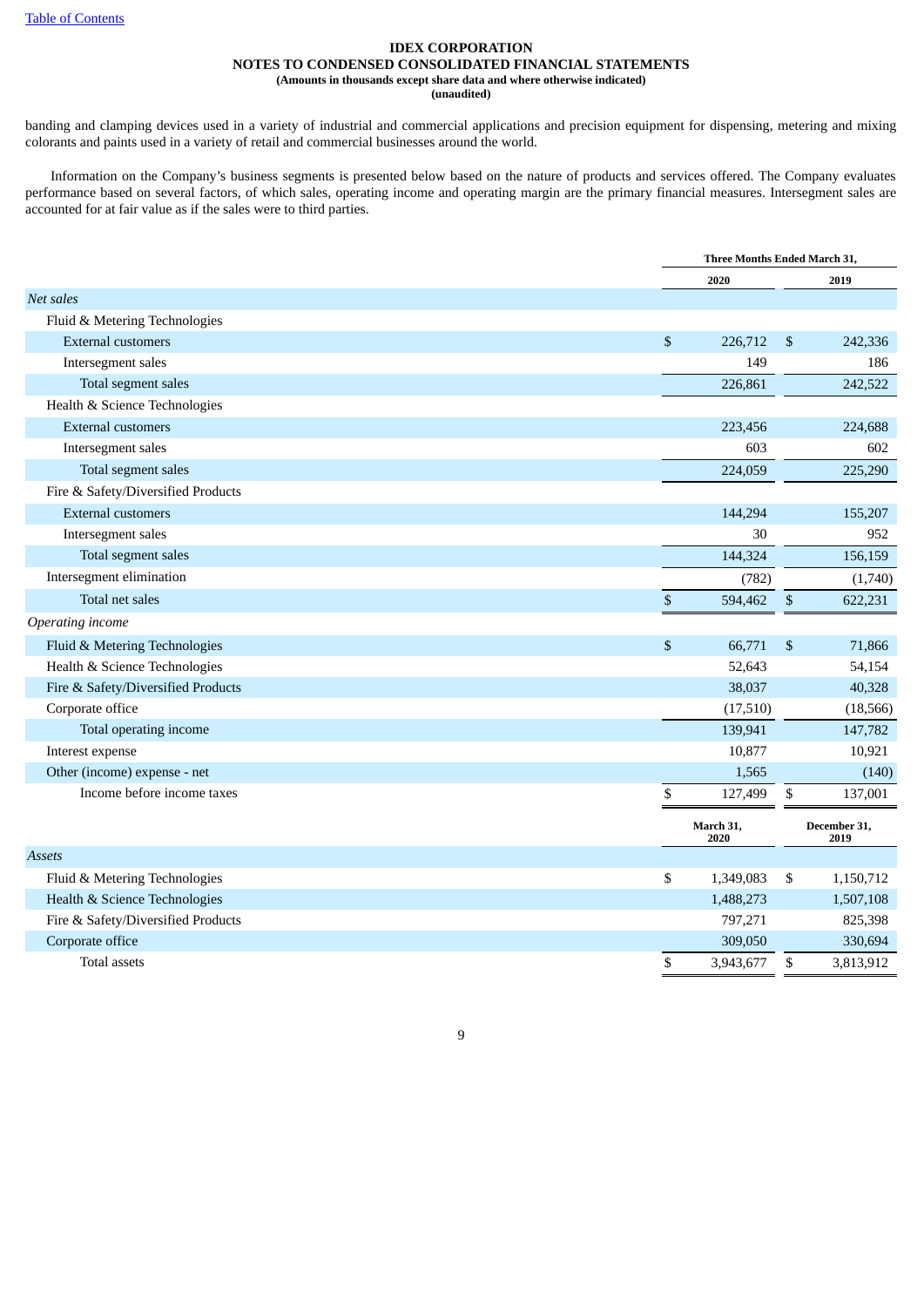**(unaudited)**

banding and clamping devices used in a variety of industrial and commercial applications and precision equipment for dispensing, metering and mixing colorants and paints used in a variety of retail and commercial businesses around the world.

Information on the Company's business segments is presented below based on the nature of products and services offered. The Company evaluates performance based on several factors, of which sales, operating income and operating margin are the primary financial measures. Intersegment sales are accounted for at fair value as if the sales were to third parties.

|                                    |              | Three Months Ended March 31, |              |                      |
|------------------------------------|--------------|------------------------------|--------------|----------------------|
|                                    |              | 2020                         |              | 2019                 |
| Net sales                          |              |                              |              |                      |
| Fluid & Metering Technologies      |              |                              |              |                      |
| <b>External customers</b>          | \$           | 226,712                      | \$           | 242,336              |
| Intersegment sales                 |              | 149                          |              | 186                  |
| Total segment sales                |              | 226,861                      |              | 242,522              |
| Health & Science Technologies      |              |                              |              |                      |
| <b>External customers</b>          |              | 223,456                      |              | 224,688              |
| Intersegment sales                 |              | 603                          |              | 602                  |
| Total segment sales                |              | 224,059                      |              | 225,290              |
| Fire & Safety/Diversified Products |              |                              |              |                      |
| <b>External customers</b>          |              | 144,294                      |              | 155,207              |
| Intersegment sales                 |              | $30\,$                       |              | 952                  |
| Total segment sales                |              | 144,324                      |              | 156,159              |
| Intersegment elimination           |              | (782)                        |              | (1,740)              |
| Total net sales                    | $\mathbb{S}$ | 594,462                      | $\mathbb{S}$ | 622,231              |
| Operating income                   |              |                              |              |                      |
| Fluid & Metering Technologies      | \$           | 66,771                       | \$           | 71,866               |
| Health & Science Technologies      |              | 52,643                       |              | 54,154               |
| Fire & Safety/Diversified Products |              | 38,037                       |              | 40,328               |
| Corporate office                   |              | (17, 510)                    |              | (18, 566)            |
| Total operating income             |              | 139,941                      |              | 147,782              |
| Interest expense                   |              | 10,877                       |              | 10,921               |
| Other (income) expense - net       |              | 1,565                        |              | (140)                |
| Income before income taxes         | \$           | 127,499                      | \$           | 137,001              |
|                                    |              |                              |              |                      |
|                                    |              | March 31,<br>2020            |              | December 31,<br>2019 |
| <b>Assets</b>                      |              |                              |              |                      |
| Fluid & Metering Technologies      | \$           | 1,349,083                    | \$           | 1,150,712            |
| Health & Science Technologies      |              | 1,488,273                    |              | 1,507,108            |
| Fire & Safety/Diversified Products |              | 797,271                      |              | 825,398              |
| Corporate office                   |              | 309,050                      |              | 330,694              |
| <b>Total assets</b>                | \$           | 3,943,677                    | \$           | 3,813,912            |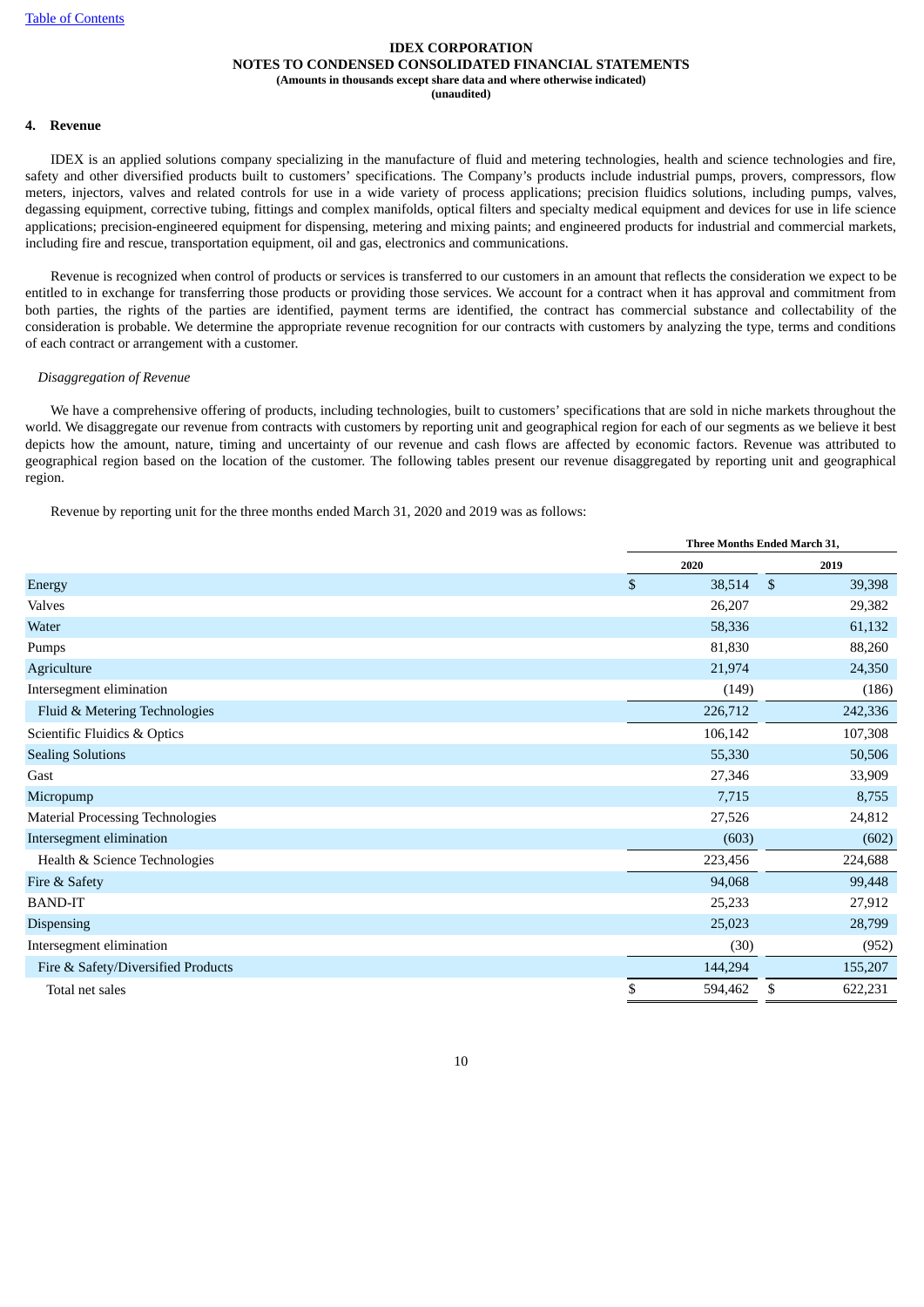#### **4. Revenue**

IDEX is an applied solutions company specializing in the manufacture of fluid and metering technologies, health and science technologies and fire, safety and other diversified products built to customers' specifications. The Company's products include industrial pumps, provers, compressors, flow meters, injectors, valves and related controls for use in a wide variety of process applications; precision fluidics solutions, including pumps, valves, degassing equipment, corrective tubing, fittings and complex manifolds, optical filters and specialty medical equipment and devices for use in life science applications; precision-engineered equipment for dispensing, metering and mixing paints; and engineered products for industrial and commercial markets, including fire and rescue, transportation equipment, oil and gas, electronics and communications.

Revenue is recognized when control of products or services is transferred to our customers in an amount that reflects the consideration we expect to be entitled to in exchange for transferring those products or providing those services. We account for a contract when it has approval and commitment from both parties, the rights of the parties are identified, payment terms are identified, the contract has commercial substance and collectability of the consideration is probable. We determine the appropriate revenue recognition for our contracts with customers by analyzing the type, terms and conditions of each contract or arrangement with a customer.

#### *Disaggregation of Revenue*

We have a comprehensive offering of products, including technologies, built to customers' specifications that are sold in niche markets throughout the world. We disaggregate our revenue from contracts with customers by reporting unit and geographical region for each of our segments as we believe it best depicts how the amount, nature, timing and uncertainty of our revenue and cash flows are affected by economic factors. Revenue was attributed to geographical region based on the location of the customer. The following tables present our revenue disaggregated by reporting unit and geographical region.

Revenue by reporting unit for the three months ended March 31, 2020 and 2019 was as follows:

|                                         |               | <b>Three Months Ended March 31,</b> |         |  |  |
|-----------------------------------------|---------------|-------------------------------------|---------|--|--|
|                                         | 2020          |                                     | 2019    |  |  |
| <b>Energy</b>                           | \$<br>38,514  | $\mathbb{S}$                        | 39,398  |  |  |
| <b>Valves</b>                           | 26,207        |                                     | 29,382  |  |  |
| Water                                   | 58,336        |                                     | 61,132  |  |  |
| Pumps                                   | 81,830        |                                     | 88,260  |  |  |
| Agriculture                             | 21,974        |                                     | 24,350  |  |  |
| Intersegment elimination                | (149)         |                                     | (186)   |  |  |
| Fluid & Metering Technologies           | 226,712       |                                     | 242,336 |  |  |
| Scientific Fluidics & Optics            | 106,142       |                                     | 107,308 |  |  |
| <b>Sealing Solutions</b>                | 55,330        |                                     | 50,506  |  |  |
| Gast                                    | 27,346        |                                     | 33,909  |  |  |
| Micropump                               | 7,715         |                                     | 8,755   |  |  |
| <b>Material Processing Technologies</b> | 27,526        |                                     | 24,812  |  |  |
| Intersegment elimination                | (603)         |                                     | (602)   |  |  |
| Health & Science Technologies           | 223,456       |                                     | 224,688 |  |  |
| Fire & Safety                           | 94,068        |                                     | 99,448  |  |  |
| <b>BAND-IT</b>                          | 25,233        |                                     | 27,912  |  |  |
| Dispensing                              | 25,023        |                                     | 28,799  |  |  |
| Intersegment elimination                | (30)          |                                     | (952)   |  |  |
| Fire & Safety/Diversified Products      | 144,294       |                                     | 155,207 |  |  |
| Total net sales                         | \$<br>594,462 | \$                                  | 622,231 |  |  |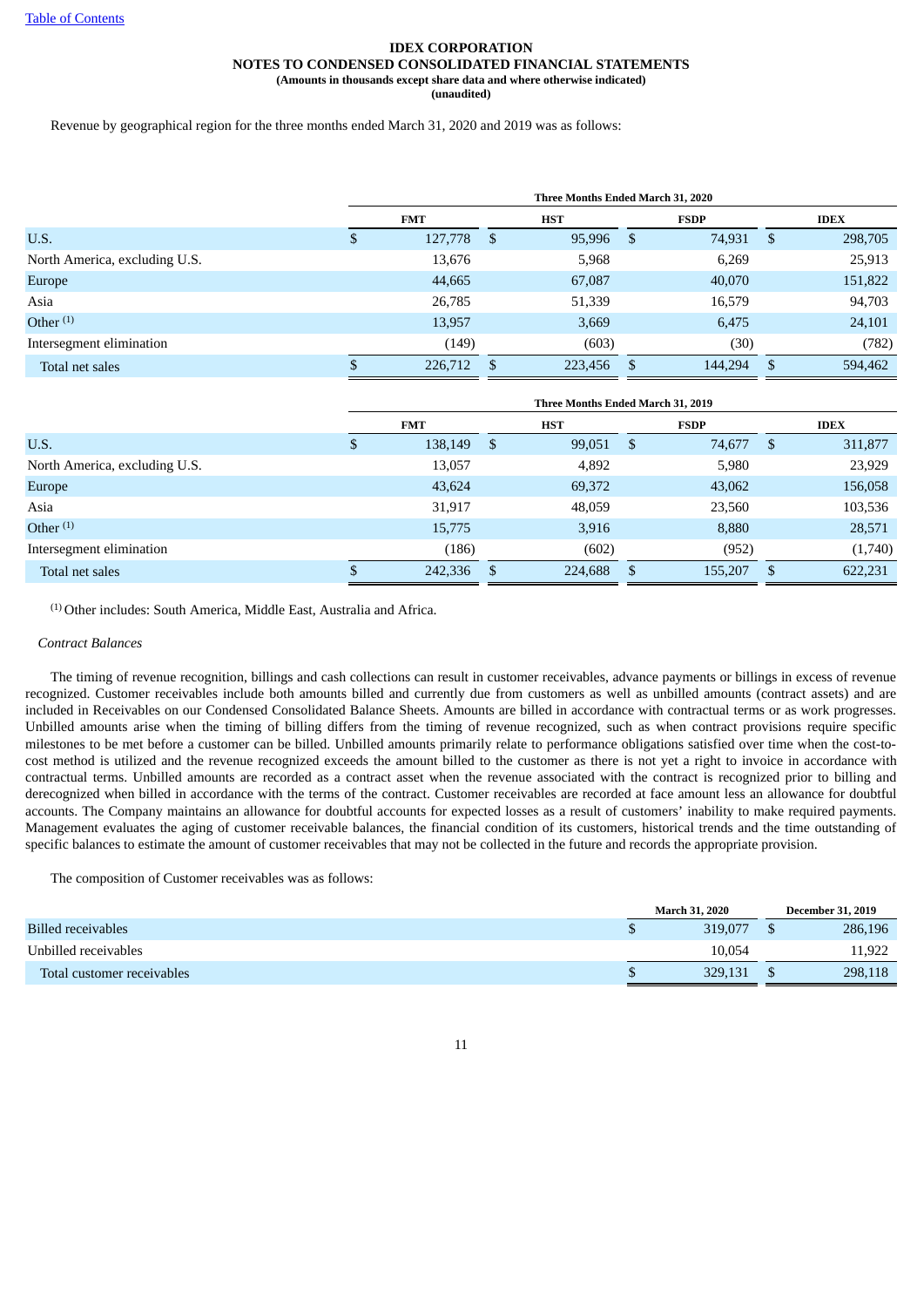Revenue by geographical region for the three months ended March 31, 2020 and 2019 was as follows:

|                               |    | Three Months Ended March 31, 2020 |     |            |               |             |    |             |
|-------------------------------|----|-----------------------------------|-----|------------|---------------|-------------|----|-------------|
|                               |    | <b>FMT</b>                        |     | <b>HST</b> |               | <b>FSDP</b> |    | <b>IDEX</b> |
| U.S.                          | J. | 127,778                           | - S | 95,996     | -5            | 74,931      | \$ | 298,705     |
| North America, excluding U.S. |    | 13,676                            |     | 5,968      |               | 6,269       |    | 25,913      |
| <b>Europe</b>                 |    | 44,665                            |     | 67,087     |               | 40,070      |    | 151,822     |
| Asia                          |    | 26,785                            |     | 51,339     |               | 16,579      |    | 94,703      |
| Other $(1)$                   |    | 13,957                            |     | 3,669      |               | 6,475       |    | 24,101      |
| Intersegment elimination      |    | (149)                             |     | (603)      |               | (30)        |    | (782)       |
| Total net sales               | D  | 226,712                           |     | 223,456    | <sup>\$</sup> | 144,294     | \$ | 594,462     |

|                               |   | Three Months Ended March 31, 2019 |    |            |      |             |    |             |
|-------------------------------|---|-----------------------------------|----|------------|------|-------------|----|-------------|
|                               |   | <b>FMT</b>                        |    | <b>HST</b> |      | <b>FSDP</b> |    | <b>IDEX</b> |
| U.S.                          | D | 138,149                           | \$ | 99,051     | - \$ | 74,677      | S  | 311,877     |
| North America, excluding U.S. |   | 13,057                            |    | 4,892      |      | 5,980       |    | 23,929      |
| <b>Europe</b>                 |   | 43,624                            |    | 69,372     |      | 43,062      |    | 156,058     |
| Asia                          |   | 31,917                            |    | 48,059     |      | 23,560      |    | 103,536     |
| Other $(1)$                   |   | 15,775                            |    | 3,916      |      | 8,880       |    | 28,571      |
| Intersegment elimination      |   | (186)                             |    | (602)      |      | (952)       |    | (1,740)     |
| Total net sales               |   | 242,336                           |    | 224,688    |      | 155,207     | \$ | 622,231     |

(1) Other includes: South America, Middle East, Australia and Africa.

#### *Contract Balances*

The timing of revenue recognition, billings and cash collections can result in customer receivables, advance payments or billings in excess of revenue recognized. Customer receivables include both amounts billed and currently due from customers as well as unbilled amounts (contract assets) and are included in Receivables on our Condensed Consolidated Balance Sheets. Amounts are billed in accordance with contractual terms or as work progresses. Unbilled amounts arise when the timing of billing differs from the timing of revenue recognized, such as when contract provisions require specific milestones to be met before a customer can be billed. Unbilled amounts primarily relate to performance obligations satisfied over time when the cost-tocost method is utilized and the revenue recognized exceeds the amount billed to the customer as there is not yet a right to invoice in accordance with contractual terms. Unbilled amounts are recorded as a contract asset when the revenue associated with the contract is recognized prior to billing and derecognized when billed in accordance with the terms of the contract. Customer receivables are recorded at face amount less an allowance for doubtful accounts. The Company maintains an allowance for doubtful accounts for expected losses as a result of customers' inability to make required payments. Management evaluates the aging of customer receivable balances, the financial condition of its customers, historical trends and the time outstanding of specific balances to estimate the amount of customer receivables that may not be collected in the future and records the appropriate provision.

The composition of Customer receivables was as follows:

|                            | <b>March 31, 2020</b> | <b>December 31, 2019</b> |
|----------------------------|-----------------------|--------------------------|
| Billed receivables         | 319,077               | 286,196                  |
| Unbilled receivables       | 10.054                | 11.922                   |
| Total customer receivables | 329.131               | 298,118                  |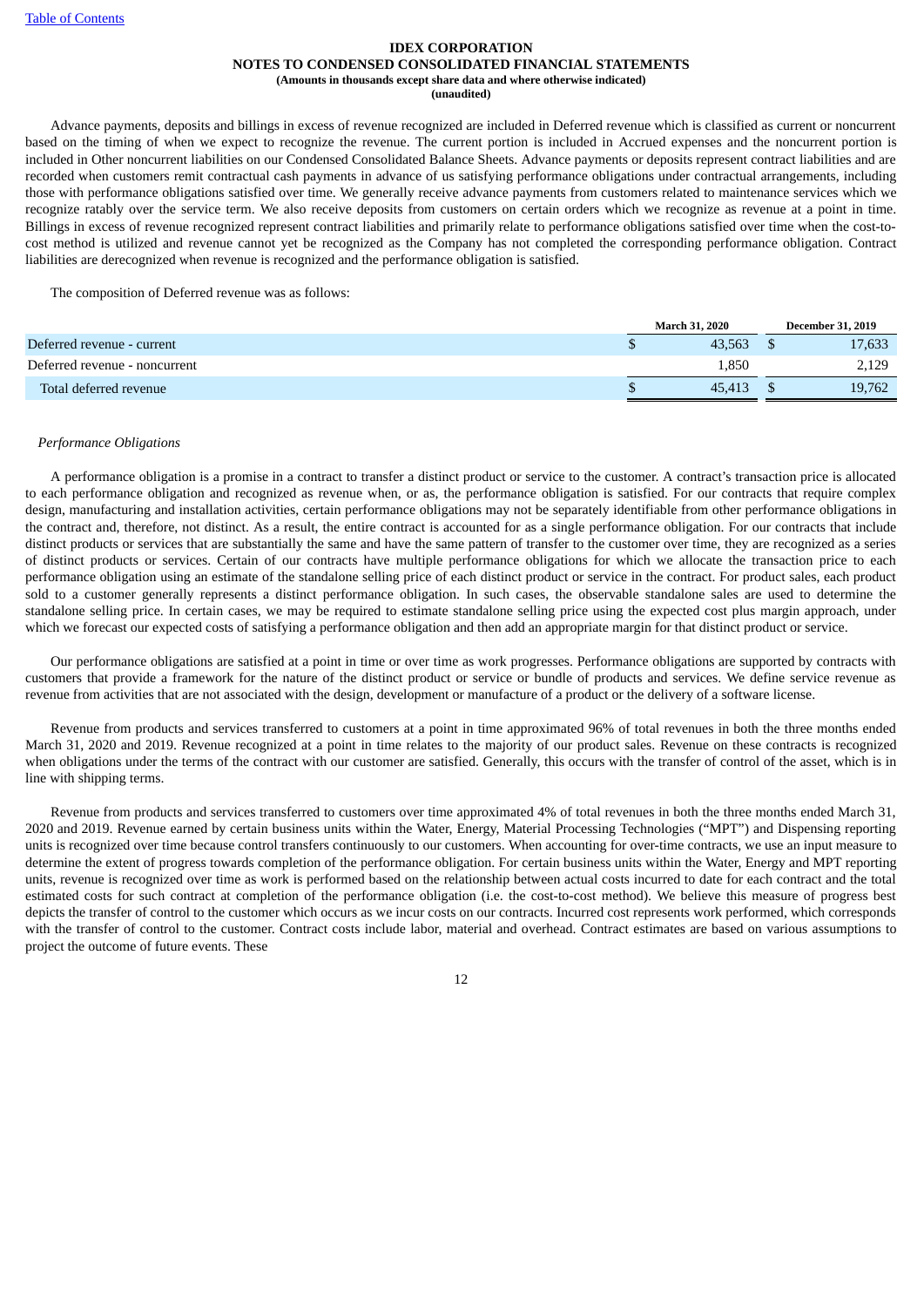Advance payments, deposits and billings in excess of revenue recognized are included in Deferred revenue which is classified as current or noncurrent based on the timing of when we expect to recognize the revenue. The current portion is included in Accrued expenses and the noncurrent portion is included in Other noncurrent liabilities on our Condensed Consolidated Balance Sheets. Advance payments or deposits represent contract liabilities and are recorded when customers remit contractual cash payments in advance of us satisfying performance obligations under contractual arrangements, including those with performance obligations satisfied over time. We generally receive advance payments from customers related to maintenance services which we recognize ratably over the service term. We also receive deposits from customers on certain orders which we recognize as revenue at a point in time. Billings in excess of revenue recognized represent contract liabilities and primarily relate to performance obligations satisfied over time when the cost-tocost method is utilized and revenue cannot yet be recognized as the Company has not completed the corresponding performance obligation. Contract liabilities are derecognized when revenue is recognized and the performance obligation is satisfied.

The composition of Deferred revenue was as follows:

|                               | March 31, 2020 | <b>December 31, 2019</b> |
|-------------------------------|----------------|--------------------------|
| Deferred revenue - current    | 43.563         | 17,633                   |
| Deferred revenue - noncurrent | 1.850          | 2.129                    |
| Total deferred revenue        | 45.413         | 19.762                   |

#### *Performance Obligations*

A performance obligation is a promise in a contract to transfer a distinct product or service to the customer. A contract's transaction price is allocated to each performance obligation and recognized as revenue when, or as, the performance obligation is satisfied. For our contracts that require complex design, manufacturing and installation activities, certain performance obligations may not be separately identifiable from other performance obligations in the contract and, therefore, not distinct. As a result, the entire contract is accounted for as a single performance obligation. For our contracts that include distinct products or services that are substantially the same and have the same pattern of transfer to the customer over time, they are recognized as a series of distinct products or services. Certain of our contracts have multiple performance obligations for which we allocate the transaction price to each performance obligation using an estimate of the standalone selling price of each distinct product or service in the contract. For product sales, each product sold to a customer generally represents a distinct performance obligation. In such cases, the observable standalone sales are used to determine the standalone selling price. In certain cases, we may be required to estimate standalone selling price using the expected cost plus margin approach, under which we forecast our expected costs of satisfying a performance obligation and then add an appropriate margin for that distinct product or service.

Our performance obligations are satisfied at a point in time or over time as work progresses. Performance obligations are supported by contracts with customers that provide a framework for the nature of the distinct product or service or bundle of products and services. We define service revenue as revenue from activities that are not associated with the design, development or manufacture of a product or the delivery of a software license.

Revenue from products and services transferred to customers at a point in time approximated 96% of total revenues in both the three months ended March 31, 2020 and 2019. Revenue recognized at a point in time relates to the majority of our product sales. Revenue on these contracts is recognized when obligations under the terms of the contract with our customer are satisfied. Generally, this occurs with the transfer of control of the asset, which is in line with shipping terms.

Revenue from products and services transferred to customers over time approximated 4% of total revenues in both the three months ended March 31, 2020 and 2019. Revenue earned by certain business units within the Water, Energy, Material Processing Technologies ("MPT") and Dispensing reporting units is recognized over time because control transfers continuously to our customers. When accounting for over-time contracts, we use an input measure to determine the extent of progress towards completion of the performance obligation. For certain business units within the Water, Energy and MPT reporting units, revenue is recognized over time as work is performed based on the relationship between actual costs incurred to date for each contract and the total estimated costs for such contract at completion of the performance obligation (i.e. the cost-to-cost method). We believe this measure of progress best depicts the transfer of control to the customer which occurs as we incur costs on our contracts. Incurred cost represents work performed, which corresponds with the transfer of control to the customer. Contract costs include labor, material and overhead. Contract estimates are based on various assumptions to project the outcome of future events. These

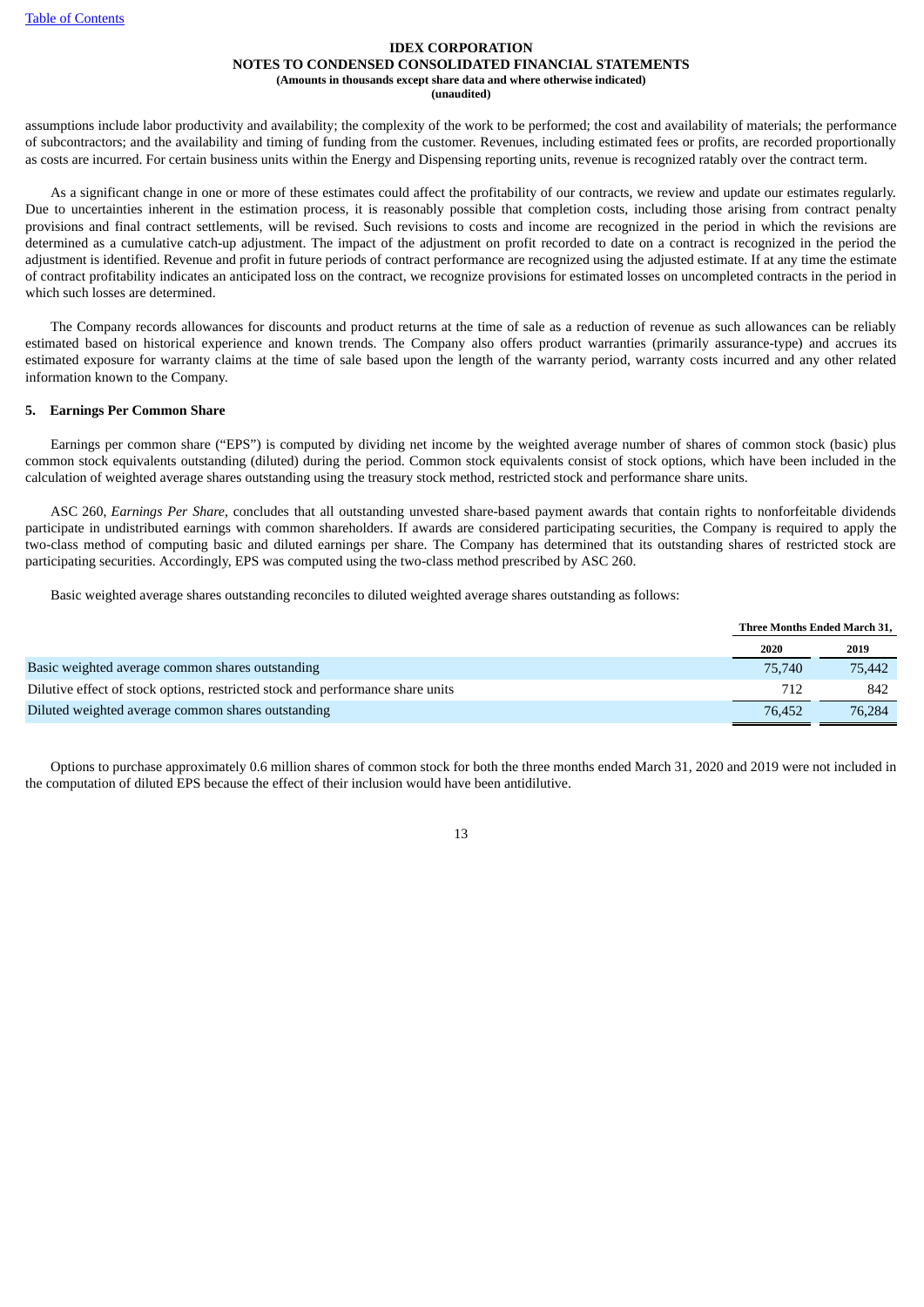**(unaudited)**

assumptions include labor productivity and availability; the complexity of the work to be performed; the cost and availability of materials; the performance of subcontractors; and the availability and timing of funding from the customer. Revenues, including estimated fees or profits, are recorded proportionally as costs are incurred. For certain business units within the Energy and Dispensing reporting units, revenue is recognized ratably over the contract term.

As a significant change in one or more of these estimates could affect the profitability of our contracts, we review and update our estimates regularly. Due to uncertainties inherent in the estimation process, it is reasonably possible that completion costs, including those arising from contract penalty provisions and final contract settlements, will be revised. Such revisions to costs and income are recognized in the period in which the revisions are determined as a cumulative catch-up adjustment. The impact of the adjustment on profit recorded to date on a contract is recognized in the period the adjustment is identified. Revenue and profit in future periods of contract performance are recognized using the adjusted estimate. If at any time the estimate of contract profitability indicates an anticipated loss on the contract, we recognize provisions for estimated losses on uncompleted contracts in the period in which such losses are determined.

The Company records allowances for discounts and product returns at the time of sale as a reduction of revenue as such allowances can be reliably estimated based on historical experience and known trends. The Company also offers product warranties (primarily assurance-type) and accrues its estimated exposure for warranty claims at the time of sale based upon the length of the warranty period, warranty costs incurred and any other related information known to the Company.

#### **5. Earnings Per Common Share**

Earnings per common share ("EPS") is computed by dividing net income by the weighted average number of shares of common stock (basic) plus common stock equivalents outstanding (diluted) during the period. Common stock equivalents consist of stock options, which have been included in the calculation of weighted average shares outstanding using the treasury stock method, restricted stock and performance share units.

ASC 260, *Earnings Per Share,* concludes that all outstanding unvested share-based payment awards that contain rights to nonforfeitable dividends participate in undistributed earnings with common shareholders. If awards are considered participating securities, the Company is required to apply the two-class method of computing basic and diluted earnings per share. The Company has determined that its outstanding shares of restricted stock are participating securities. Accordingly, EPS was computed using the two-class method prescribed by ASC 260.

Basic weighted average shares outstanding reconciles to diluted weighted average shares outstanding as follows:

|                                                                                | Three Months Ended March 31, |        |  |
|--------------------------------------------------------------------------------|------------------------------|--------|--|
|                                                                                | 2020                         | 2019   |  |
| Basic weighted average common shares outstanding                               | 75.740                       | 75.442 |  |
| Dilutive effect of stock options, restricted stock and performance share units | 712                          | 842    |  |
| Diluted weighted average common shares outstanding                             | 76.452                       | 76.284 |  |

Options to purchase approximately 0.6 million shares of common stock for both the three months ended March 31, 2020 and 2019 were not included in the computation of diluted EPS because the effect of their inclusion would have been antidilutive.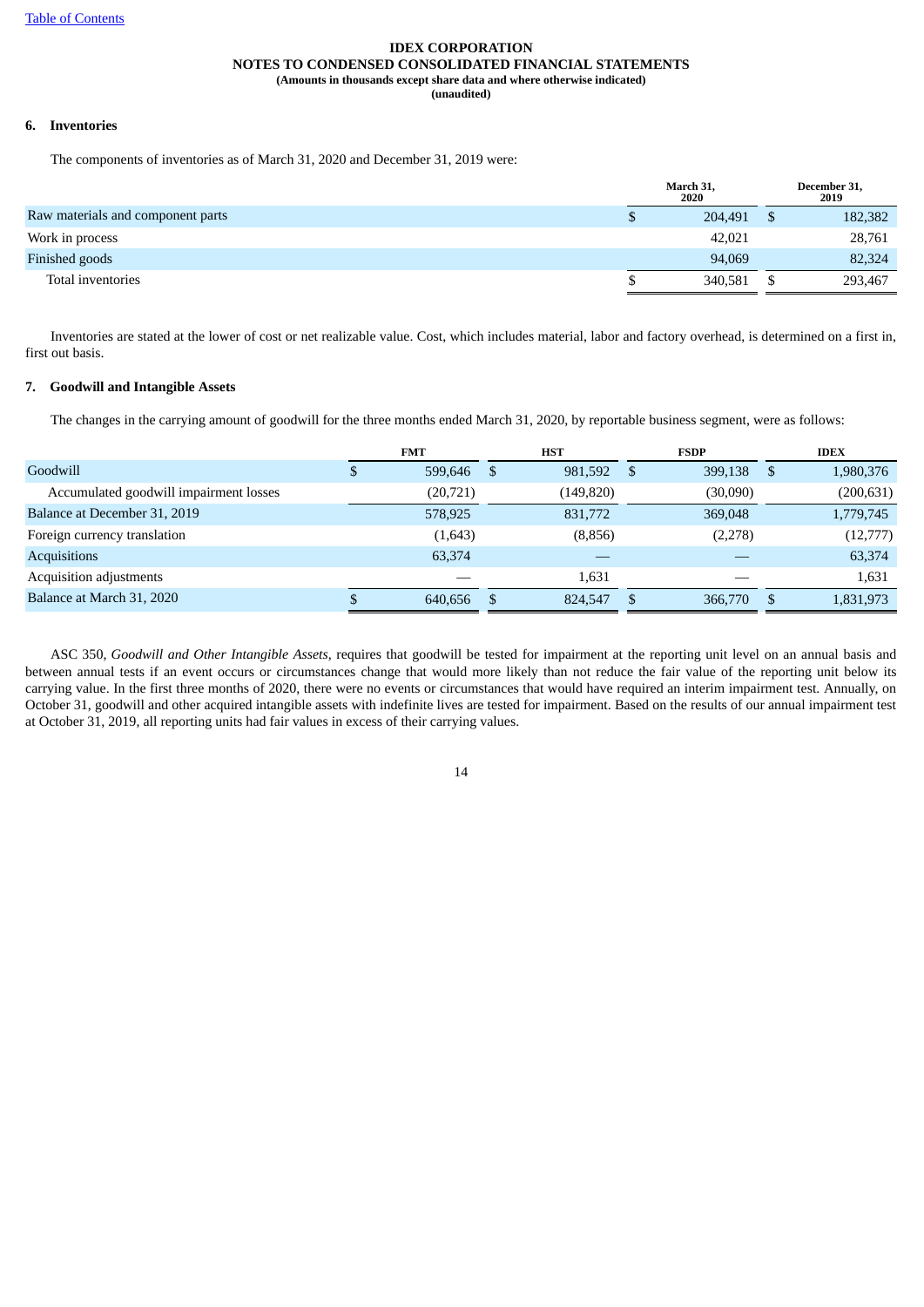**(unaudited)**

### **6. Inventories**

The components of inventories as of March 31, 2020 and December 31, 2019 were:

|                                   | March 31,<br>2020 | December 31,<br>2019 |
|-----------------------------------|-------------------|----------------------|
| Raw materials and component parts | 204,491           | 182,382              |
| Work in process                   | 42,021            | 28,761               |
| Finished goods                    | 94,069            | 82,324               |
| Total inventories                 | 340.581           | 293,467              |

Inventories are stated at the lower of cost or net realizable value. Cost, which includes material, labor and factory overhead, is determined on a first in, first out basis.

### **7. Goodwill and Intangible Assets**

The changes in the carrying amount of goodwill for the three months ended March 31, 2020, by reportable business segment, were as follows:

|   | <b>FMT</b> |    | <b>HST</b> |   | <b>FSDP</b> |   | <b>IDEX</b> |
|---|------------|----|------------|---|-------------|---|-------------|
| Ф | 599,646    | S  | 981,592    | S | 399,138     | S | 1,980,376   |
|   | (20,721)   |    | (149, 820) |   | (30,090)    |   | (200, 631)  |
|   | 578,925    |    | 831,772    |   | 369,048     |   | 1,779,745   |
|   | (1,643)    |    | (8,856)    |   | (2,278)     |   | (12, 777)   |
|   | 63,374     |    |            |   |             |   | 63,374      |
|   |            |    | 1.631      |   |             |   | 1.631       |
|   | 640,656    | \$ | 824.547    | S | 366,770     | S | 1,831,973   |
|   |            |    |            |   |             |   |             |

ASC 350, *Goodwill and Other Intangible Assets,* requires that goodwill be tested for impairment at the reporting unit level on an annual basis and between annual tests if an event occurs or circumstances change that would more likely than not reduce the fair value of the reporting unit below its carrying value. In the first three months of 2020, there were no events or circumstances that would have required an interim impairment test. Annually, on October 31, goodwill and other acquired intangible assets with indefinite lives are tested for impairment. Based on the results of our annual impairment test at October 31, 2019, all reporting units had fair values in excess of their carrying values.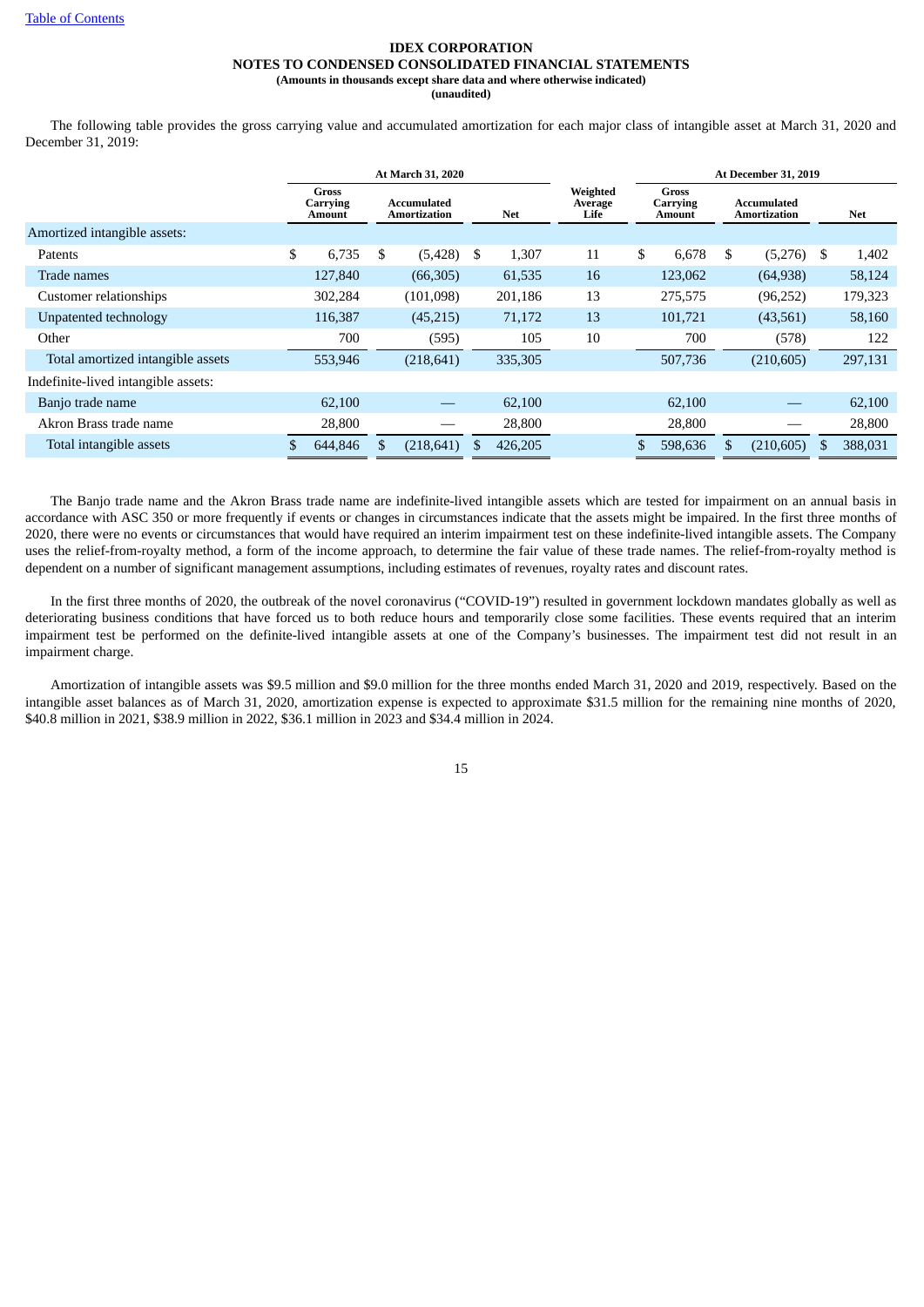The following table provides the gross carrying value and accumulated amortization for each major class of intangible asset at March 31, 2020 and December 31, 2019:

|                                     |                             |   | At March 31, 2020<br><b>At December 31, 2019</b> |      |            |                             |    |                             |    |            |    |         |  |  |  |  |  |  |  |  |  |                             |  |  |  |  |  |  |  |     |
|-------------------------------------|-----------------------------|---|--------------------------------------------------|------|------------|-----------------------------|----|-----------------------------|----|------------|----|---------|--|--|--|--|--|--|--|--|--|-----------------------------|--|--|--|--|--|--|--|-----|
|                                     | Gross<br>Carrying<br>Amount |   | Accumulated<br><b>Amortization</b>               |      | <b>Net</b> | Weighted<br>Average<br>Life |    | Gross<br>Carrying<br>Amount |    |            |    |         |  |  |  |  |  |  |  |  |  | Accumulated<br>Amortization |  |  |  |  |  |  |  | Net |
| Amortized intangible assets:        |                             |   |                                                  |      |            |                             |    |                             |    |            |    |         |  |  |  |  |  |  |  |  |  |                             |  |  |  |  |  |  |  |     |
| Patents                             | \$<br>6,735                 | S | (5, 428)                                         | - \$ | 1,307      | 11                          | \$ | 6,678                       | \$ | (5,276)    | -S | 1,402   |  |  |  |  |  |  |  |  |  |                             |  |  |  |  |  |  |  |     |
| Trade names                         | 127,840                     |   | (66,305)                                         |      | 61,535     | 16                          |    | 123,062                     |    | (64, 938)  |    | 58,124  |  |  |  |  |  |  |  |  |  |                             |  |  |  |  |  |  |  |     |
| Customer relationships              | 302,284                     |   | (101,098)                                        |      | 201,186    | 13                          |    | 275,575                     |    | (96,252)   |    | 179,323 |  |  |  |  |  |  |  |  |  |                             |  |  |  |  |  |  |  |     |
| Unpatented technology               | 116,387                     |   | (45,215)                                         |      | 71,172     | 13                          |    | 101,721                     |    | (43, 561)  |    | 58,160  |  |  |  |  |  |  |  |  |  |                             |  |  |  |  |  |  |  |     |
| Other                               | 700                         |   | (595)                                            |      | 105        | 10                          |    | 700                         |    | (578)      |    | 122     |  |  |  |  |  |  |  |  |  |                             |  |  |  |  |  |  |  |     |
| Total amortized intangible assets   | 553,946                     |   | (218, 641)                                       |      | 335,305    |                             |    | 507,736                     |    | (210, 605) |    | 297,131 |  |  |  |  |  |  |  |  |  |                             |  |  |  |  |  |  |  |     |
| Indefinite-lived intangible assets: |                             |   |                                                  |      |            |                             |    |                             |    |            |    |         |  |  |  |  |  |  |  |  |  |                             |  |  |  |  |  |  |  |     |
| Banjo trade name                    | 62,100                      |   |                                                  |      | 62,100     |                             |    | 62,100                      |    |            |    | 62,100  |  |  |  |  |  |  |  |  |  |                             |  |  |  |  |  |  |  |     |
| Akron Brass trade name              | 28,800                      |   |                                                  |      | 28,800     |                             |    | 28,800                      |    |            |    | 28,800  |  |  |  |  |  |  |  |  |  |                             |  |  |  |  |  |  |  |     |
| Total intangible assets             | 644,846                     |   | (218, 641)                                       |      | 426,205    |                             | \$ | 598,636                     |    | (210, 605) |    | 388,031 |  |  |  |  |  |  |  |  |  |                             |  |  |  |  |  |  |  |     |

The Banjo trade name and the Akron Brass trade name are indefinite-lived intangible assets which are tested for impairment on an annual basis in accordance with ASC 350 or more frequently if events or changes in circumstances indicate that the assets might be impaired. In the first three months of 2020, there were no events or circumstances that would have required an interim impairment test on these indefinite-lived intangible assets. The Company uses the relief-from-royalty method, a form of the income approach, to determine the fair value of these trade names. The relief-from-royalty method is dependent on a number of significant management assumptions, including estimates of revenues, royalty rates and discount rates.

In the first three months of 2020, the outbreak of the novel coronavirus ("COVID-19") resulted in government lockdown mandates globally as well as deteriorating business conditions that have forced us to both reduce hours and temporarily close some facilities. These events required that an interim impairment test be performed on the definite-lived intangible assets at one of the Company's businesses. The impairment test did not result in an impairment charge.

Amortization of intangible assets was \$9.5 million and \$9.0 million for the three months ended March 31, 2020 and 2019, respectively. Based on the intangible asset balances as of March 31, 2020, amortization expense is expected to approximate \$31.5 million for the remaining nine months of 2020, \$40.8 million in 2021, \$38.9 million in 2022, \$36.1 million in 2023 and \$34.4 million in 2024.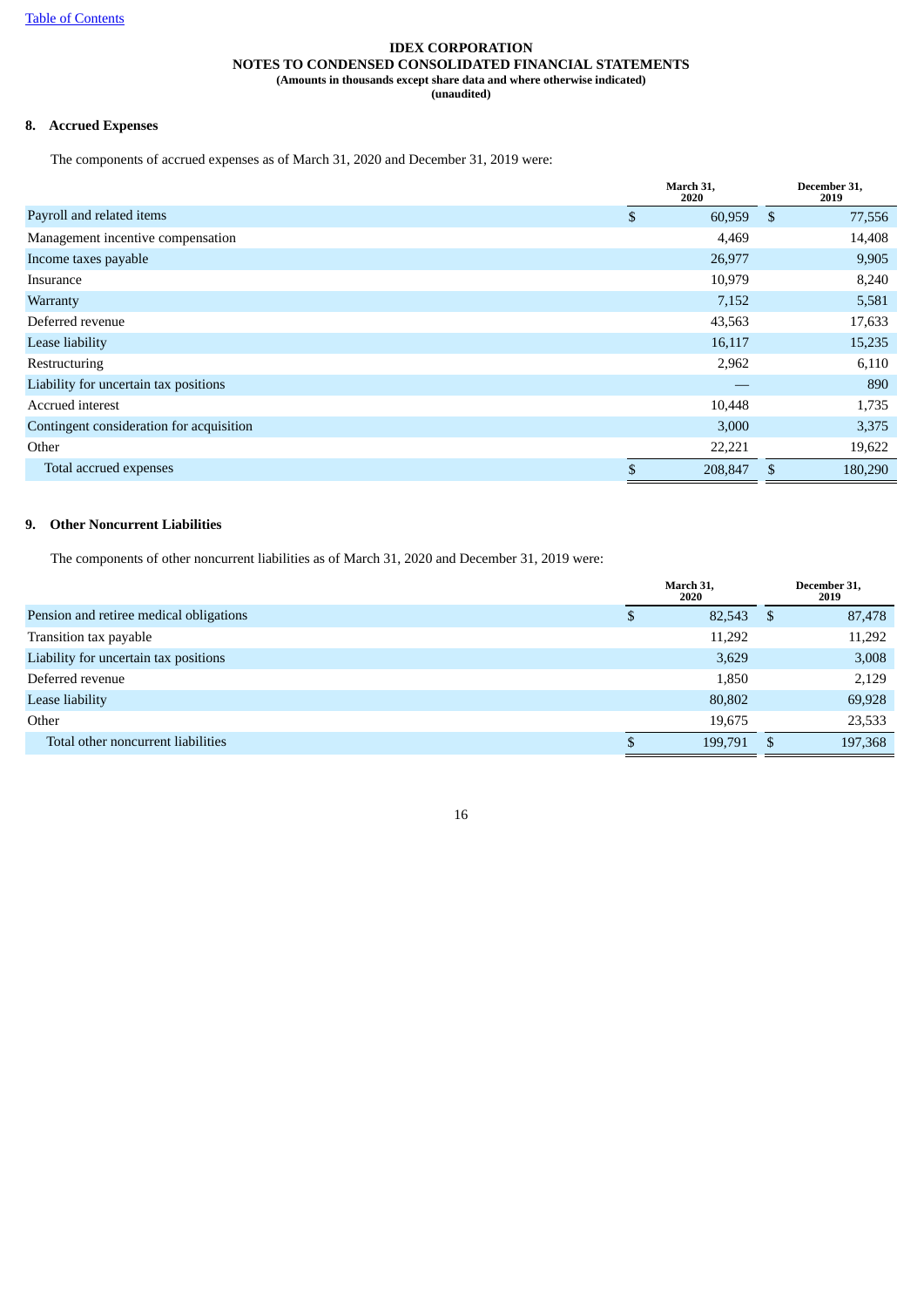### **8. Accrued Expenses**

The components of accrued expenses as of March 31, 2020 and December 31, 2019 were:

|                                          | March 31,<br>2020 |         | December 31,<br>2019 |
|------------------------------------------|-------------------|---------|----------------------|
| Payroll and related items                | \$                | 60,959  | \$<br>77,556         |
| Management incentive compensation        |                   | 4,469   | 14,408               |
| Income taxes payable                     |                   | 26,977  | 9,905                |
| Insurance                                |                   | 10,979  | 8,240                |
| <b>Warranty</b>                          |                   | 7,152   | 5,581                |
| Deferred revenue                         |                   | 43,563  | 17,633               |
| Lease liability                          |                   | 16,117  | 15,235               |
| Restructuring                            |                   | 2,962   | 6,110                |
| Liability for uncertain tax positions    |                   |         | 890                  |
| Accrued interest                         |                   | 10,448  | 1,735                |
| Contingent consideration for acquisition |                   | 3,000   | 3,375                |
| Other                                    |                   | 22,221  | 19,622               |
| Total accrued expenses                   |                   | 208,847 | \$<br>180,290        |

### **9. Other Noncurrent Liabilities**

The components of other noncurrent liabilities as of March 31, 2020 and December 31, 2019 were:

|                                         | March 31,<br>2020 |         | December 31,<br>2019 |         |
|-----------------------------------------|-------------------|---------|----------------------|---------|
| Pension and retiree medical obligations | D                 | 82,543  | - \$                 | 87,478  |
| Transition tax payable                  |                   | 11,292  |                      | 11,292  |
| Liability for uncertain tax positions   |                   | 3,629   |                      | 3,008   |
| Deferred revenue                        |                   | 1,850   |                      | 2,129   |
| Lease liability                         |                   | 80,802  |                      | 69,928  |
| Other                                   |                   | 19.675  |                      | 23,533  |
| Total other noncurrent liabilities      |                   | 199.791 |                      | 197,368 |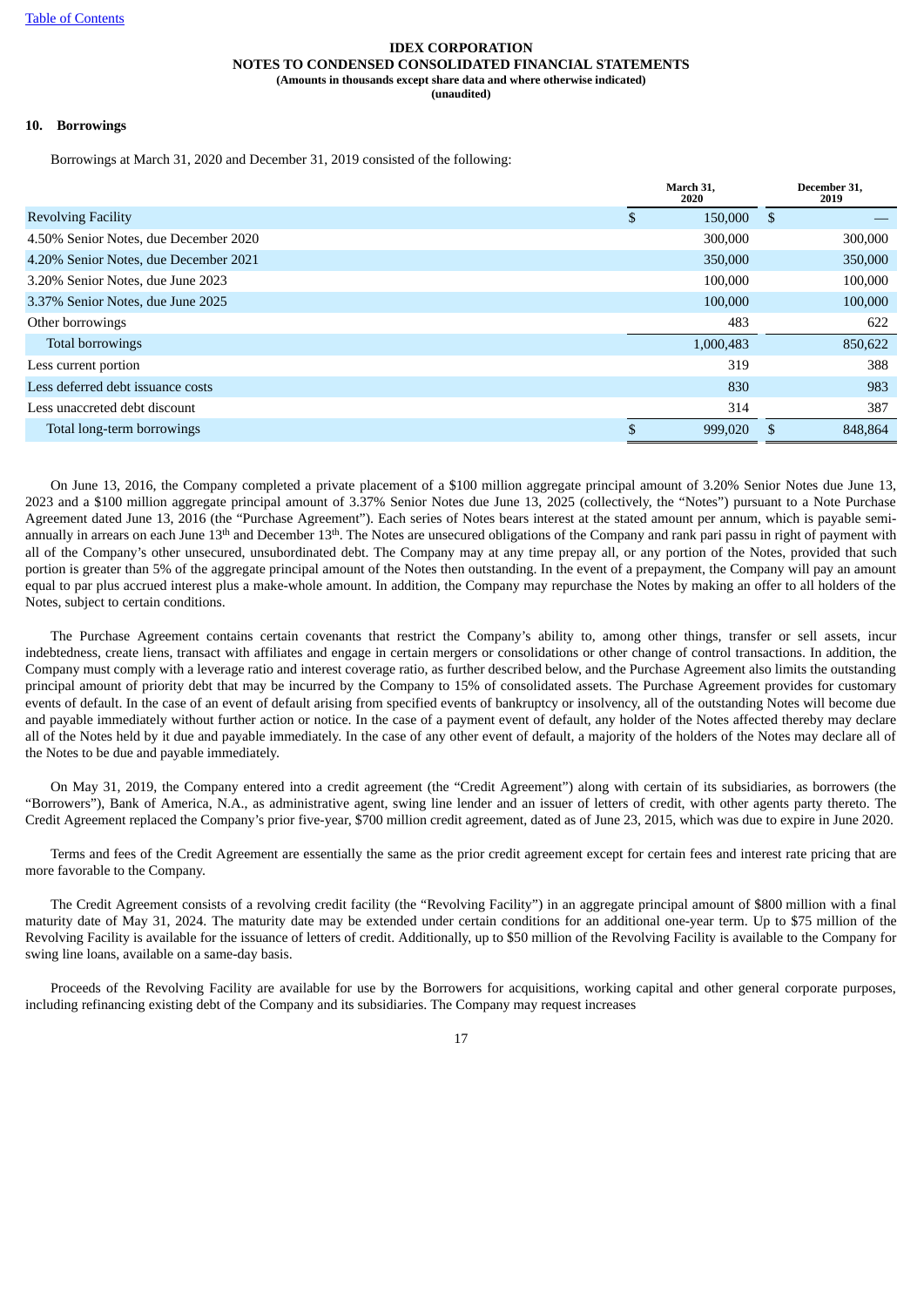**(unaudited)**

### **10. Borrowings**

Borrowings at March 31, 2020 and December 31, 2019 consisted of the following:

|                                       | March 31,<br>2020 |           |               | December 31,<br>2019 |
|---------------------------------------|-------------------|-----------|---------------|----------------------|
| <b>Revolving Facility</b>             | \$                | 150,000   | <sup>\$</sup> |                      |
| 4.50% Senior Notes, due December 2020 |                   | 300,000   |               | 300,000              |
| 4.20% Senior Notes, due December 2021 |                   | 350,000   |               | 350,000              |
| 3.20% Senior Notes, due June 2023     |                   | 100,000   |               | 100,000              |
| 3.37% Senior Notes, due June 2025     |                   | 100,000   |               | 100,000              |
| Other borrowings                      |                   | 483       |               | 622                  |
| Total borrowings                      |                   | 1,000,483 |               | 850,622              |
| Less current portion                  |                   | 319       |               | 388                  |
| Less deferred debt issuance costs     |                   | 830       |               | 983                  |
| Less unaccreted debt discount         |                   | 314       |               | 387                  |
| Total long-term borrowings            |                   | 999,020   |               | 848,864              |

On June 13, 2016, the Company completed a private placement of a \$100 million aggregate principal amount of 3.20% Senior Notes due June 13, 2023 and a \$100 million aggregate principal amount of 3.37% Senior Notes due June 13, 2025 (collectively, the "Notes") pursuant to a Note Purchase Agreement dated June 13, 2016 (the "Purchase Agreement"). Each series of Notes bears interest at the stated amount per annum, which is payable semiannually in arrears on each June 13<sup>th</sup> and December 13<sup>th</sup>. The Notes are unsecured obligations of the Company and rank pari passu in right of payment with all of the Company's other unsecured, unsubordinated debt. The Company may at any time prepay all, or any portion of the Notes, provided that such portion is greater than 5% of the aggregate principal amount of the Notes then outstanding. In the event of a prepayment, the Company will pay an amount equal to par plus accrued interest plus a make-whole amount. In addition, the Company may repurchase the Notes by making an offer to all holders of the Notes, subject to certain conditions.

The Purchase Agreement contains certain covenants that restrict the Company's ability to, among other things, transfer or sell assets, incur indebtedness, create liens, transact with affiliates and engage in certain mergers or consolidations or other change of control transactions. In addition, the Company must comply with a leverage ratio and interest coverage ratio, as further described below, and the Purchase Agreement also limits the outstanding principal amount of priority debt that may be incurred by the Company to 15% of consolidated assets. The Purchase Agreement provides for customary events of default. In the case of an event of default arising from specified events of bankruptcy or insolvency, all of the outstanding Notes will become due and payable immediately without further action or notice. In the case of a payment event of default, any holder of the Notes affected thereby may declare all of the Notes held by it due and payable immediately. In the case of any other event of default, a majority of the holders of the Notes may declare all of the Notes to be due and payable immediately.

On May 31, 2019, the Company entered into a credit agreement (the "Credit Agreement") along with certain of its subsidiaries, as borrowers (the "Borrowers"), Bank of America, N.A., as administrative agent, swing line lender and an issuer of letters of credit, with other agents party thereto. The Credit Agreement replaced the Company's prior five-year, \$700 million credit agreement, dated as of June 23, 2015, which was due to expire in June 2020.

Terms and fees of the Credit Agreement are essentially the same as the prior credit agreement except for certain fees and interest rate pricing that are more favorable to the Company.

The Credit Agreement consists of a revolving credit facility (the "Revolving Facility") in an aggregate principal amount of \$800 million with a final maturity date of May 31, 2024. The maturity date may be extended under certain conditions for an additional one-year term. Up to \$75 million of the Revolving Facility is available for the issuance of letters of credit. Additionally, up to \$50 million of the Revolving Facility is available to the Company for swing line loans, available on a same-day basis.

Proceeds of the Revolving Facility are available for use by the Borrowers for acquisitions, working capital and other general corporate purposes, including refinancing existing debt of the Company and its subsidiaries. The Company may request increases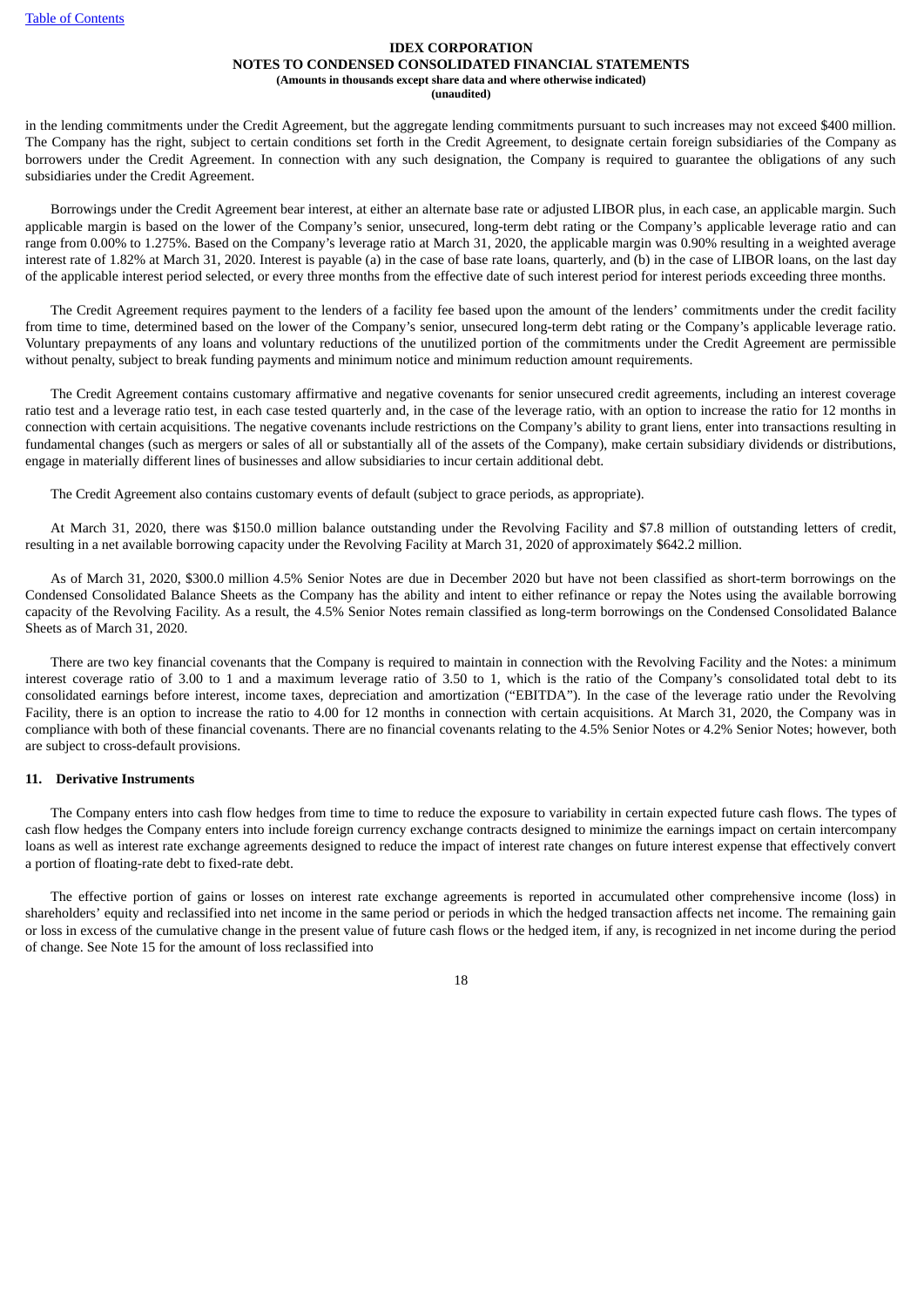in the lending commitments under the Credit Agreement, but the aggregate lending commitments pursuant to such increases may not exceed \$400 million. The Company has the right, subject to certain conditions set forth in the Credit Agreement, to designate certain foreign subsidiaries of the Company as borrowers under the Credit Agreement. In connection with any such designation, the Company is required to guarantee the obligations of any such subsidiaries under the Credit Agreement.

Borrowings under the Credit Agreement bear interest, at either an alternate base rate or adjusted LIBOR plus, in each case, an applicable margin. Such applicable margin is based on the lower of the Company's senior, unsecured, long-term debt rating or the Company's applicable leverage ratio and can range from 0.00% to 1.275%. Based on the Company's leverage ratio at March 31, 2020, the applicable margin was 0.90% resulting in a weighted average interest rate of 1.82% at March 31, 2020. Interest is payable (a) in the case of base rate loans, quarterly, and (b) in the case of LIBOR loans, on the last day of the applicable interest period selected, or every three months from the effective date of such interest period for interest periods exceeding three months.

The Credit Agreement requires payment to the lenders of a facility fee based upon the amount of the lenders' commitments under the credit facility from time to time, determined based on the lower of the Company's senior, unsecured long-term debt rating or the Company's applicable leverage ratio. Voluntary prepayments of any loans and voluntary reductions of the unutilized portion of the commitments under the Credit Agreement are permissible without penalty, subject to break funding payments and minimum notice and minimum reduction amount requirements.

The Credit Agreement contains customary affirmative and negative covenants for senior unsecured credit agreements, including an interest coverage ratio test and a leverage ratio test, in each case tested quarterly and, in the case of the leverage ratio, with an option to increase the ratio for 12 months in connection with certain acquisitions. The negative covenants include restrictions on the Company's ability to grant liens, enter into transactions resulting in fundamental changes (such as mergers or sales of all or substantially all of the assets of the Company), make certain subsidiary dividends or distributions, engage in materially different lines of businesses and allow subsidiaries to incur certain additional debt.

The Credit Agreement also contains customary events of default (subject to grace periods, as appropriate).

At March 31, 2020, there was \$150.0 million balance outstanding under the Revolving Facility and \$7.8 million of outstanding letters of credit, resulting in a net available borrowing capacity under the Revolving Facility at March 31, 2020 of approximately \$642.2 million.

As of March 31, 2020, \$300.0 million 4.5% Senior Notes are due in December 2020 but have not been classified as short-term borrowings on the Condensed Consolidated Balance Sheets as the Company has the ability and intent to either refinance or repay the Notes using the available borrowing capacity of the Revolving Facility. As a result, the 4.5% Senior Notes remain classified as long-term borrowings on the Condensed Consolidated Balance Sheets as of March 31, 2020.

There are two key financial covenants that the Company is required to maintain in connection with the Revolving Facility and the Notes: a minimum interest coverage ratio of 3.00 to 1 and a maximum leverage ratio of 3.50 to 1, which is the ratio of the Company's consolidated total debt to its consolidated earnings before interest, income taxes, depreciation and amortization ("EBITDA"). In the case of the leverage ratio under the Revolving Facility, there is an option to increase the ratio to 4.00 for 12 months in connection with certain acquisitions. At March 31, 2020, the Company was in compliance with both of these financial covenants. There are no financial covenants relating to the 4.5% Senior Notes or 4.2% Senior Notes; however, both are subject to cross-default provisions.

#### **11. Derivative Instruments**

The Company enters into cash flow hedges from time to time to reduce the exposure to variability in certain expected future cash flows. The types of cash flow hedges the Company enters into include foreign currency exchange contracts designed to minimize the earnings impact on certain intercompany loans as well as interest rate exchange agreements designed to reduce the impact of interest rate changes on future interest expense that effectively convert a portion of floating-rate debt to fixed-rate debt.

The effective portion of gains or losses on interest rate exchange agreements is reported in accumulated other comprehensive income (loss) in shareholders' equity and reclassified into net income in the same period or periods in which the hedged transaction affects net income. The remaining gain or loss in excess of the cumulative change in the present value of future cash flows or the hedged item, if any, is recognized in net income during the period of change. See Note 15 for the amount of loss reclassified into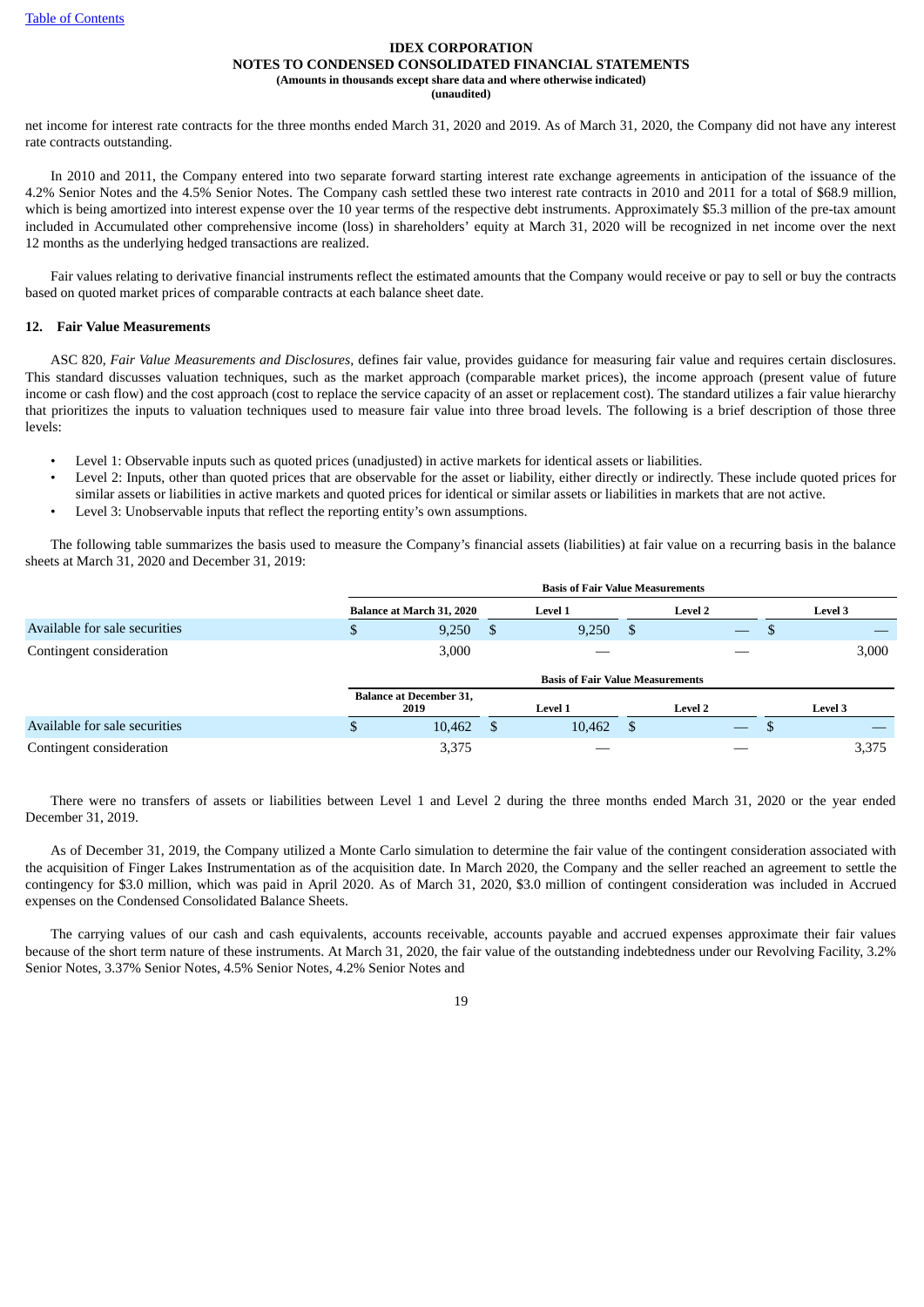**(unaudited)**

net income for interest rate contracts for the three months ended March 31, 2020 and 2019. As of March 31, 2020, the Company did not have any interest rate contracts outstanding.

In 2010 and 2011, the Company entered into two separate forward starting interest rate exchange agreements in anticipation of the issuance of the 4.2% Senior Notes and the 4.5% Senior Notes. The Company cash settled these two interest rate contracts in 2010 and 2011 for a total of \$68.9 million, which is being amortized into interest expense over the 10 year terms of the respective debt instruments. Approximately \$5.3 million of the pre-tax amount included in Accumulated other comprehensive income (loss) in shareholders' equity at March 31, 2020 will be recognized in net income over the next 12 months as the underlying hedged transactions are realized.

Fair values relating to derivative financial instruments reflect the estimated amounts that the Company would receive or pay to sell or buy the contracts based on quoted market prices of comparable contracts at each balance sheet date.

#### **12. Fair Value Measurements**

ASC 820, *Fair Value Measurements and Disclosures,* defines fair value, provides guidance for measuring fair value and requires certain disclosures. This standard discusses valuation techniques, such as the market approach (comparable market prices), the income approach (present value of future income or cash flow) and the cost approach (cost to replace the service capacity of an asset or replacement cost). The standard utilizes a fair value hierarchy that prioritizes the inputs to valuation techniques used to measure fair value into three broad levels. The following is a brief description of those three levels:

- Level 1: Observable inputs such as quoted prices (unadjusted) in active markets for identical assets or liabilities.
- Level 2: Inputs, other than quoted prices that are observable for the asset or liability, either directly or indirectly. These include quoted prices for
- similar assets or liabilities in active markets and quoted prices for identical or similar assets or liabilities in markets that are not active.
- Level 3: Unobservable inputs that reflect the reporting entity's own assumptions.

The following table summarizes the basis used to measure the Company's financial assets (liabilities) at fair value on a recurring basis in the balance sheets at March 31, 2020 and December 31, 2019:

|                               | <b>Basis of Fair Value Measurements</b> |                                         |               |                |     |                |    |                |
|-------------------------------|-----------------------------------------|-----------------------------------------|---------------|----------------|-----|----------------|----|----------------|
|                               |                                         | <b>Balance at March 31, 2020</b>        |               | Level 1        |     | <b>Level 2</b> |    | <b>Level 3</b> |
| Available for sale securities |                                         | 9,250                                   | -S            | 9,250          | - S |                | D  |                |
| Contingent consideration      |                                         | 3,000                                   |               |                |     |                |    | 3,000          |
|                               |                                         | <b>Basis of Fair Value Measurements</b> |               |                |     |                |    |                |
|                               |                                         | <b>Balance at December 31,</b><br>2019  |               | <b>Level 1</b> |     | <b>Level 2</b> |    | Level 3        |
| Available for sale securities | \$                                      | 10,462                                  | <sup>\$</sup> | 10,462         | -S  | $-$            | S. |                |
| Contingent consideration      |                                         | 3,375                                   |               |                |     |                |    | 3,375          |

There were no transfers of assets or liabilities between Level 1 and Level 2 during the three months ended March 31, 2020 or the year ended December 31, 2019.

As of December 31, 2019, the Company utilized a Monte Carlo simulation to determine the fair value of the contingent consideration associated with the acquisition of Finger Lakes Instrumentation as of the acquisition date. In March 2020, the Company and the seller reached an agreement to settle the contingency for \$3.0 million, which was paid in April 2020. As of March 31, 2020, \$3.0 million of contingent consideration was included in Accrued expenses on the Condensed Consolidated Balance Sheets.

The carrying values of our cash and cash equivalents, accounts receivable, accounts payable and accrued expenses approximate their fair values because of the short term nature of these instruments. At March 31, 2020, the fair value of the outstanding indebtedness under our Revolving Facility, 3.2% Senior Notes, 3.37% Senior Notes, 4.5% Senior Notes, 4.2% Senior Notes and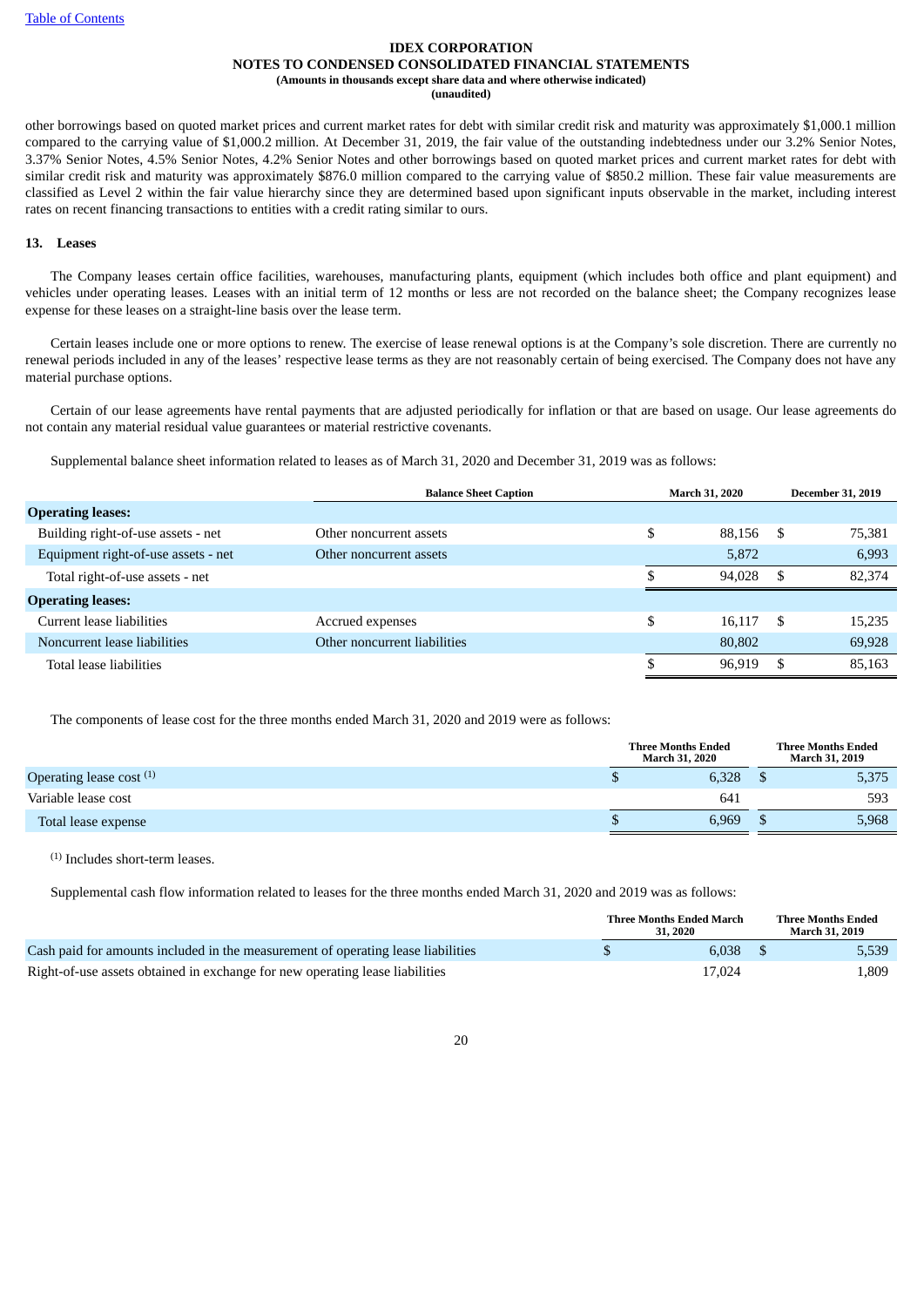other borrowings based on quoted market prices and current market rates for debt with similar credit risk and maturity was approximately \$1,000.1 million compared to the carrying value of \$1,000.2 million. At December 31, 2019, the fair value of the outstanding indebtedness under our 3.2% Senior Notes, 3.37% Senior Notes, 4.5% Senior Notes, 4.2% Senior Notes and other borrowings based on quoted market prices and current market rates for debt with similar credit risk and maturity was approximately \$876.0 million compared to the carrying value of \$850.2 million. These fair value measurements are classified as Level 2 within the fair value hierarchy since they are determined based upon significant inputs observable in the market, including interest rates on recent financing transactions to entities with a credit rating similar to ours.

#### **13. Leases**

The Company leases certain office facilities, warehouses, manufacturing plants, equipment (which includes both office and plant equipment) and vehicles under operating leases. Leases with an initial term of 12 months or less are not recorded on the balance sheet; the Company recognizes lease expense for these leases on a straight-line basis over the lease term.

Certain leases include one or more options to renew. The exercise of lease renewal options is at the Company's sole discretion. There are currently no renewal periods included in any of the leases' respective lease terms as they are not reasonably certain of being exercised. The Company does not have any material purchase options.

Certain of our lease agreements have rental payments that are adjusted periodically for inflation or that are based on usage. Our lease agreements do not contain any material residual value guarantees or material restrictive covenants.

Supplemental balance sheet information related to leases as of March 31, 2020 and December 31, 2019 was as follows:

|                                     | <b>Balance Sheet Caption</b> |    | <b>March 31, 2020</b> |     | <b>December 31, 2019</b> |
|-------------------------------------|------------------------------|----|-----------------------|-----|--------------------------|
| <b>Operating leases:</b>            |                              |    |                       |     |                          |
| Building right-of-use assets - net  | Other noncurrent assets      | \$ | 88,156                | - S | 75,381                   |
| Equipment right-of-use assets - net | Other noncurrent assets      |    | 5,872                 |     | 6,993                    |
| Total right-of-use assets - net     |                              |    | 94.028                | -S  | 82,374                   |
| <b>Operating leases:</b>            |                              |    |                       |     |                          |
| Current lease liabilities           | Accrued expenses             | \$ | 16.117                | - S | 15,235                   |
| Noncurrent lease liabilities        | Other noncurrent liabilities |    | 80,802                |     | 69,928                   |
| Total lease liabilities             |                              |    | 96,919                |     | 85,163                   |

The components of lease cost for the three months ended March 31, 2020 and 2019 were as follows:

|                          | <b>Three Months Ended</b><br><b>March 31, 2020</b> | <b>Three Months Ended</b><br><b>March 31, 2019</b> |  |
|--------------------------|----------------------------------------------------|----------------------------------------------------|--|
| Operating lease cost (1) | 6,328                                              | 5,375                                              |  |
| Variable lease cost      | 641                                                | 593                                                |  |
| Total lease expense      | 6,969                                              | 5,968                                              |  |

(1) Includes short-term leases.

Supplemental cash flow information related to leases for the three months ended March 31, 2020 and 2019 was as follows:

|                                                                                  | Three Months Ended March<br>31, 2020 |        |  | <b>Three Months Ended</b><br>March 31, 2019 |  |  |
|----------------------------------------------------------------------------------|--------------------------------------|--------|--|---------------------------------------------|--|--|
| Cash paid for amounts included in the measurement of operating lease liabilities |                                      | 6.038  |  | 5.539                                       |  |  |
| Right-of-use assets obtained in exchange for new operating lease liabilities     |                                      | 17,024 |  | 1,809                                       |  |  |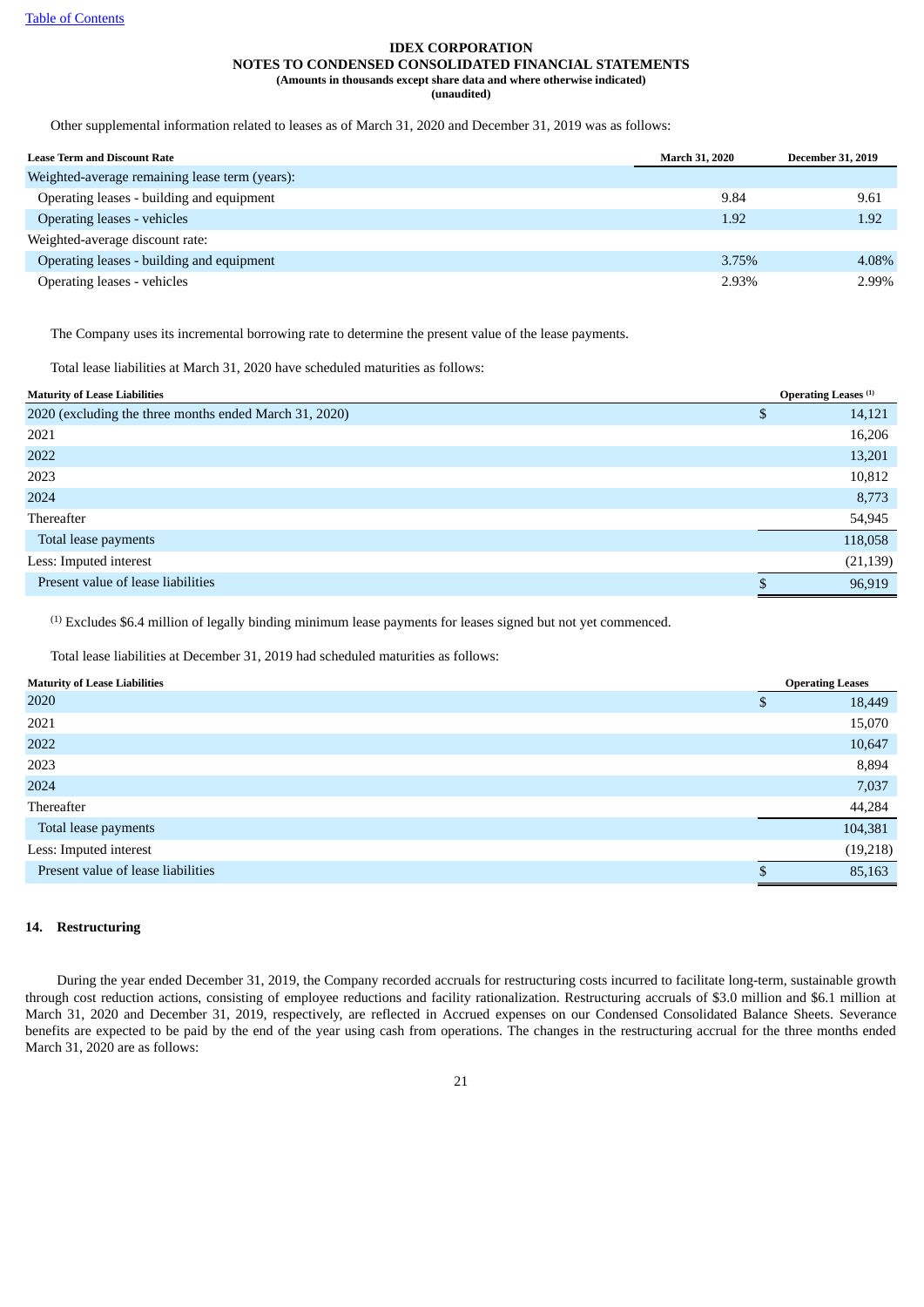**(unaudited)**

Other supplemental information related to leases as of March 31, 2020 and December 31, 2019 was as follows:

| <b>Lease Term and Discount Rate</b>            | March 31, 2020 | <b>December 31, 2019</b> |
|------------------------------------------------|----------------|--------------------------|
| Weighted-average remaining lease term (years): |                |                          |
| Operating leases - building and equipment      | 9.84           | 9.61                     |
| Operating leases - vehicles                    | 1.92           | 1.92                     |
| Weighted-average discount rate:                |                |                          |
| Operating leases - building and equipment      | 3.75%          | 4.08%                    |
| Operating leases - vehicles                    | 2.93%          | 2.99%                    |

The Company uses its incremental borrowing rate to determine the present value of the lease payments.

Total lease liabilities at March 31, 2020 have scheduled maturities as follows:

| <b>Maturity of Lease Liabilities</b>                        | <b>Operating Leases</b> (1) |
|-------------------------------------------------------------|-----------------------------|
| 2020 (excluding the three months ended March 31, 2020)<br>D | 14,121                      |
| 2021                                                        | 16,206                      |
| 2022                                                        | 13,201                      |
| 2023                                                        | 10,812                      |
| 2024                                                        | 8,773                       |
| Thereafter                                                  | 54,945                      |
| Total lease payments                                        | 118,058                     |
| Less: Imputed interest                                      | (21, 139)                   |
| Present value of lease liabilities                          | 96,919                      |

(1) Excludes \$6.4 million of legally binding minimum lease payments for leases signed but not yet commenced.

Total lease liabilities at December 31, 2019 had scheduled maturities as follows:

| <b>Maturity of Lease Liabilities</b> | <b>Operating Leases</b> |          |
|--------------------------------------|-------------------------|----------|
| 2020                                 | Φ                       | 18,449   |
| 2021                                 |                         | 15,070   |
| 2022                                 |                         | 10,647   |
| 2023                                 |                         | 8,894    |
| 2024                                 |                         | 7,037    |
| Thereafter                           |                         | 44,284   |
| Total lease payments                 |                         | 104,381  |
| Less: Imputed interest               |                         | (19,218) |
| Present value of lease liabilities   |                         | 85,163   |
|                                      |                         |          |

### **14. Restructuring**

During the year ended December 31, 2019, the Company recorded accruals for restructuring costs incurred to facilitate long-term, sustainable growth through cost reduction actions, consisting of employee reductions and facility rationalization. Restructuring accruals of \$3.0 million and \$6.1 million at March 31, 2020 and December 31, 2019, respectively, are reflected in Accrued expenses on our Condensed Consolidated Balance Sheets. Severance benefits are expected to be paid by the end of the year using cash from operations. The changes in the restructuring accrual for the three months ended March 31, 2020 are as follows: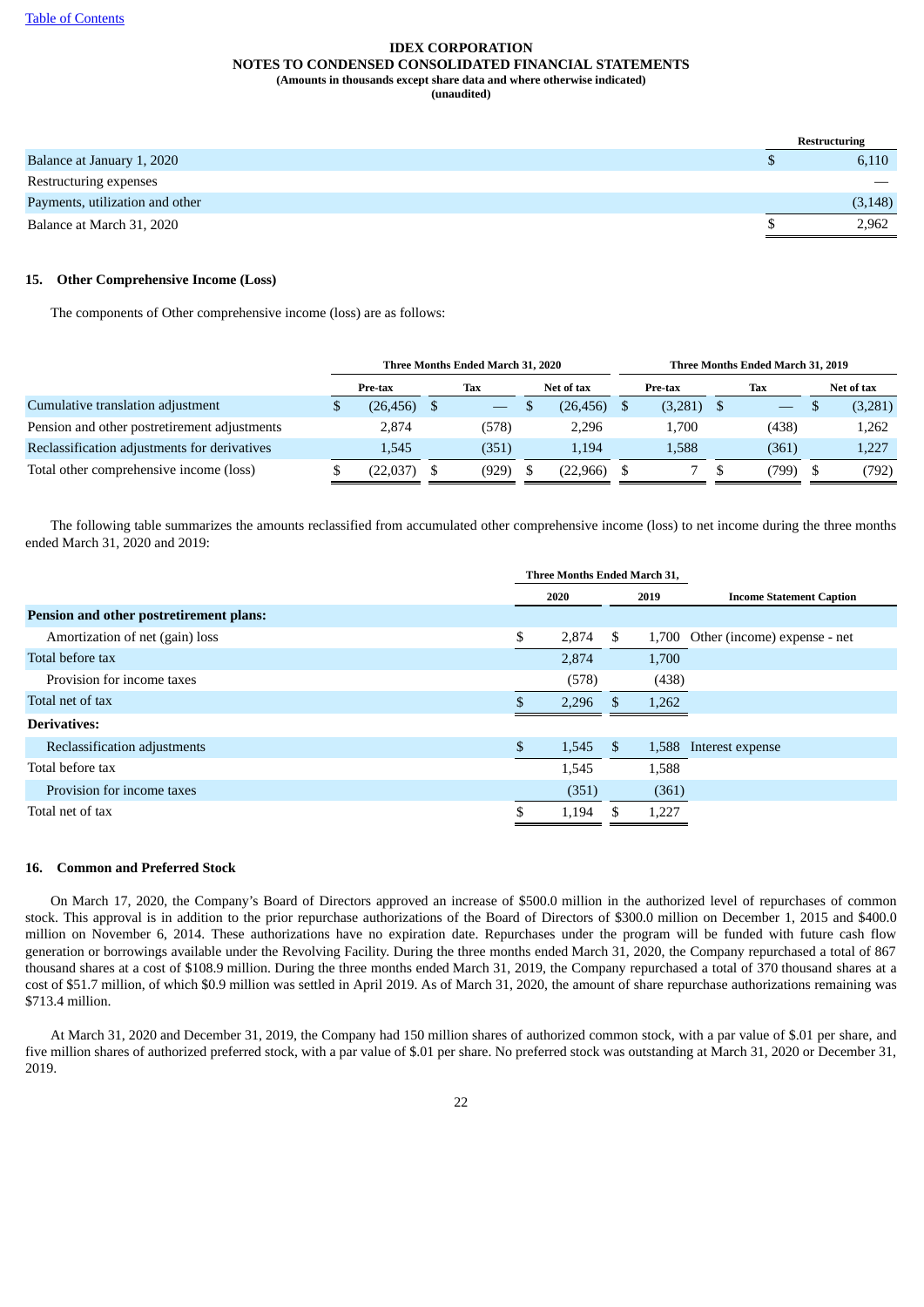**(unaudited)**

|                                 | <b>Restructuring</b> |
|---------------------------------|----------------------|
| Balance at January 1, 2020      | 6,110                |
| Restructuring expenses          |                      |
| Payments, utilization and other | (3, 148)             |
| Balance at March 31, 2020       | 2,962                |

### **15. Other Comprehensive Income (Loss)**

The components of Other comprehensive income (loss) are as follows:

|                                              | Three Months Ended March 31, 2020 |  |                   |  | Three Months Ended March 31, 2019 |  |         |  |            |  |            |
|----------------------------------------------|-----------------------------------|--|-------------------|--|-----------------------------------|--|---------|--|------------|--|------------|
|                                              | Pre-tax                           |  | Net of tax<br>Tax |  |                                   |  | Pre-tax |  | <b>Tax</b> |  | Net of tax |
| Cumulative translation adjustment            | (26, 456)                         |  |                   |  | (26, 456)                         |  | (3,281) |  |            |  | (3,281)    |
| Pension and other postretirement adjustments | 2,874                             |  | (578)             |  | 2,296                             |  | 1,700   |  | (438)      |  | 1,262      |
| Reclassification adjustments for derivatives | 1,545                             |  | (351)             |  | 1,194                             |  | 1,588   |  | (361)      |  | 1,227      |
| Total other comprehensive income (loss)      | (22,037)                          |  | (929)             |  | (22,966)                          |  |         |  | (799)      |  | (792)      |

The following table summarizes the amounts reclassified from accumulated other comprehensive income (loss) to net income during the three months ended March 31, 2020 and 2019:

|                                         | Three Months Ended March 31, |       |      |       |                                    |
|-----------------------------------------|------------------------------|-------|------|-------|------------------------------------|
|                                         |                              | 2020  | 2019 |       | <b>Income Statement Caption</b>    |
| Pension and other postretirement plans: |                              |       |      |       |                                    |
| Amortization of net (gain) loss         | \$                           | 2,874 | S    |       | 1,700 Other (income) expense - net |
| Total before tax                        |                              | 2,874 |      | 1,700 |                                    |
| Provision for income taxes              |                              | (578) |      | (438) |                                    |
| Total net of tax                        |                              | 2,296 |      | 1,262 |                                    |
| <b>Derivatives:</b>                     |                              |       |      |       |                                    |
| Reclassification adjustments            | \$                           | 1,545 | -S   |       | 1,588 Interest expense             |
| Total before tax                        |                              | 1,545 |      | 1,588 |                                    |
| Provision for income taxes              |                              | (351) |      | (361) |                                    |
| Total net of tax                        |                              | 1,194 |      | 1,227 |                                    |

#### **16. Common and Preferred Stock**

On March 17, 2020, the Company's Board of Directors approved an increase of \$500.0 million in the authorized level of repurchases of common stock. This approval is in addition to the prior repurchase authorizations of the Board of Directors of \$300.0 million on December 1, 2015 and \$400.0 million on November 6, 2014. These authorizations have no expiration date. Repurchases under the program will be funded with future cash flow generation or borrowings available under the Revolving Facility. During the three months ended March 31, 2020, the Company repurchased a total of 867 thousand shares at a cost of \$108.9 million. During the three months ended March 31, 2019, the Company repurchased a total of 370 thousand shares at a cost of \$51.7 million, of which \$0.9 million was settled in April 2019. As of March 31, 2020, the amount of share repurchase authorizations remaining was \$713.4 million.

At March 31, 2020 and December 31, 2019, the Company had 150 million shares of authorized common stock, with a par value of \$.01 per share, and five million shares of authorized preferred stock, with a par value of \$.01 per share. No preferred stock was outstanding at March 31, 2020 or December 31, 2019.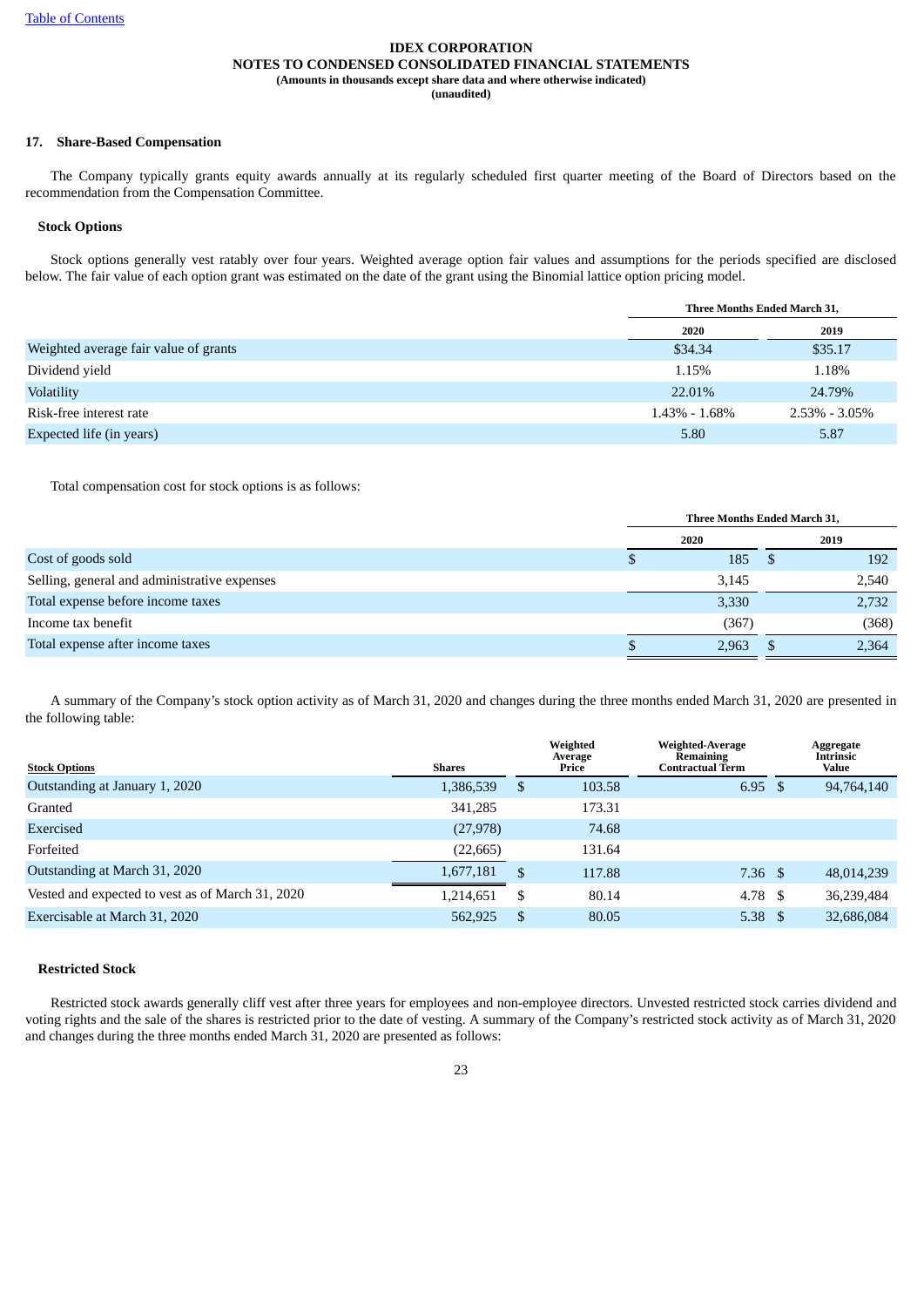**(unaudited)**

### **17. Share-Based Compensation**

The Company typically grants equity awards annually at its regularly scheduled first quarter meeting of the Board of Directors based on the recommendation from the Compensation Committee.

#### **Stock Options**

Stock options generally vest ratably over four years. Weighted average option fair values and assumptions for the periods specified are disclosed below. The fair value of each option grant was estimated on the date of the grant using the Binomial lattice option pricing model.

|                                       |                   | <b>Three Months Ended March 31.</b> |
|---------------------------------------|-------------------|-------------------------------------|
|                                       | 2020              | 2019                                |
| Weighted average fair value of grants | \$34.34           | \$35.17                             |
| Dividend yield                        | 1.15%             | 1.18%                               |
| Volatility                            | 22.01%            | 24.79%                              |
| Risk-free interest rate               | $1.43\% - 1.68\%$ | $2.53\% - 3.05\%$                   |
| Expected life (in years)              | 5.80              | 5.87                                |

Total compensation cost for stock options is as follows:

|                                              | Three Months Ended March 31, |  |       |  |  |
|----------------------------------------------|------------------------------|--|-------|--|--|
|                                              | 2020                         |  | 2019  |  |  |
| Cost of goods sold                           | 185                          |  | 192   |  |  |
| Selling, general and administrative expenses | 3,145                        |  | 2,540 |  |  |
| Total expense before income taxes            | 3,330                        |  | 2,732 |  |  |
| Income tax benefit                           | (367)                        |  | (368) |  |  |
| Total expense after income taxes             | 2,963                        |  | 2,364 |  |  |

A summary of the Company's stock option activity as of March 31, 2020 and changes during the three months ended March 31, 2020 are presented in the following table:

| <b>Stock Options</b>                             | <b>Shares</b> |     | Weighted<br>Average<br>Price | <b>Weighted-Average</b><br><b>Remaining</b><br><b>Contractual Term</b> | Aggregate<br><b>Intrinsic</b><br>Value |
|--------------------------------------------------|---------------|-----|------------------------------|------------------------------------------------------------------------|----------------------------------------|
| Outstanding at January 1, 2020                   | 1,386,539     | -S  | 103.58                       | 6.95 \$                                                                | 94,764,140                             |
| Granted                                          | 341,285       |     | 173.31                       |                                                                        |                                        |
| Exercised                                        | (27, 978)     |     | 74.68                        |                                                                        |                                        |
| Forfeited                                        | (22, 665)     |     | 131.64                       |                                                                        |                                        |
| Outstanding at March 31, 2020                    | 1,677,181     | -\$ | 117.88                       | $7.36$ \$                                                              | 48,014,239                             |
| Vested and expected to vest as of March 31, 2020 | 1,214,651     | -S  | 80.14                        | 4.78 <sup>5</sup>                                                      | 36,239,484                             |
| Exercisable at March 31, 2020                    | 562,925       | S   | 80.05                        | 5.38 \$                                                                | 32,686,084                             |

### **Restricted Stock**

Restricted stock awards generally cliff vest after three years for employees and non-employee directors. Unvested restricted stock carries dividend and voting rights and the sale of the shares is restricted prior to the date of vesting. A summary of the Company's restricted stock activity as of March 31, 2020 and changes during the three months ended March 31, 2020 are presented as follows: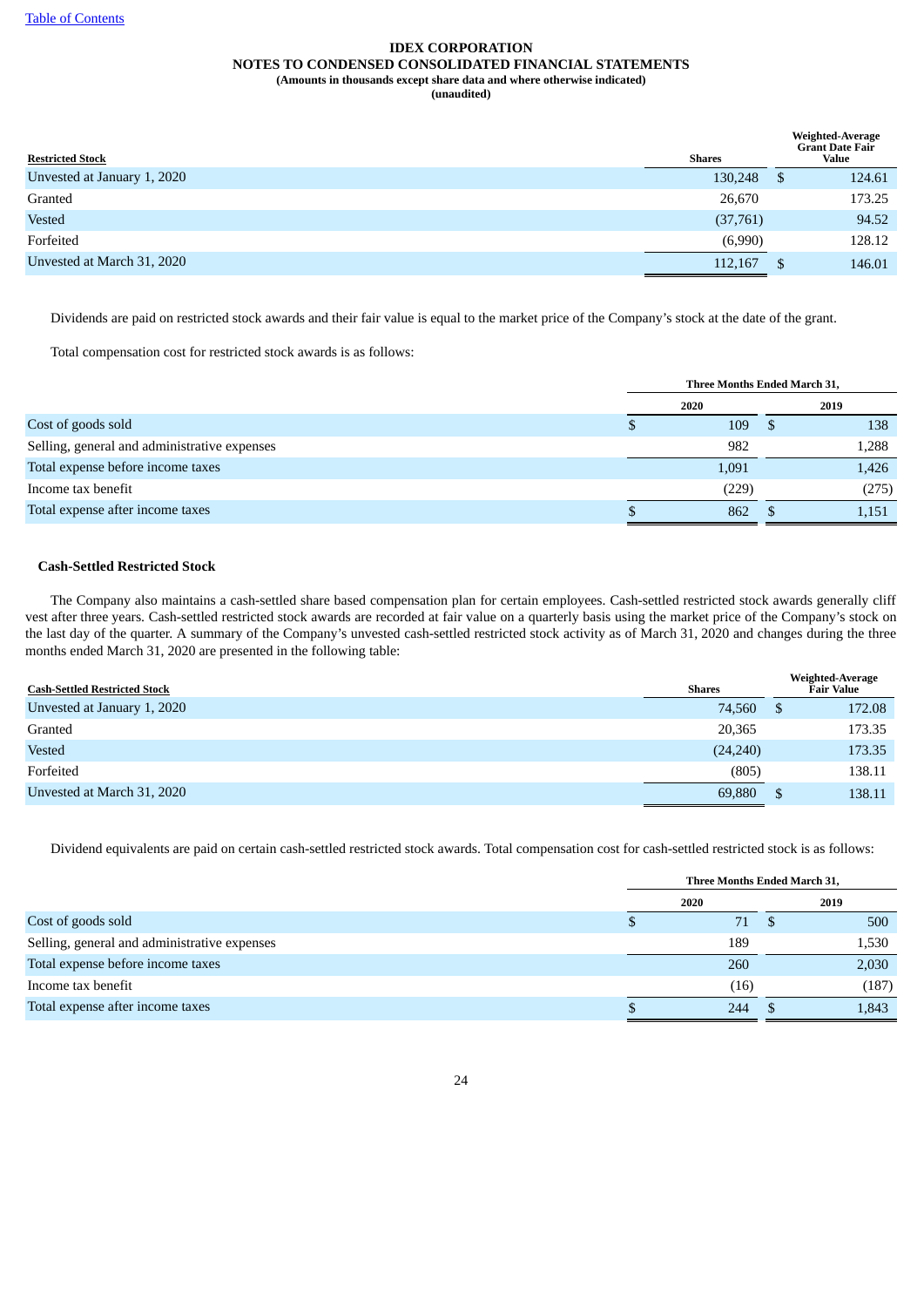**(unaudited)**

| <b>Restricted Stock</b>     | <b>Shares</b> |   | <b>Weighted-Average</b><br><b>Grant Date Fair</b><br>Value |
|-----------------------------|---------------|---|------------------------------------------------------------|
| Unvested at January 1, 2020 | 130,248       | S | 124.61                                                     |
| Granted                     | 26,670        |   | 173.25                                                     |
| <b>Vested</b>               | (37,761)      |   | 94.52                                                      |
| Forfeited                   | (6,990)       |   | 128.12                                                     |
| Unvested at March 31, 2020  | 112,167       |   | 146.01                                                     |

Dividends are paid on restricted stock awards and their fair value is equal to the market price of the Company's stock at the date of the grant.

Total compensation cost for restricted stock awards is as follows:

|                                              | Three Months Ended March 31, |  |       |  |  |
|----------------------------------------------|------------------------------|--|-------|--|--|
|                                              | 2020                         |  | 2019  |  |  |
| Cost of goods sold                           | 109                          |  | 138   |  |  |
| Selling, general and administrative expenses | 982                          |  | 1,288 |  |  |
| Total expense before income taxes            | 1,091                        |  | 1,426 |  |  |
| Income tax benefit                           | (229)                        |  | (275) |  |  |
| Total expense after income taxes             | 862                          |  | 1,151 |  |  |

#### **Cash-Settled Restricted Stock**

The Company also maintains a cash-settled share based compensation plan for certain employees. Cash-settled restricted stock awards generally cliff vest after three years. Cash-settled restricted stock awards are recorded at fair value on a quarterly basis using the market price of the Company's stock on the last day of the quarter. A summary of the Company's unvested cash-settled restricted stock activity as of March 31, 2020 and changes during the three months ended March 31, 2020 are presented in the following table:

| <b>Cash-Settled Restricted Stock</b> | <b>Shares</b> | Weighted-Average<br><b>Fair Value</b> |
|--------------------------------------|---------------|---------------------------------------|
| Unvested at January 1, 2020          | 74,560        | 172.08                                |
| Granted                              | 20,365        | 173.35                                |
| Vested                               | (24, 240)     | 173.35                                |
| Forfeited                            | (805)         | 138.11                                |
| Unvested at March 31, 2020           | 69,880        | 138.11                                |

Dividend equivalents are paid on certain cash-settled restricted stock awards. Total compensation cost for cash-settled restricted stock is as follows:

|                                              | Three Months Ended March 31, |      |  |       |
|----------------------------------------------|------------------------------|------|--|-------|
|                                              |                              | 2020 |  | 2019  |
| Cost of goods sold                           |                              | 71   |  | 500   |
| Selling, general and administrative expenses |                              | 189  |  | 1,530 |
| Total expense before income taxes            |                              | 260  |  | 2,030 |
| Income tax benefit                           |                              | (16) |  | (187) |
| Total expense after income taxes             |                              | 244  |  | 1,843 |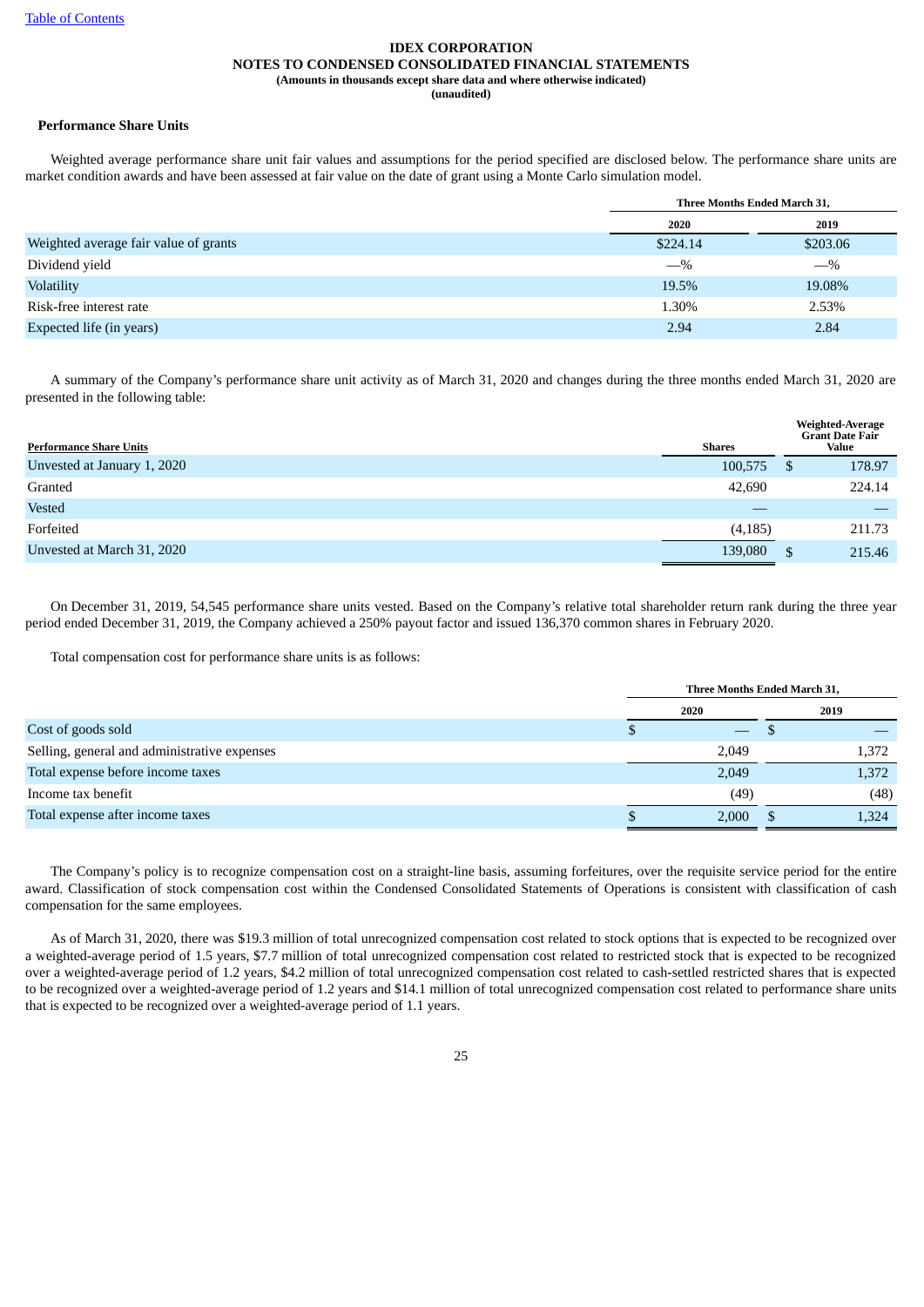**(unaudited)**

### **Performance Share Units**

Weighted average performance share unit fair values and assumptions for the period specified are disclosed below. The performance share units are market condition awards and have been assessed at fair value on the date of grant using a Monte Carlo simulation model.

|                                       |          | Three Months Ended March 31, |
|---------------------------------------|----------|------------------------------|
|                                       | 2020     | 2019                         |
| Weighted average fair value of grants | \$224.14 | \$203.06                     |
| Dividend yield                        | $-$ %    | $-$ %                        |
| <b>Volatility</b>                     | 19.5%    | 19.08%                       |
| Risk-free interest rate               | 1.30%    | 2.53%                        |
| Expected life (in years)              | 2.94     | 2.84                         |

A summary of the Company's performance share unit activity as of March 31, 2020 and changes during the three months ended March 31, 2020 are presented in the following table:

| <b>Performance Share Units</b> | Shares   |               | Weighted-Average<br><b>Grant Date Fair</b><br>Value |
|--------------------------------|----------|---------------|-----------------------------------------------------|
| Unvested at January 1, 2020    | 100,575  | S             | 178.97                                              |
| Granted                        | 42,690   |               | 224.14                                              |
| Vested                         |          |               |                                                     |
| Forfeited                      | (4, 185) |               | 211.73                                              |
| Unvested at March 31, 2020     | 139,080  | <sup>\$</sup> | 215.46                                              |

On December 31, 2019, 54,545 performance share units vested. Based on the Company's relative total shareholder return rank during the three year period ended December 31, 2019, the Company achieved a 250% payout factor and issued 136,370 common shares in February 2020.

Total compensation cost for performance share units is as follows:

|                                              | Three Months Ended March 31, |                          |   |       |  |
|----------------------------------------------|------------------------------|--------------------------|---|-------|--|
|                                              |                              | 2020                     |   | 2019  |  |
| Cost of goods sold                           |                              | $\overline{\phantom{0}}$ | ം |       |  |
| Selling, general and administrative expenses |                              | 2,049                    |   | 1,372 |  |
| Total expense before income taxes            |                              | 2,049                    |   | 1,372 |  |
| Income tax benefit                           |                              | (49)                     |   | (48)  |  |
| Total expense after income taxes             |                              | 2,000                    |   | 1,324 |  |

The Company's policy is to recognize compensation cost on a straight-line basis, assuming forfeitures, over the requisite service period for the entire award. Classification of stock compensation cost within the Condensed Consolidated Statements of Operations is consistent with classification of cash compensation for the same employees.

As of March 31, 2020, there was \$19.3 million of total unrecognized compensation cost related to stock options that is expected to be recognized over a weighted-average period of 1.5 years, \$7.7 million of total unrecognized compensation cost related to restricted stock that is expected to be recognized over a weighted-average period of 1.2 years, \$4.2 million of total unrecognized compensation cost related to cash-settled restricted shares that is expected to be recognized over a weighted-average period of 1.2 years and \$14.1 million of total unrecognized compensation cost related to performance share units that is expected to be recognized over a weighted-average period of 1.1 years.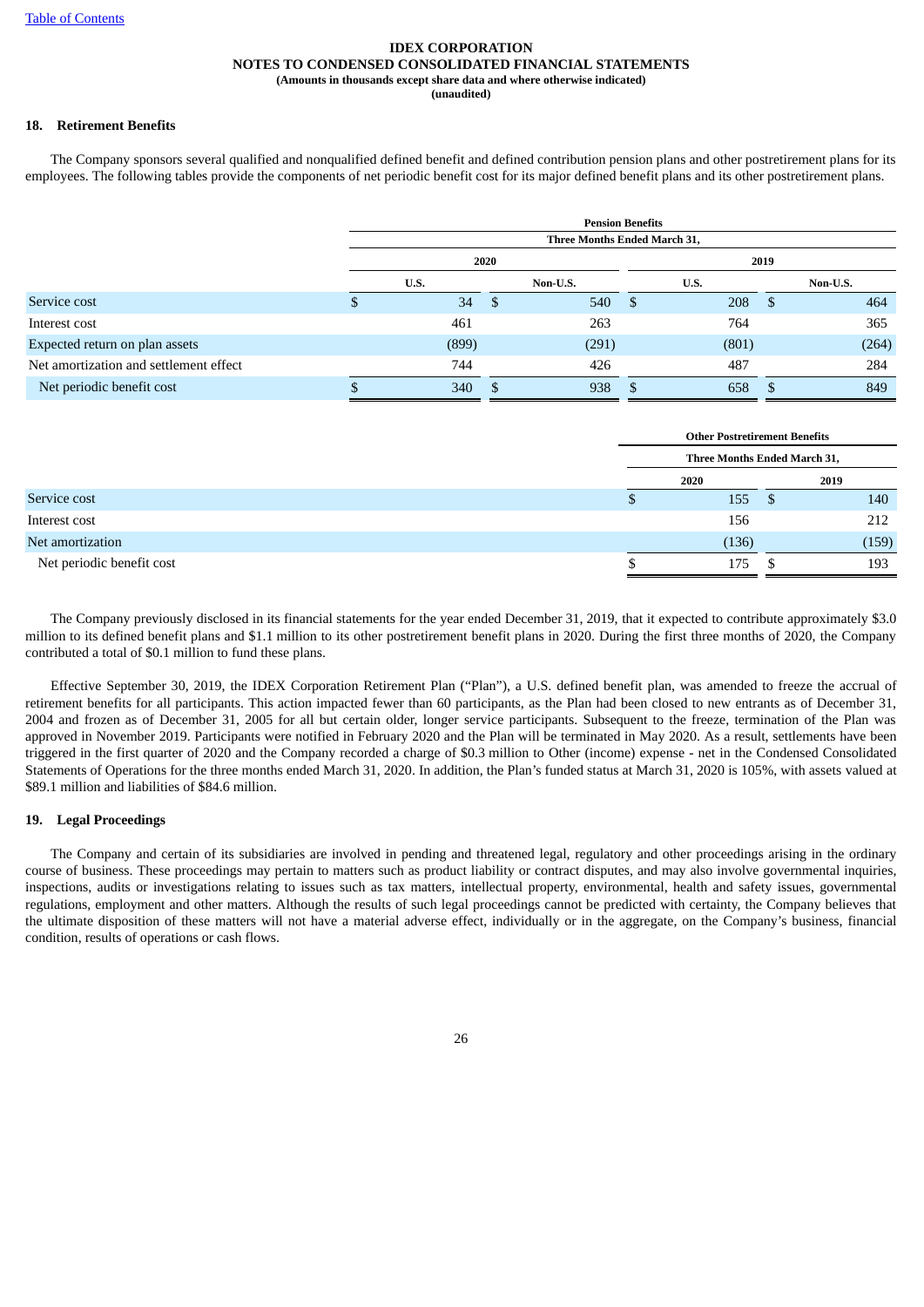**(unaudited)**

### **18. Retirement Benefits**

The Company sponsors several qualified and nonqualified defined benefit and defined contribution pension plans and other postretirement plans for its employees. The following tables provide the components of net periodic benefit cost for its major defined benefit plans and its other postretirement plans.

|                                        |   | <b>Pension Benefits</b><br>Three Months Ended March 31, |          |       |      |       |          |          |  |  |
|----------------------------------------|---|---------------------------------------------------------|----------|-------|------|-------|----------|----------|--|--|
|                                        |   | 2020<br>2019                                            |          |       |      |       |          |          |  |  |
|                                        |   | U.S.                                                    | Non-U.S. |       | U.S. |       |          | Non-U.S. |  |  |
| Service cost                           | S | 34                                                      | -5       | 540   | - S  | 208   | <b>S</b> | 464      |  |  |
| Interest cost                          |   | 461                                                     |          | 263   |      | 764   |          | 365      |  |  |
| Expected return on plan assets         |   | (899)                                                   |          | (291) |      | (801) |          | (264)    |  |  |
| Net amortization and settlement effect |   | 744                                                     |          | 426   |      | 487   |          | 284      |  |  |
| Net periodic benefit cost              |   | 340                                                     |          | 938   |      | 658   |          | 849      |  |  |

|                           | <b>Other Postretirement Benefits</b><br>Three Months Ended March 31, |       |   |       |  |  |
|---------------------------|----------------------------------------------------------------------|-------|---|-------|--|--|
|                           |                                                                      |       |   |       |  |  |
|                           | 2020                                                                 |       |   | 2019  |  |  |
| Service cost              |                                                                      | 155   | D | 140   |  |  |
| Interest cost             |                                                                      | 156   |   | 212   |  |  |
| Net amortization          |                                                                      | (136) |   | (159) |  |  |
| Net periodic benefit cost |                                                                      | 175   |   | 193   |  |  |

The Company previously disclosed in its financial statements for the year ended December 31, 2019, that it expected to contribute approximately \$3.0 million to its defined benefit plans and \$1.1 million to its other postretirement benefit plans in 2020. During the first three months of 2020, the Company contributed a total of \$0.1 million to fund these plans.

Effective September 30, 2019, the IDEX Corporation Retirement Plan ("Plan"), a U.S. defined benefit plan, was amended to freeze the accrual of retirement benefits for all participants. This action impacted fewer than 60 participants, as the Plan had been closed to new entrants as of December 31, 2004 and frozen as of December 31, 2005 for all but certain older, longer service participants. Subsequent to the freeze, termination of the Plan was approved in November 2019. Participants were notified in February 2020 and the Plan will be terminated in May 2020. As a result, settlements have been triggered in the first quarter of 2020 and the Company recorded a charge of \$0.3 million to Other (income) expense - net in the Condensed Consolidated Statements of Operations for the three months ended March 31, 2020. In addition, the Plan's funded status at March 31, 2020 is 105%, with assets valued at \$89.1 million and liabilities of \$84.6 million.

### **19. Legal Proceedings**

The Company and certain of its subsidiaries are involved in pending and threatened legal, regulatory and other proceedings arising in the ordinary course of business. These proceedings may pertain to matters such as product liability or contract disputes, and may also involve governmental inquiries, inspections, audits or investigations relating to issues such as tax matters, intellectual property, environmental, health and safety issues, governmental regulations, employment and other matters. Although the results of such legal proceedings cannot be predicted with certainty, the Company believes that the ultimate disposition of these matters will not have a material adverse effect, individually or in the aggregate, on the Company's business, financial condition, results of operations or cash flows.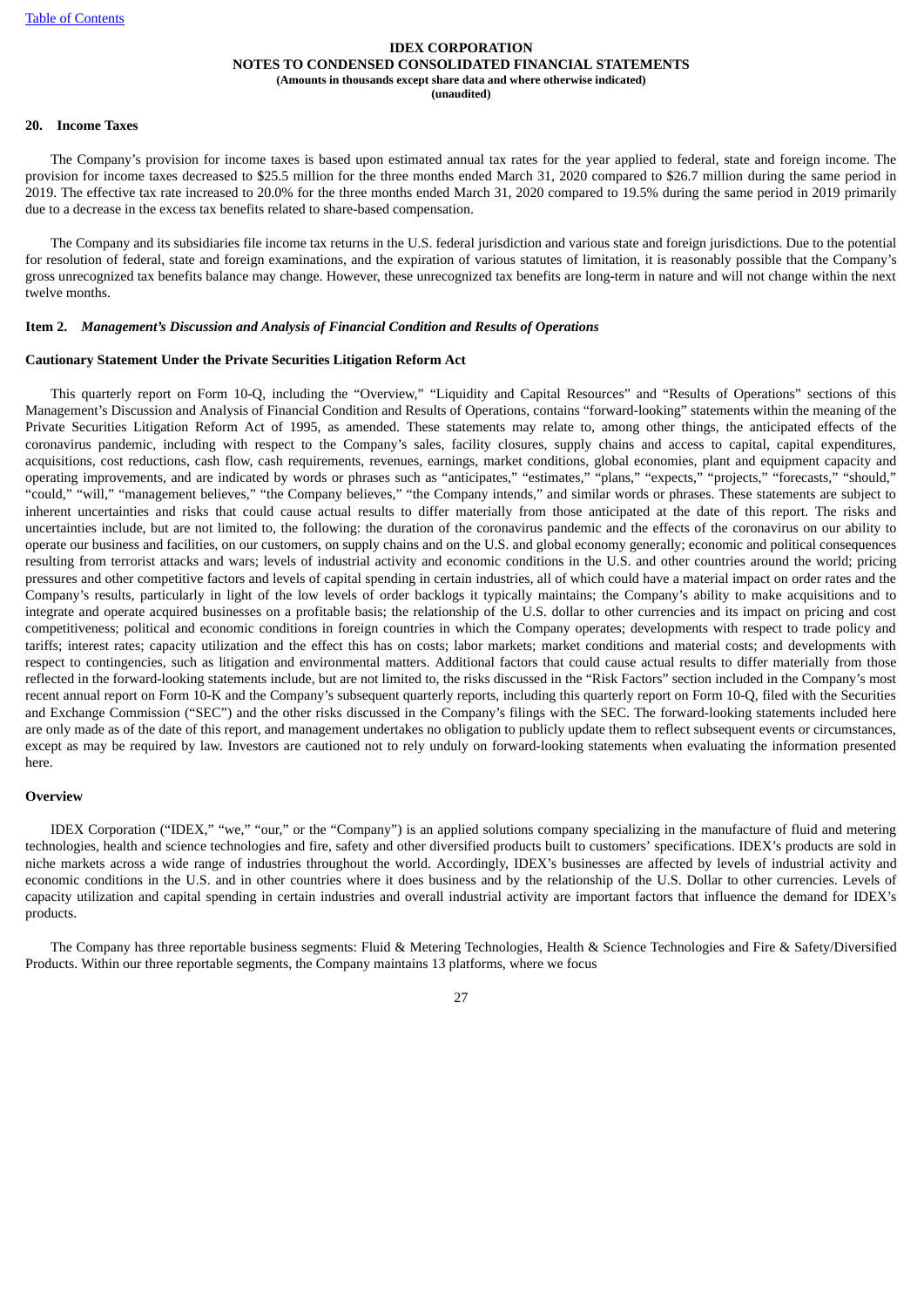**(unaudited)**

### **20. Income Taxes**

The Company's provision for income taxes is based upon estimated annual tax rates for the year applied to federal, state and foreign income. The provision for income taxes decreased to \$25.5 million for the three months ended March 31, 2020 compared to \$26.7 million during the same period in 2019. The effective tax rate increased to 20.0% for the three months ended March 31, 2020 compared to 19.5% during the same period in 2019 primarily due to a decrease in the excess tax benefits related to share-based compensation.

The Company and its subsidiaries file income tax returns in the U.S. federal jurisdiction and various state and foreign jurisdictions. Due to the potential for resolution of federal, state and foreign examinations, and the expiration of various statutes of limitation, it is reasonably possible that the Company's gross unrecognized tax benefits balance may change. However, these unrecognized tax benefits are long-term in nature and will not change within the next twelve months.

#### <span id="page-29-0"></span>**Item 2.** *Management's Discussion and Analysis of Financial Condition and Results of Operations*

#### **Cautionary Statement Under the Private Securities Litigation Reform Act**

This quarterly report on Form 10-Q, including the "Overview," "Liquidity and Capital Resources" and "Results of Operations" sections of this Management's Discussion and Analysis of Financial Condition and Results of Operations, contains "forward-looking" statements within the meaning of the Private Securities Litigation Reform Act of 1995, as amended. These statements may relate to, among other things, the anticipated effects of the coronavirus pandemic, including with respect to the Company's sales, facility closures, supply chains and access to capital, capital expenditures, acquisitions, cost reductions, cash flow, cash requirements, revenues, earnings, market conditions, global economies, plant and equipment capacity and operating improvements, and are indicated by words or phrases such as "anticipates," "estimates," "plans," "expects," "projects," "forecasts," "should," "could," "will," "management believes," "the Company believes," "the Company intends," and similar words or phrases. These statements are subject to inherent uncertainties and risks that could cause actual results to differ materially from those anticipated at the date of this report. The risks and uncertainties include, but are not limited to, the following: the duration of the coronavirus pandemic and the effects of the coronavirus on our ability to operate our business and facilities, on our customers, on supply chains and on the U.S. and global economy generally; economic and political consequences resulting from terrorist attacks and wars; levels of industrial activity and economic conditions in the U.S. and other countries around the world; pricing pressures and other competitive factors and levels of capital spending in certain industries, all of which could have a material impact on order rates and the Company's results, particularly in light of the low levels of order backlogs it typically maintains; the Company's ability to make acquisitions and to integrate and operate acquired businesses on a profitable basis; the relationship of the U.S. dollar to other currencies and its impact on pricing and cost competitiveness; political and economic conditions in foreign countries in which the Company operates; developments with respect to trade policy and tariffs; interest rates; capacity utilization and the effect this has on costs; labor markets; market conditions and material costs; and developments with respect to contingencies, such as litigation and environmental matters. Additional factors that could cause actual results to differ materially from those reflected in the forward-looking statements include, but are not limited to, the risks discussed in the "Risk Factors" section included in the Company's most recent annual report on Form 10-K and the Company's subsequent quarterly reports, including this quarterly report on Form 10-Q, filed with the Securities and Exchange Commission ("SEC") and the other risks discussed in the Company's filings with the SEC. The forward-looking statements included here are only made as of the date of this report, and management undertakes no obligation to publicly update them to reflect subsequent events or circumstances, except as may be required by law. Investors are cautioned not to rely unduly on forward-looking statements when evaluating the information presented here.

#### <span id="page-29-1"></span>**Overview**

IDEX Corporation ("IDEX," "we," "our," or the "Company") is an applied solutions company specializing in the manufacture of fluid and metering technologies, health and science technologies and fire, safety and other diversified products built to customers' specifications. IDEX's products are sold in niche markets across a wide range of industries throughout the world. Accordingly, IDEX's businesses are affected by levels of industrial activity and economic conditions in the U.S. and in other countries where it does business and by the relationship of the U.S. Dollar to other currencies. Levels of capacity utilization and capital spending in certain industries and overall industrial activity are important factors that influence the demand for IDEX's products.

The Company has three reportable business segments: Fluid & Metering Technologies, Health & Science Technologies and Fire & Safety/Diversified Products. Within our three reportable segments, the Company maintains 13 platforms, where we focus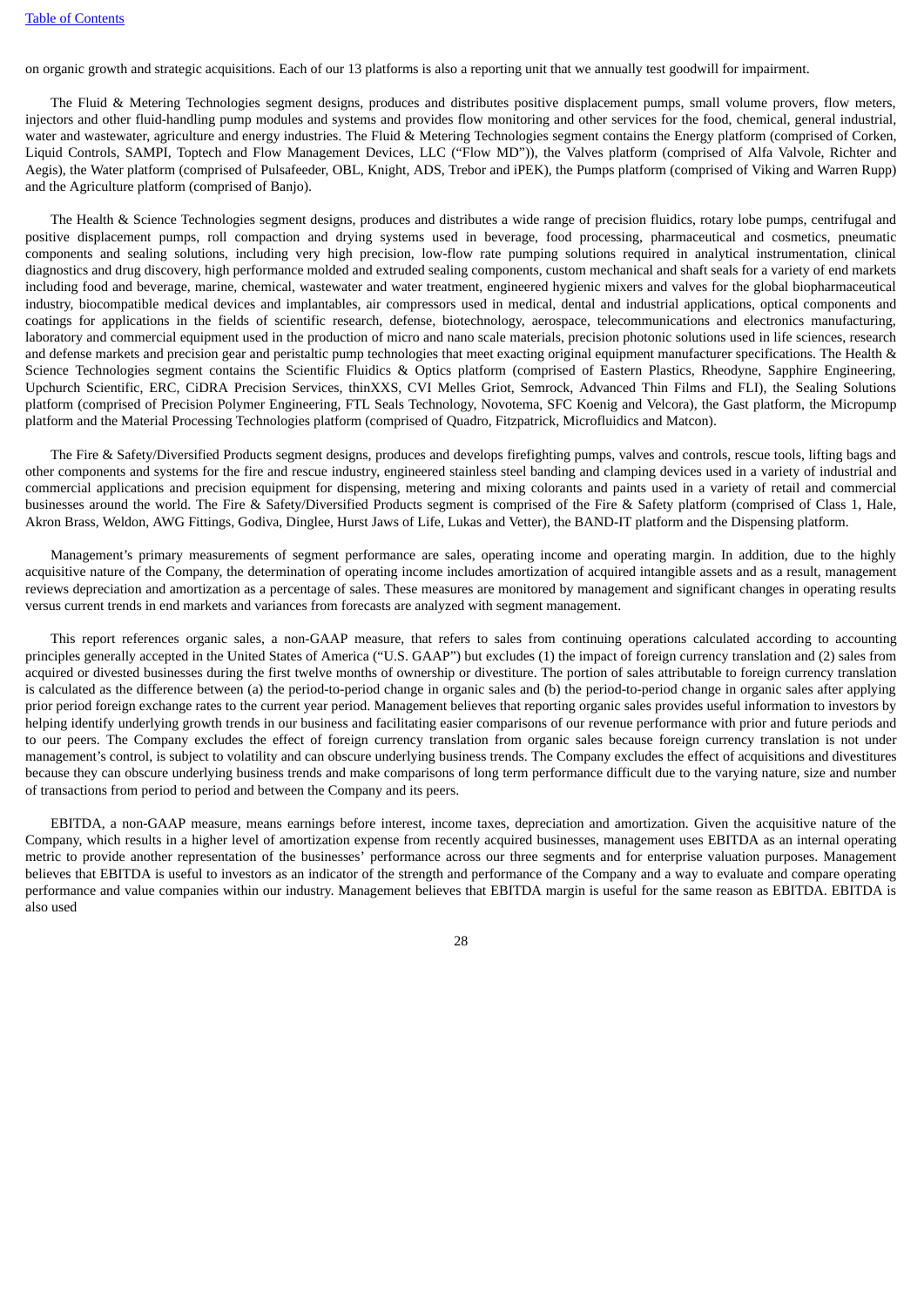on organic growth and strategic acquisitions. Each of our 13 platforms is also a reporting unit that we annually test goodwill for impairment.

The Fluid & Metering Technologies segment designs, produces and distributes positive displacement pumps, small volume provers, flow meters, injectors and other fluid-handling pump modules and systems and provides flow monitoring and other services for the food, chemical, general industrial, water and wastewater, agriculture and energy industries. The Fluid & Metering Technologies segment contains the Energy platform (comprised of Corken, Liquid Controls, SAMPI, Toptech and Flow Management Devices, LLC ("Flow MD")), the Valves platform (comprised of Alfa Valvole, Richter and Aegis), the Water platform (comprised of Pulsafeeder, OBL, Knight, ADS, Trebor and iPEK), the Pumps platform (comprised of Viking and Warren Rupp) and the Agriculture platform (comprised of Banjo).

The Health & Science Technologies segment designs, produces and distributes a wide range of precision fluidics, rotary lobe pumps, centrifugal and positive displacement pumps, roll compaction and drying systems used in beverage, food processing, pharmaceutical and cosmetics, pneumatic components and sealing solutions, including very high precision, low-flow rate pumping solutions required in analytical instrumentation, clinical diagnostics and drug discovery, high performance molded and extruded sealing components, custom mechanical and shaft seals for a variety of end markets including food and beverage, marine, chemical, wastewater and water treatment, engineered hygienic mixers and valves for the global biopharmaceutical industry, biocompatible medical devices and implantables, air compressors used in medical, dental and industrial applications, optical components and coatings for applications in the fields of scientific research, defense, biotechnology, aerospace, telecommunications and electronics manufacturing, laboratory and commercial equipment used in the production of micro and nano scale materials, precision photonic solutions used in life sciences, research and defense markets and precision gear and peristaltic pump technologies that meet exacting original equipment manufacturer specifications. The Health & Science Technologies segment contains the Scientific Fluidics & Optics platform (comprised of Eastern Plastics, Rheodyne, Sapphire Engineering, Upchurch Scientific, ERC, CiDRA Precision Services, thinXXS, CVI Melles Griot, Semrock, Advanced Thin Films and FLI), the Sealing Solutions platform (comprised of Precision Polymer Engineering, FTL Seals Technology, Novotema, SFC Koenig and Velcora), the Gast platform, the Micropump platform and the Material Processing Technologies platform (comprised of Quadro, Fitzpatrick, Microfluidics and Matcon).

The Fire & Safety/Diversified Products segment designs, produces and develops firefighting pumps, valves and controls, rescue tools, lifting bags and other components and systems for the fire and rescue industry, engineered stainless steel banding and clamping devices used in a variety of industrial and commercial applications and precision equipment for dispensing, metering and mixing colorants and paints used in a variety of retail and commercial businesses around the world. The Fire & Safety/Diversified Products segment is comprised of the Fire & Safety platform (comprised of Class 1, Hale, Akron Brass, Weldon, AWG Fittings, Godiva, Dinglee, Hurst Jaws of Life, Lukas and Vetter), the BAND-IT platform and the Dispensing platform.

Management's primary measurements of segment performance are sales, operating income and operating margin. In addition, due to the highly acquisitive nature of the Company, the determination of operating income includes amortization of acquired intangible assets and as a result, management reviews depreciation and amortization as a percentage of sales. These measures are monitored by management and significant changes in operating results versus current trends in end markets and variances from forecasts are analyzed with segment management.

This report references organic sales, a non-GAAP measure, that refers to sales from continuing operations calculated according to accounting principles generally accepted in the United States of America ("U.S. GAAP") but excludes (1) the impact of foreign currency translation and (2) sales from acquired or divested businesses during the first twelve months of ownership or divestiture. The portion of sales attributable to foreign currency translation is calculated as the difference between (a) the period-to-period change in organic sales and (b) the period-to-period change in organic sales after applying prior period foreign exchange rates to the current year period. Management believes that reporting organic sales provides useful information to investors by helping identify underlying growth trends in our business and facilitating easier comparisons of our revenue performance with prior and future periods and to our peers. The Company excludes the effect of foreign currency translation from organic sales because foreign currency translation is not under management's control, is subject to volatility and can obscure underlying business trends. The Company excludes the effect of acquisitions and divestitures because they can obscure underlying business trends and make comparisons of long term performance difficult due to the varying nature, size and number of transactions from period to period and between the Company and its peers.

EBITDA, a non-GAAP measure, means earnings before interest, income taxes, depreciation and amortization. Given the acquisitive nature of the Company, which results in a higher level of amortization expense from recently acquired businesses, management uses EBITDA as an internal operating metric to provide another representation of the businesses' performance across our three segments and for enterprise valuation purposes. Management believes that EBITDA is useful to investors as an indicator of the strength and performance of the Company and a way to evaluate and compare operating performance and value companies within our industry. Management believes that EBITDA margin is useful for the same reason as EBITDA. EBITDA is also used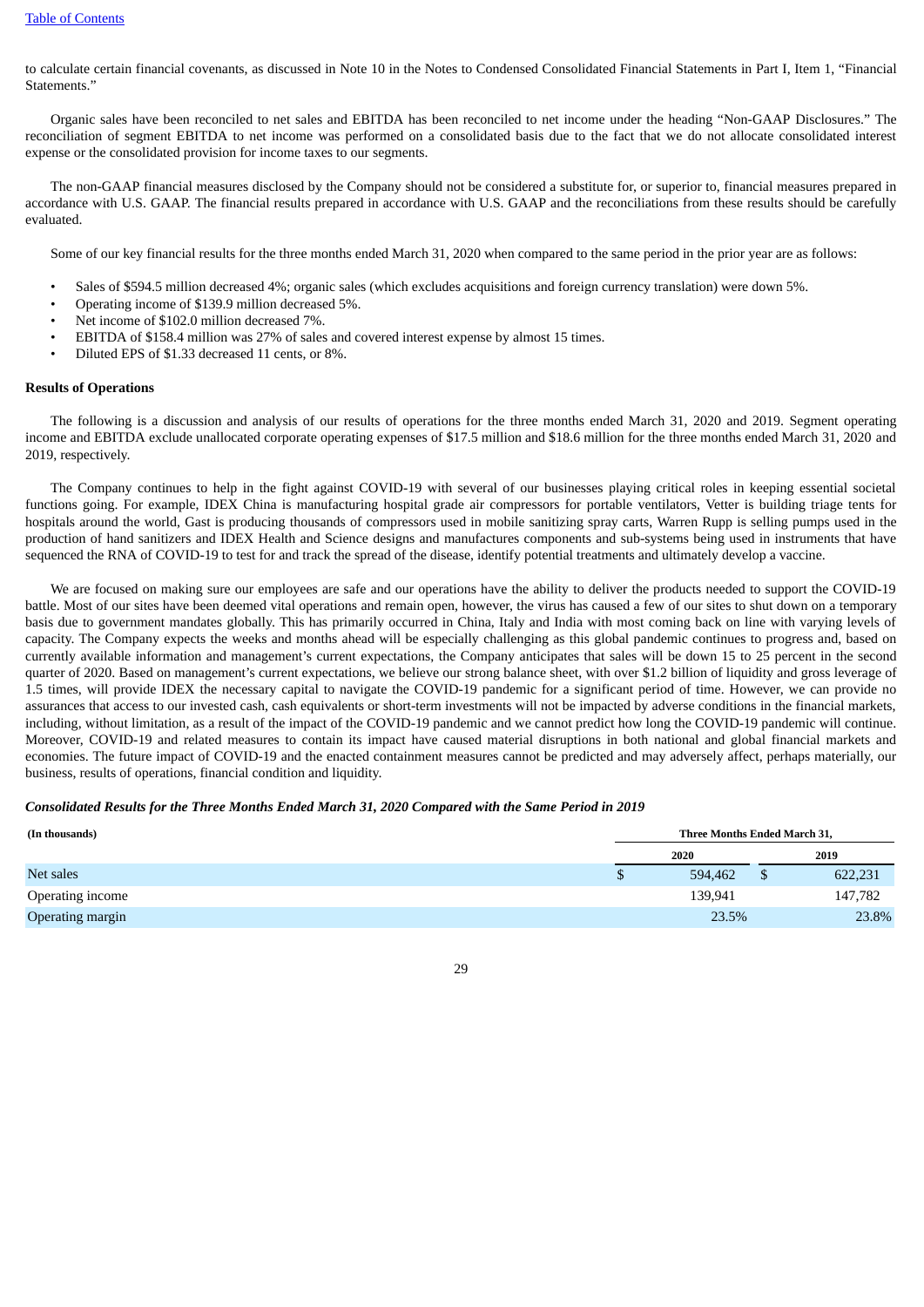to calculate certain financial covenants, as discussed in Note 10 in the Notes to Condensed Consolidated Financial Statements in Part I, Item 1, "Financial Statements<sup>"</sup>

Organic sales have been reconciled to net sales and EBITDA has been reconciled to net income under the heading "Non-GAAP Disclosures." The reconciliation of segment EBITDA to net income was performed on a consolidated basis due to the fact that we do not allocate consolidated interest expense or the consolidated provision for income taxes to our segments.

The non-GAAP financial measures disclosed by the Company should not be considered a substitute for, or superior to, financial measures prepared in accordance with U.S. GAAP. The financial results prepared in accordance with U.S. GAAP and the reconciliations from these results should be carefully evaluated.

Some of our key financial results for the three months ended March 31, 2020 when compared to the same period in the prior year are as follows:

- Sales of \$594.5 million decreased 4%; organic sales (which excludes acquisitions and foreign currency translation) were down 5%.
- Operating income of \$139.9 million decreased 5%.
- Net income of \$102.0 million decreased 7%.
- EBITDA of \$158.4 million was 27% of sales and covered interest expense by almost 15 times.
- Diluted EPS of \$1.33 decreased 11 cents, or 8%.

#### <span id="page-31-0"></span>**Results of Operations**

The following is a discussion and analysis of our results of operations for the three months ended March 31, 2020 and 2019. Segment operating income and EBITDA exclude unallocated corporate operating expenses of \$17.5 million and \$18.6 million for the three months ended March 31, 2020 and 2019, respectively.

The Company continues to help in the fight against COVID-19 with several of our businesses playing critical roles in keeping essential societal functions going. For example, IDEX China is manufacturing hospital grade air compressors for portable ventilators, Vetter is building triage tents for hospitals around the world, Gast is producing thousands of compressors used in mobile sanitizing spray carts, Warren Rupp is selling pumps used in the production of hand sanitizers and IDEX Health and Science designs and manufactures components and sub-systems being used in instruments that have sequenced the RNA of COVID-19 to test for and track the spread of the disease, identify potential treatments and ultimately develop a vaccine.

We are focused on making sure our employees are safe and our operations have the ability to deliver the products needed to support the COVID-19 battle. Most of our sites have been deemed vital operations and remain open, however, the virus has caused a few of our sites to shut down on a temporary basis due to government mandates globally. This has primarily occurred in China, Italy and India with most coming back on line with varying levels of capacity. The Company expects the weeks and months ahead will be especially challenging as this global pandemic continues to progress and, based on currently available information and management's current expectations, the Company anticipates that sales will be down 15 to 25 percent in the second quarter of 2020. Based on management's current expectations, we believe our strong balance sheet, with over \$1.2 billion of liquidity and gross leverage of 1.5 times, will provide IDEX the necessary capital to navigate the COVID-19 pandemic for a significant period of time. However, we can provide no assurances that access to our invested cash, cash equivalents or short-term investments will not be impacted by adverse conditions in the financial markets, including, without limitation, as a result of the impact of the COVID-19 pandemic and we cannot predict how long the COVID-19 pandemic will continue. Moreover, COVID-19 and related measures to contain its impact have caused material disruptions in both national and global financial markets and economies. The future impact of COVID-19 and the enacted containment measures cannot be predicted and may adversely affect, perhaps materially, our business, results of operations, financial condition and liquidity.

#### *Consolidated Results for the Three Months Ended March 31, 2020 Compared with the Same Period in 2019*

| (In thousands)   |      | Three Months Ended March 31, |         |  |  |
|------------------|------|------------------------------|---------|--|--|
|                  | 2020 |                              | 2019    |  |  |
| Net sales        |      | 594,462                      | 622,231 |  |  |
| Operating income |      | 139,941                      | 147,782 |  |  |
| Operating margin |      | 23.5%                        | 23.8%   |  |  |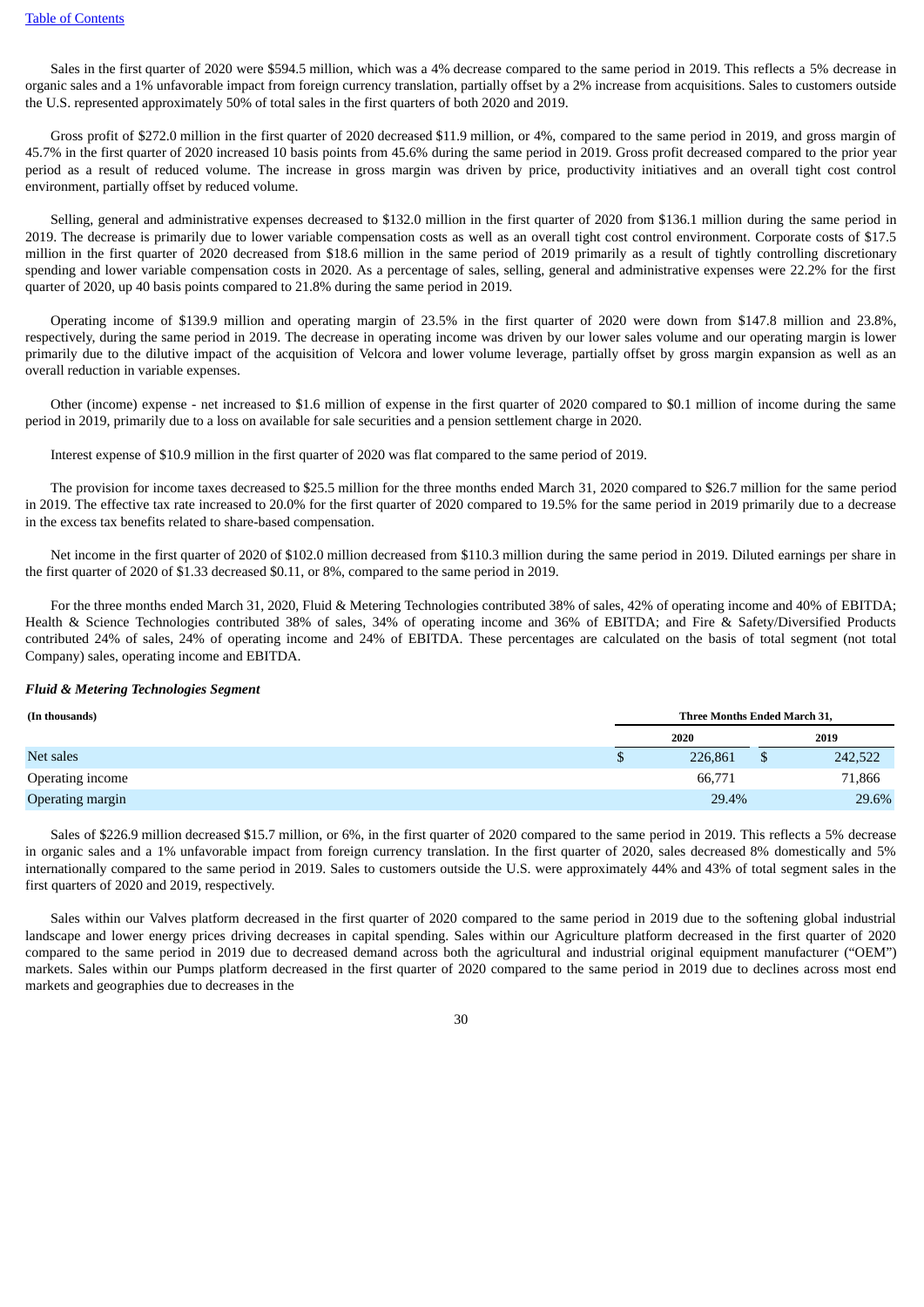Sales in the first quarter of 2020 were \$594.5 million, which was a 4% decrease compared to the same period in 2019. This reflects a 5% decrease in organic sales and a 1% unfavorable impact from foreign currency translation, partially offset by a 2% increase from acquisitions. Sales to customers outside the U.S. represented approximately 50% of total sales in the first quarters of both 2020 and 2019.

Gross profit of \$272.0 million in the first quarter of 2020 decreased \$11.9 million, or 4%, compared to the same period in 2019, and gross margin of 45.7% in the first quarter of 2020 increased 10 basis points from 45.6% during the same period in 2019. Gross profit decreased compared to the prior year period as a result of reduced volume. The increase in gross margin was driven by price, productivity initiatives and an overall tight cost control environment, partially offset by reduced volume.

Selling, general and administrative expenses decreased to \$132.0 million in the first quarter of 2020 from \$136.1 million during the same period in 2019. The decrease is primarily due to lower variable compensation costs as well as an overall tight cost control environment. Corporate costs of \$17.5 million in the first quarter of 2020 decreased from \$18.6 million in the same period of 2019 primarily as a result of tightly controlling discretionary spending and lower variable compensation costs in 2020. As a percentage of sales, selling, general and administrative expenses were 22.2% for the first quarter of 2020, up 40 basis points compared to 21.8% during the same period in 2019.

Operating income of \$139.9 million and operating margin of 23.5% in the first quarter of 2020 were down from \$147.8 million and 23.8%, respectively, during the same period in 2019. The decrease in operating income was driven by our lower sales volume and our operating margin is lower primarily due to the dilutive impact of the acquisition of Velcora and lower volume leverage, partially offset by gross margin expansion as well as an overall reduction in variable expenses.

Other (income) expense - net increased to \$1.6 million of expense in the first quarter of 2020 compared to \$0.1 million of income during the same period in 2019, primarily due to a loss on available for sale securities and a pension settlement charge in 2020.

Interest expense of \$10.9 million in the first quarter of 2020 was flat compared to the same period of 2019.

The provision for income taxes decreased to \$25.5 million for the three months ended March 31, 2020 compared to \$26.7 million for the same period in 2019. The effective tax rate increased to 20.0% for the first quarter of 2020 compared to 19.5% for the same period in 2019 primarily due to a decrease in the excess tax benefits related to share-based compensation.

Net income in the first quarter of 2020 of \$102.0 million decreased from \$110.3 million during the same period in 2019. Diluted earnings per share in the first quarter of 2020 of \$1.33 decreased \$0.11, or 8%, compared to the same period in 2019.

For the three months ended March 31, 2020, Fluid & Metering Technologies contributed 38% of sales, 42% of operating income and 40% of EBITDA; Health & Science Technologies contributed 38% of sales, 34% of operating income and 36% of EBITDA; and Fire & Safety/Diversified Products contributed 24% of sales, 24% of operating income and 24% of EBITDA. These percentages are calculated on the basis of total segment (not total Company) sales, operating income and EBITDA.

#### *Fluid & Metering Technologies Segment*

| (In thousands)          | Three Months Ended March 31, |  |         |  |
|-------------------------|------------------------------|--|---------|--|
|                         | 2020                         |  | 2019    |  |
| Net sales               | 226.861                      |  | 242,522 |  |
| Operating income        | 66,771                       |  | 71,866  |  |
| <b>Operating margin</b> | 29.4%                        |  | 29.6%   |  |

Sales of \$226.9 million decreased \$15.7 million, or 6%, in the first quarter of 2020 compared to the same period in 2019. This reflects a 5% decrease in organic sales and a 1% unfavorable impact from foreign currency translation. In the first quarter of 2020, sales decreased 8% domestically and 5% internationally compared to the same period in 2019. Sales to customers outside the U.S. were approximately 44% and 43% of total segment sales in the first quarters of 2020 and 2019, respectively.

Sales within our Valves platform decreased in the first quarter of 2020 compared to the same period in 2019 due to the softening global industrial landscape and lower energy prices driving decreases in capital spending. Sales within our Agriculture platform decreased in the first quarter of 2020 compared to the same period in 2019 due to decreased demand across both the agricultural and industrial original equipment manufacturer ("OEM") markets. Sales within our Pumps platform decreased in the first quarter of 2020 compared to the same period in 2019 due to declines across most end markets and geographies due to decreases in the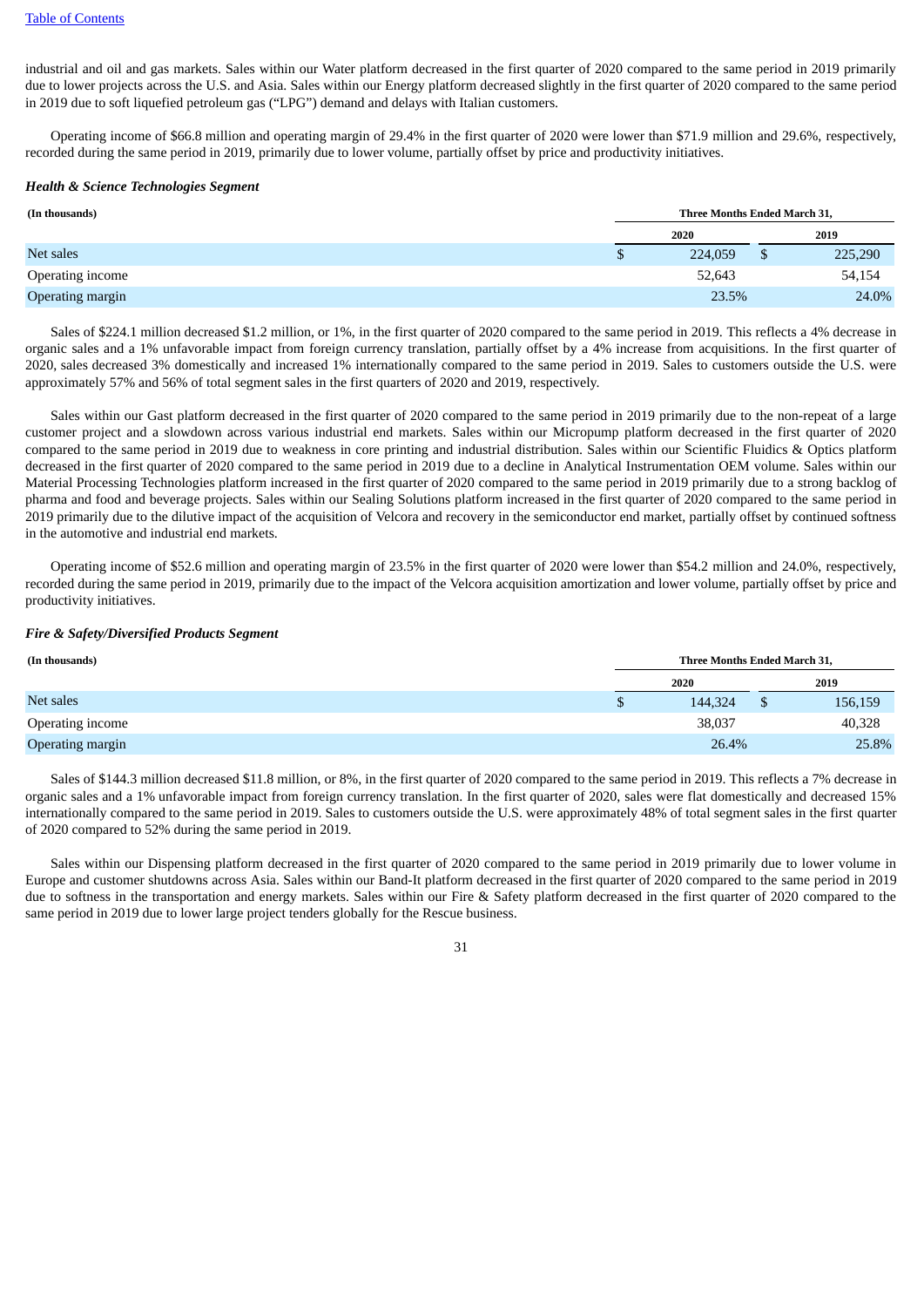industrial and oil and gas markets. Sales within our Water platform decreased in the first quarter of 2020 compared to the same period in 2019 primarily due to lower projects across the U.S. and Asia. Sales within our Energy platform decreased slightly in the first quarter of 2020 compared to the same period in 2019 due to soft liquefied petroleum gas ("LPG") demand and delays with Italian customers.

Operating income of \$66.8 million and operating margin of 29.4% in the first quarter of 2020 were lower than \$71.9 million and 29.6%, respectively, recorded during the same period in 2019, primarily due to lower volume, partially offset by price and productivity initiatives.

#### *Health & Science Technologies Segment*

| (In thousands)   | Three Months Ended March 31, |  |         |  |
|------------------|------------------------------|--|---------|--|
|                  | 2020                         |  | 2019    |  |
| Net sales        | 224,059                      |  | 225,290 |  |
| Operating income | 52,643                       |  | 54,154  |  |
| Operating margin | 23.5%                        |  | 24.0%   |  |

Sales of \$224.1 million decreased \$1.2 million, or 1%, in the first quarter of 2020 compared to the same period in 2019. This reflects a 4% decrease in organic sales and a 1% unfavorable impact from foreign currency translation, partially offset by a 4% increase from acquisitions. In the first quarter of 2020, sales decreased 3% domestically and increased 1% internationally compared to the same period in 2019. Sales to customers outside the U.S. were approximately 57% and 56% of total segment sales in the first quarters of 2020 and 2019, respectively.

Sales within our Gast platform decreased in the first quarter of 2020 compared to the same period in 2019 primarily due to the non-repeat of a large customer project and a slowdown across various industrial end markets. Sales within our Micropump platform decreased in the first quarter of 2020 compared to the same period in 2019 due to weakness in core printing and industrial distribution. Sales within our Scientific Fluidics & Optics platform decreased in the first quarter of 2020 compared to the same period in 2019 due to a decline in Analytical Instrumentation OEM volume. Sales within our Material Processing Technologies platform increased in the first quarter of 2020 compared to the same period in 2019 primarily due to a strong backlog of pharma and food and beverage projects. Sales within our Sealing Solutions platform increased in the first quarter of 2020 compared to the same period in 2019 primarily due to the dilutive impact of the acquisition of Velcora and recovery in the semiconductor end market, partially offset by continued softness in the automotive and industrial end markets.

Operating income of \$52.6 million and operating margin of 23.5% in the first quarter of 2020 were lower than \$54.2 million and 24.0%, respectively, recorded during the same period in 2019, primarily due to the impact of the Velcora acquisition amortization and lower volume, partially offset by price and productivity initiatives.

#### *Fire & Safety/Diversified Products Segment*

| (In thousands)          | Three Months Ended March 31, |   |         |  |  |  |
|-------------------------|------------------------------|---|---------|--|--|--|
|                         | 2020                         |   | 2019    |  |  |  |
| Net sales               | 144,324                      | S | 156,159 |  |  |  |
| Operating income        | 38,037                       |   | 40,328  |  |  |  |
| <b>Operating margin</b> | 26.4%                        |   | 25.8%   |  |  |  |

Sales of \$144.3 million decreased \$11.8 million, or 8%, in the first quarter of 2020 compared to the same period in 2019. This reflects a 7% decrease in organic sales and a 1% unfavorable impact from foreign currency translation. In the first quarter of 2020, sales were flat domestically and decreased 15% internationally compared to the same period in 2019. Sales to customers outside the U.S. were approximately 48% of total segment sales in the first quarter of 2020 compared to 52% during the same period in 2019.

Sales within our Dispensing platform decreased in the first quarter of 2020 compared to the same period in 2019 primarily due to lower volume in Europe and customer shutdowns across Asia. Sales within our Band-It platform decreased in the first quarter of 2020 compared to the same period in 2019 due to softness in the transportation and energy markets. Sales within our Fire & Safety platform decreased in the first quarter of 2020 compared to the same period in 2019 due to lower large project tenders globally for the Rescue business.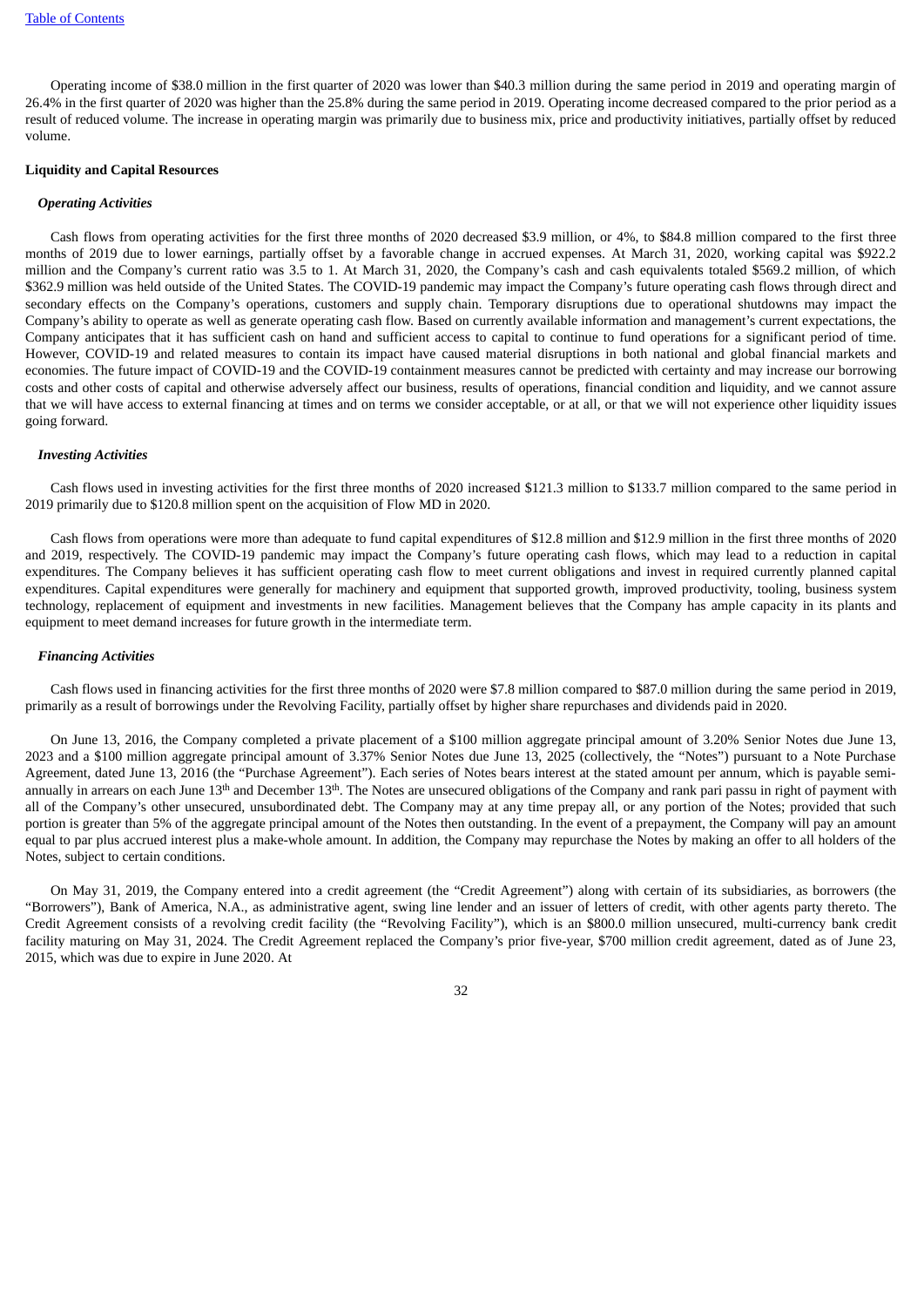Operating income of \$38.0 million in the first quarter of 2020 was lower than \$40.3 million during the same period in 2019 and operating margin of 26.4% in the first quarter of 2020 was higher than the 25.8% during the same period in 2019. Operating income decreased compared to the prior period as a result of reduced volume. The increase in operating margin was primarily due to business mix, price and productivity initiatives, partially offset by reduced volume.

#### <span id="page-34-0"></span>**Liquidity and Capital Resources**

#### *Operating Activities*

Cash flows from operating activities for the first three months of 2020 decreased \$3.9 million, or 4%, to \$84.8 million compared to the first three months of 2019 due to lower earnings, partially offset by a favorable change in accrued expenses. At March 31, 2020, working capital was \$922.2 million and the Company's current ratio was 3.5 to 1. At March 31, 2020, the Company's cash and cash equivalents totaled \$569.2 million, of which \$362.9 million was held outside of the United States. The COVID-19 pandemic may impact the Company's future operating cash flows through direct and secondary effects on the Company's operations, customers and supply chain. Temporary disruptions due to operational shutdowns may impact the Company's ability to operate as well as generate operating cash flow. Based on currently available information and management's current expectations, the Company anticipates that it has sufficient cash on hand and sufficient access to capital to continue to fund operations for a significant period of time. However, COVID-19 and related measures to contain its impact have caused material disruptions in both national and global financial markets and economies. The future impact of COVID-19 and the COVID-19 containment measures cannot be predicted with certainty and may increase our borrowing costs and other costs of capital and otherwise adversely affect our business, results of operations, financial condition and liquidity, and we cannot assure that we will have access to external financing at times and on terms we consider acceptable, or at all, or that we will not experience other liquidity issues going forward.

#### *Investing Activities*

Cash flows used in investing activities for the first three months of 2020 increased \$121.3 million to \$133.7 million compared to the same period in 2019 primarily due to \$120.8 million spent on the acquisition of Flow MD in 2020.

Cash flows from operations were more than adequate to fund capital expenditures of \$12.8 million and \$12.9 million in the first three months of 2020 and 2019, respectively. The COVID-19 pandemic may impact the Company's future operating cash flows, which may lead to a reduction in capital expenditures. The Company believes it has sufficient operating cash flow to meet current obligations and invest in required currently planned capital expenditures. Capital expenditures were generally for machinery and equipment that supported growth, improved productivity, tooling, business system technology, replacement of equipment and investments in new facilities. Management believes that the Company has ample capacity in its plants and equipment to meet demand increases for future growth in the intermediate term.

#### *Financing Activities*

Cash flows used in financing activities for the first three months of 2020 were \$7.8 million compared to \$87.0 million during the same period in 2019, primarily as a result of borrowings under the Revolving Facility, partially offset by higher share repurchases and dividends paid in 2020.

On June 13, 2016, the Company completed a private placement of a \$100 million aggregate principal amount of 3.20% Senior Notes due June 13, 2023 and a \$100 million aggregate principal amount of 3.37% Senior Notes due June 13, 2025 (collectively, the "Notes") pursuant to a Note Purchase Agreement, dated June 13, 2016 (the "Purchase Agreement"). Each series of Notes bears interest at the stated amount per annum, which is payable semiannually in arrears on each June 13<sup>th</sup> and December 13<sup>th</sup>. The Notes are unsecured obligations of the Company and rank pari passu in right of payment with all of the Company's other unsecured, unsubordinated debt. The Company may at any time prepay all, or any portion of the Notes; provided that such portion is greater than 5% of the aggregate principal amount of the Notes then outstanding. In the event of a prepayment, the Company will pay an amount equal to par plus accrued interest plus a make-whole amount. In addition, the Company may repurchase the Notes by making an offer to all holders of the Notes, subject to certain conditions.

On May 31, 2019, the Company entered into a credit agreement (the "Credit Agreement") along with certain of its subsidiaries, as borrowers (the "Borrowers"), Bank of America, N.A., as administrative agent, swing line lender and an issuer of letters of credit, with other agents party thereto. The Credit Agreement consists of a revolving credit facility (the "Revolving Facility"), which is an \$800.0 million unsecured, multi-currency bank credit facility maturing on May 31, 2024. The Credit Agreement replaced the Company's prior five-year, \$700 million credit agreement, dated as of June 23, 2015, which was due to expire in June 2020. At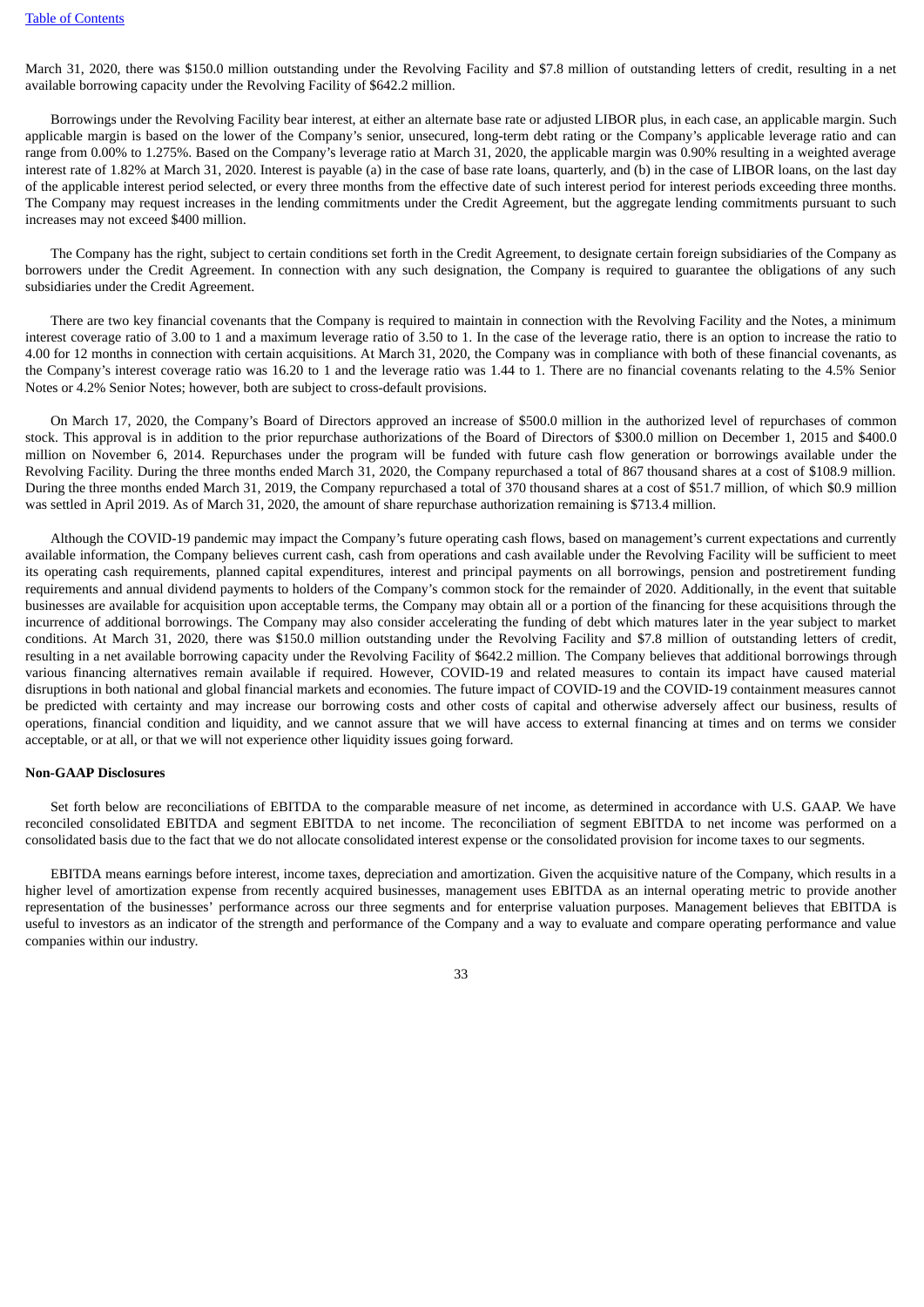March 31, 2020, there was \$150.0 million outstanding under the Revolving Facility and \$7.8 million of outstanding letters of credit, resulting in a net available borrowing capacity under the Revolving Facility of \$642.2 million.

Borrowings under the Revolving Facility bear interest, at either an alternate base rate or adjusted LIBOR plus, in each case, an applicable margin. Such applicable margin is based on the lower of the Company's senior, unsecured, long-term debt rating or the Company's applicable leverage ratio and can range from 0.00% to 1.275%. Based on the Company's leverage ratio at March 31, 2020, the applicable margin was 0.90% resulting in a weighted average interest rate of 1.82% at March 31, 2020. Interest is payable (a) in the case of base rate loans, quarterly, and (b) in the case of LIBOR loans, on the last day of the applicable interest period selected, or every three months from the effective date of such interest period for interest periods exceeding three months. The Company may request increases in the lending commitments under the Credit Agreement, but the aggregate lending commitments pursuant to such increases may not exceed \$400 million.

The Company has the right, subject to certain conditions set forth in the Credit Agreement, to designate certain foreign subsidiaries of the Company as borrowers under the Credit Agreement. In connection with any such designation, the Company is required to guarantee the obligations of any such subsidiaries under the Credit Agreement.

There are two key financial covenants that the Company is required to maintain in connection with the Revolving Facility and the Notes, a minimum interest coverage ratio of 3.00 to 1 and a maximum leverage ratio of 3.50 to 1. In the case of the leverage ratio, there is an option to increase the ratio to 4.00 for 12 months in connection with certain acquisitions. At March 31, 2020, the Company was in compliance with both of these financial covenants, as the Company's interest coverage ratio was 16.20 to 1 and the leverage ratio was 1.44 to 1. There are no financial covenants relating to the 4.5% Senior Notes or 4.2% Senior Notes; however, both are subject to cross-default provisions.

On March 17, 2020, the Company's Board of Directors approved an increase of \$500.0 million in the authorized level of repurchases of common stock. This approval is in addition to the prior repurchase authorizations of the Board of Directors of \$300.0 million on December 1, 2015 and \$400.0 million on November 6, 2014. Repurchases under the program will be funded with future cash flow generation or borrowings available under the Revolving Facility. During the three months ended March 31, 2020, the Company repurchased a total of 867 thousand shares at a cost of \$108.9 million. During the three months ended March 31, 2019, the Company repurchased a total of 370 thousand shares at a cost of \$51.7 million, of which \$0.9 million was settled in April 2019. As of March 31, 2020, the amount of share repurchase authorization remaining is \$713.4 million.

Although the COVID-19 pandemic may impact the Company's future operating cash flows, based on management's current expectations and currently available information, the Company believes current cash, cash from operations and cash available under the Revolving Facility will be sufficient to meet its operating cash requirements, planned capital expenditures, interest and principal payments on all borrowings, pension and postretirement funding requirements and annual dividend payments to holders of the Company's common stock for the remainder of 2020. Additionally, in the event that suitable businesses are available for acquisition upon acceptable terms, the Company may obtain all or a portion of the financing for these acquisitions through the incurrence of additional borrowings. The Company may also consider accelerating the funding of debt which matures later in the year subject to market conditions. At March 31, 2020, there was \$150.0 million outstanding under the Revolving Facility and \$7.8 million of outstanding letters of credit, resulting in a net available borrowing capacity under the Revolving Facility of \$642.2 million. The Company believes that additional borrowings through various financing alternatives remain available if required. However, COVID-19 and related measures to contain its impact have caused material disruptions in both national and global financial markets and economies. The future impact of COVID-19 and the COVID-19 containment measures cannot be predicted with certainty and may increase our borrowing costs and other costs of capital and otherwise adversely affect our business, results of operations, financial condition and liquidity, and we cannot assure that we will have access to external financing at times and on terms we consider acceptable, or at all, or that we will not experience other liquidity issues going forward.

### <span id="page-35-0"></span>**Non-GAAP Disclosures**

Set forth below are reconciliations of EBITDA to the comparable measure of net income, as determined in accordance with U.S. GAAP. We have reconciled consolidated EBITDA and segment EBITDA to net income. The reconciliation of segment EBITDA to net income was performed on a consolidated basis due to the fact that we do not allocate consolidated interest expense or the consolidated provision for income taxes to our segments.

EBITDA means earnings before interest, income taxes, depreciation and amortization. Given the acquisitive nature of the Company, which results in a higher level of amortization expense from recently acquired businesses, management uses EBITDA as an internal operating metric to provide another representation of the businesses' performance across our three segments and for enterprise valuation purposes. Management believes that EBITDA is useful to investors as an indicator of the strength and performance of the Company and a way to evaluate and compare operating performance and value companies within our industry.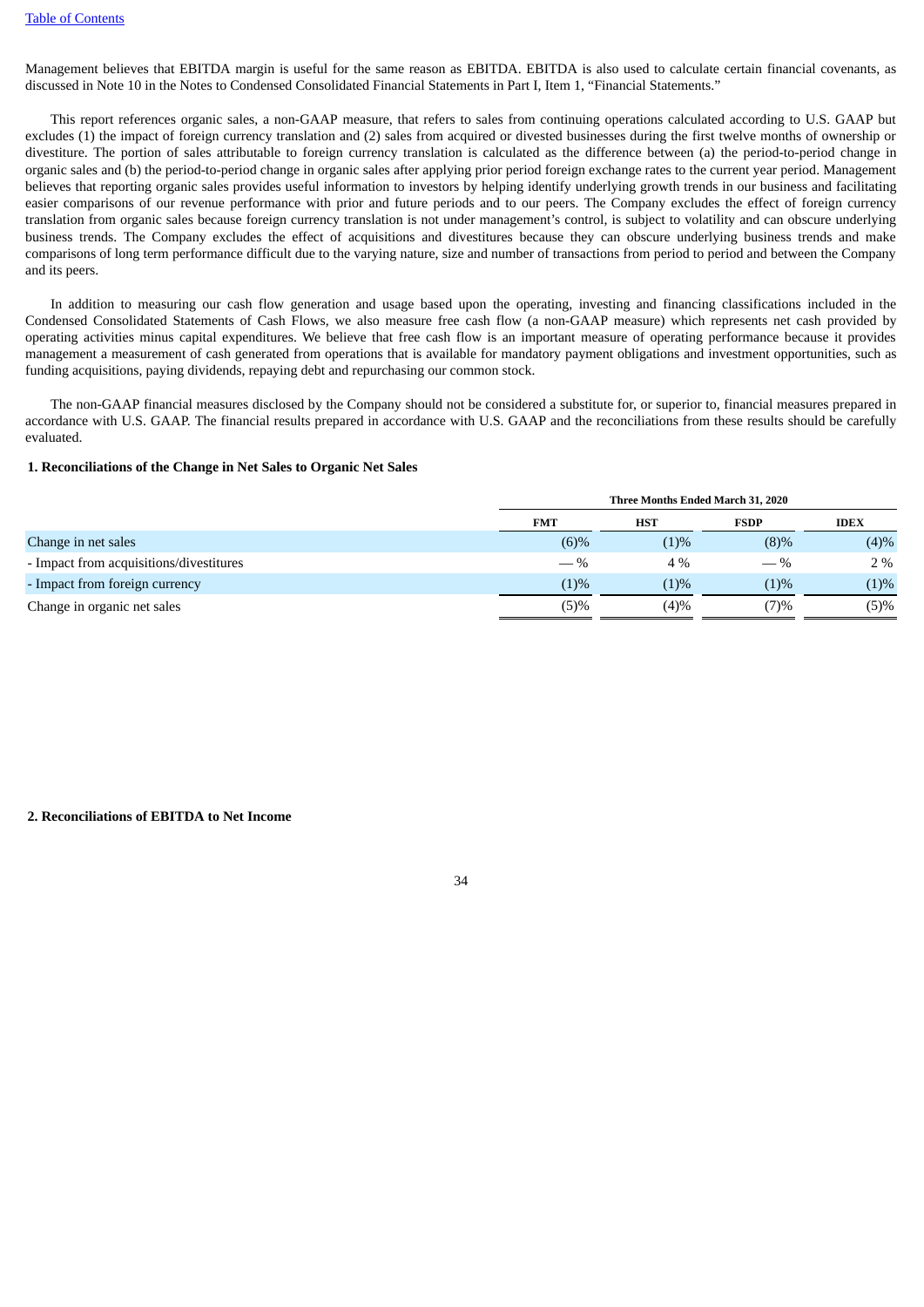Management believes that EBITDA margin is useful for the same reason as EBITDA. EBITDA is also used to calculate certain financial covenants, as discussed in Note 10 in the Notes to Condensed Consolidated Financial Statements in Part I, Item 1, "Financial Statements."

This report references organic sales, a non-GAAP measure, that refers to sales from continuing operations calculated according to U.S. GAAP but excludes (1) the impact of foreign currency translation and (2) sales from acquired or divested businesses during the first twelve months of ownership or divestiture. The portion of sales attributable to foreign currency translation is calculated as the difference between (a) the period-to-period change in organic sales and (b) the period-to-period change in organic sales after applying prior period foreign exchange rates to the current year period. Management believes that reporting organic sales provides useful information to investors by helping identify underlying growth trends in our business and facilitating easier comparisons of our revenue performance with prior and future periods and to our peers. The Company excludes the effect of foreign currency translation from organic sales because foreign currency translation is not under management's control, is subject to volatility and can obscure underlying business trends. The Company excludes the effect of acquisitions and divestitures because they can obscure underlying business trends and make comparisons of long term performance difficult due to the varying nature, size and number of transactions from period to period and between the Company and its peers.

In addition to measuring our cash flow generation and usage based upon the operating, investing and financing classifications included in the Condensed Consolidated Statements of Cash Flows, we also measure free cash flow (a non-GAAP measure) which represents net cash provided by operating activities minus capital expenditures. We believe that free cash flow is an important measure of operating performance because it provides management a measurement of cash generated from operations that is available for mandatory payment obligations and investment opportunities, such as funding acquisitions, paying dividends, repaying debt and repurchasing our common stock.

The non-GAAP financial measures disclosed by the Company should not be considered a substitute for, or superior to, financial measures prepared in accordance with U.S. GAAP. The financial results prepared in accordance with U.S. GAAP and the reconciliations from these results should be carefully evaluated.

### **1. Reconciliations of the Change in Net Sales to Organic Net Sales**

|                                         |            | Three Months Ended March 31, 2020 |             |             |  |  |  |  |
|-----------------------------------------|------------|-----------------------------------|-------------|-------------|--|--|--|--|
|                                         | <b>FMT</b> | <b>HST</b>                        | <b>FSDP</b> | <b>IDEX</b> |  |  |  |  |
| Change in net sales                     | (6)%       | (1)%                              | $(8)\%$     | (4)%        |  |  |  |  |
| - Impact from acquisitions/divestitures | $-$ %      | 4 %                               | $-$ %       | $2\%$       |  |  |  |  |
| - Impact from foreign currency          | (1)%       | (1)%                              | (1)%        | (1)%        |  |  |  |  |
| Change in organic net sales             | (5)%       | (4)%                              | (7)%        | (5)%        |  |  |  |  |

#### **2. Reconciliations of EBITDA to Net Income**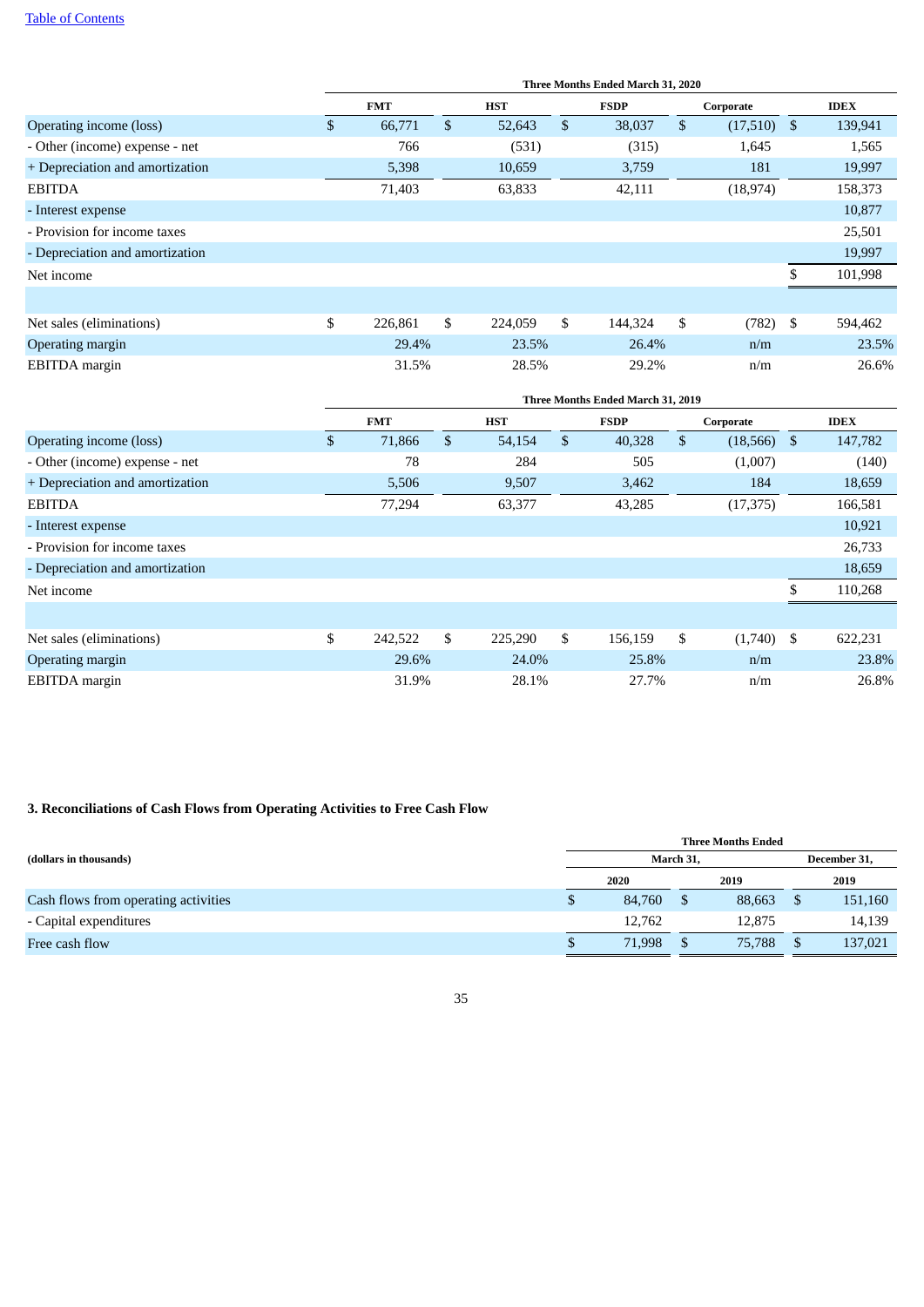### Table of [Contents](#page-2-0)

|                                 | Three Months Ended March 31, 2020 |            |            |            |      |                                   |      |               |                |             |
|---------------------------------|-----------------------------------|------------|------------|------------|------|-----------------------------------|------|---------------|----------------|-------------|
|                                 |                                   | <b>FMT</b> |            | <b>HST</b> |      | <b>FSDP</b>                       |      | Corporate     |                | <b>IDEX</b> |
| Operating income (loss)         | $\sqrt[6]{\frac{1}{2}}$           | 66,771     | $\$$       | 52,643     | $\$$ | 38,037                            | $\$$ | (17,510)      | $\mathfrak{s}$ | 139,941     |
| - Other (income) expense - net  |                                   | 766        |            | (531)      |      | (315)                             |      | 1,645         |                | 1,565       |
| + Depreciation and amortization |                                   | 5,398      |            | 10,659     |      | 3,759                             |      | 181           |                | 19,997      |
| <b>EBITDA</b>                   |                                   | 71,403     |            | 63,833     |      | 42,111                            |      | (18, 974)     |                | 158,373     |
| - Interest expense              |                                   |            |            |            |      |                                   |      |               |                | 10,877      |
| - Provision for income taxes    |                                   |            |            |            |      |                                   |      |               |                | 25,501      |
| - Depreciation and amortization |                                   |            |            |            |      |                                   |      |               |                | 19,997      |
| Net income                      |                                   |            |            |            |      |                                   |      |               | \$             | 101,998     |
|                                 |                                   |            |            |            |      |                                   |      |               |                |             |
| Net sales (eliminations)        | \$                                | 226,861    | \$         | 224,059    | \$   | 144,324                           | \$   | (782)         | \$             | 594,462     |
| Operating margin                |                                   | 29.4%      |            | 23.5%      |      | 26.4%                             |      | n/m           |                | 23.5%       |
| EBITDA margin                   |                                   | 31.5%      |            | 28.5%      |      | 29.2%                             |      | n/m           |                | 26.6%       |
|                                 |                                   |            |            |            |      | Three Months Ended March 31, 2019 |      |               |                |             |
|                                 |                                   | <b>FMT</b> |            | <b>HST</b> |      | <b>FSDP</b>                       |      | Corporate     |                | $\bf{IDE}X$ |
| Operating income (loss)         | $\mathbb{S}$                      | 71,866     | $\sqrt{2}$ | 54,154     | \$   | 40,328                            | \$   | $(18,566)$ \$ |                | 147,782     |
| - Other (income) expense - net  |                                   | 78         |            | 284        |      | 505                               |      | (1,007)       |                | (140)       |
| + Depreciation and amortization |                                   | 5,506      |            | 9,507      |      | 3,462                             |      | 184           |                | 18,659      |
| <b>EBITDA</b>                   |                                   | 77,294     |            | 63,377     |      | 43,285                            |      | (17, 375)     |                | 166,581     |
| - Interest expense              |                                   |            |            |            |      |                                   |      |               |                | 10,921      |
| - Provision for income taxes    |                                   |            |            |            |      |                                   |      |               |                | 26,733      |
| - Depreciation and amortization |                                   |            |            |            |      |                                   |      |               |                | 18,659      |
| Net income                      |                                   |            |            |            |      |                                   |      |               | \$             | 110,268     |
|                                 |                                   |            |            |            |      |                                   |      |               |                |             |
| Net sales (eliminations)        | \$                                | 242,522    | \$         | 225,290    | \$   | 156,159                           | \$   | (1,740)       | \$             | 622,231     |
| Operating margin                |                                   | 29.6%      |            | 24.0%      |      | 25.8%                             |      | n/m           |                | 23.8%       |
| EBITDA margin                   |                                   | 31.9%      |            | 28.1%      |      | 27.7%                             |      | n/m           |                | 26.8%       |

### **3. Reconciliations of Cash Flows from Operating Activities to Free Cash Flow**

|                                      | <b>Three Months Ended</b> |           |  |              |  |         |  |
|--------------------------------------|---------------------------|-----------|--|--------------|--|---------|--|
| (dollars in thousands)               |                           | March 31. |  | December 31, |  |         |  |
|                                      |                           | 2020      |  | 2019         |  | 2019    |  |
| Cash flows from operating activities |                           | 84,760    |  | 88,663       |  | 151,160 |  |
| - Capital expenditures               |                           | 12.762    |  | 12,875       |  | 14,139  |  |
| Free cash flow                       |                           | 71,998    |  | 75,788       |  | 137,021 |  |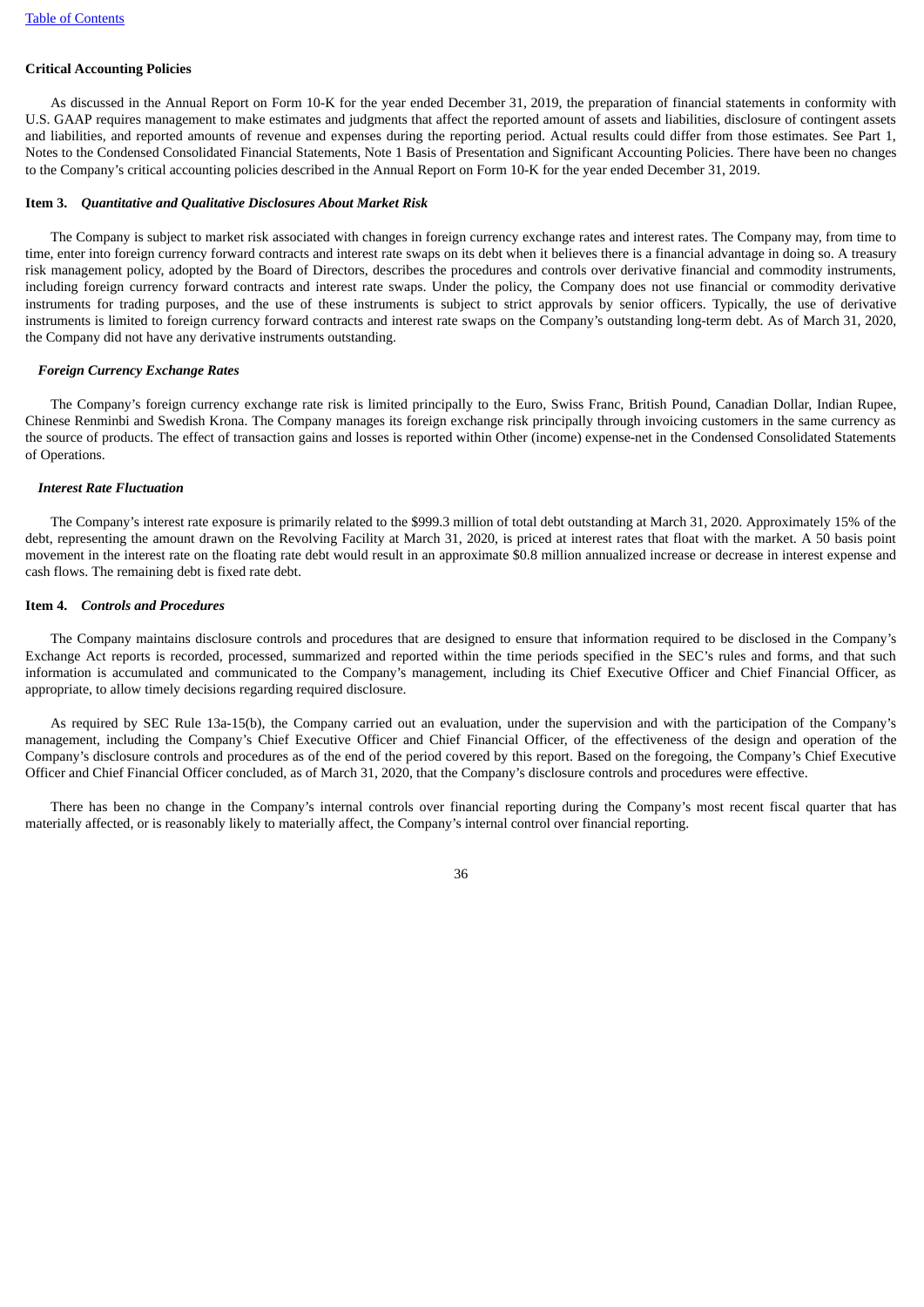### <span id="page-38-0"></span>**Critical Accounting Policies**

As discussed in the Annual Report on Form 10-K for the year ended December 31, 2019, the preparation of financial statements in conformity with U.S. GAAP requires management to make estimates and judgments that affect the reported amount of assets and liabilities, disclosure of contingent assets and liabilities, and reported amounts of revenue and expenses during the reporting period. Actual results could differ from those estimates. See Part 1, Notes to the Condensed Consolidated Financial Statements, Note 1 Basis of Presentation and Significant Accounting Policies. There have been no changes to the Company's critical accounting policies described in the Annual Report on Form 10-K for the year ended December 31, 2019.

#### <span id="page-38-1"></span>**Item 3.** *Quantitative and Qualitative Disclosures About Market Risk*

The Company is subject to market risk associated with changes in foreign currency exchange rates and interest rates. The Company may, from time to time, enter into foreign currency forward contracts and interest rate swaps on its debt when it believes there is a financial advantage in doing so. A treasury risk management policy, adopted by the Board of Directors, describes the procedures and controls over derivative financial and commodity instruments, including foreign currency forward contracts and interest rate swaps. Under the policy, the Company does not use financial or commodity derivative instruments for trading purposes, and the use of these instruments is subject to strict approvals by senior officers. Typically, the use of derivative instruments is limited to foreign currency forward contracts and interest rate swaps on the Company's outstanding long-term debt. As of March 31, 2020, the Company did not have any derivative instruments outstanding.

#### *Foreign Currency Exchange Rates*

The Company's foreign currency exchange rate risk is limited principally to the Euro, Swiss Franc, British Pound, Canadian Dollar, Indian Rupee, Chinese Renminbi and Swedish Krona. The Company manages its foreign exchange risk principally through invoicing customers in the same currency as the source of products. The effect of transaction gains and losses is reported within Other (income) expense-net in the Condensed Consolidated Statements of Operations.

#### *Interest Rate Fluctuation*

The Company's interest rate exposure is primarily related to the \$999.3 million of total debt outstanding at March 31, 2020. Approximately 15% of the debt, representing the amount drawn on the Revolving Facility at March 31, 2020, is priced at interest rates that float with the market. A 50 basis point movement in the interest rate on the floating rate debt would result in an approximate \$0.8 million annualized increase or decrease in interest expense and cash flows. The remaining debt is fixed rate debt.

#### <span id="page-38-2"></span>**Item 4.** *Controls and Procedures*

The Company maintains disclosure controls and procedures that are designed to ensure that information required to be disclosed in the Company's Exchange Act reports is recorded, processed, summarized and reported within the time periods specified in the SEC's rules and forms, and that such information is accumulated and communicated to the Company's management, including its Chief Executive Officer and Chief Financial Officer, as appropriate, to allow timely decisions regarding required disclosure.

As required by SEC Rule 13a-15(b), the Company carried out an evaluation, under the supervision and with the participation of the Company's management, including the Company's Chief Executive Officer and Chief Financial Officer, of the effectiveness of the design and operation of the Company's disclosure controls and procedures as of the end of the period covered by this report. Based on the foregoing, the Company's Chief Executive Officer and Chief Financial Officer concluded, as of March 31, 2020, that the Company's disclosure controls and procedures were effective.

There has been no change in the Company's internal controls over financial reporting during the Company's most recent fiscal quarter that has materially affected, or is reasonably likely to materially affect, the Company's internal control over financial reporting.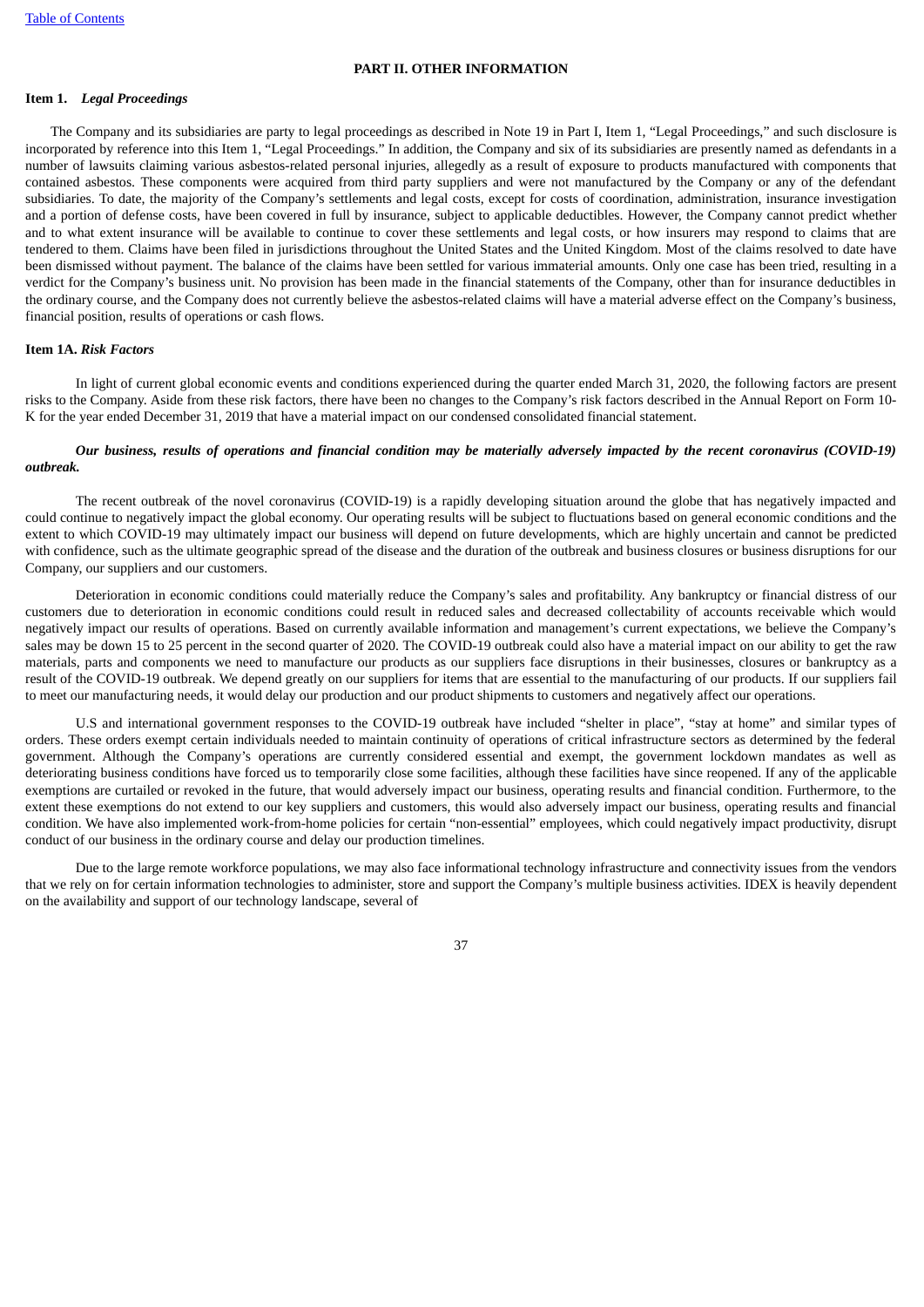#### **PART II. OTHER INFORMATION**

#### <span id="page-39-1"></span><span id="page-39-0"></span>**Item 1.** *Legal Proceedings*

The Company and its subsidiaries are party to legal proceedings as described in Note 19 in Part I, Item 1, "Legal Proceedings," and such disclosure is incorporated by reference into this Item 1, "Legal Proceedings." In addition, the Company and six of its subsidiaries are presently named as defendants in a number of lawsuits claiming various asbestos-related personal injuries, allegedly as a result of exposure to products manufactured with components that contained asbestos. These components were acquired from third party suppliers and were not manufactured by the Company or any of the defendant subsidiaries. To date, the majority of the Company's settlements and legal costs, except for costs of coordination, administration, insurance investigation and a portion of defense costs, have been covered in full by insurance, subject to applicable deductibles. However, the Company cannot predict whether and to what extent insurance will be available to continue to cover these settlements and legal costs, or how insurers may respond to claims that are tendered to them. Claims have been filed in jurisdictions throughout the United States and the United Kingdom. Most of the claims resolved to date have been dismissed without payment. The balance of the claims have been settled for various immaterial amounts. Only one case has been tried, resulting in a verdict for the Company's business unit. No provision has been made in the financial statements of the Company, other than for insurance deductibles in the ordinary course, and the Company does not currently believe the asbestos-related claims will have a material adverse effect on the Company's business, financial position, results of operations or cash flows.

#### <span id="page-39-2"></span>**Item 1A.** *Risk Factors*

In light of current global economic events and conditions experienced during the quarter ended March 31, 2020, the following factors are present risks to the Company. Aside from these risk factors, there have been no changes to the Company's risk factors described in the Annual Report on Form 10- K for the year ended December 31, 2019 that have a material impact on our condensed consolidated financial statement.

### Our business, results of operations and financial condition may be materially adversely impacted by the recent coronavirus (COVID-19) *outbreak.*

The recent outbreak of the novel coronavirus (COVID-19) is a rapidly developing situation around the globe that has negatively impacted and could continue to negatively impact the global economy. Our operating results will be subject to fluctuations based on general economic conditions and the extent to which COVID-19 may ultimately impact our business will depend on future developments, which are highly uncertain and cannot be predicted with confidence, such as the ultimate geographic spread of the disease and the duration of the outbreak and business closures or business disruptions for our Company, our suppliers and our customers.

Deterioration in economic conditions could materially reduce the Company's sales and profitability. Any bankruptcy or financial distress of our customers due to deterioration in economic conditions could result in reduced sales and decreased collectability of accounts receivable which would negatively impact our results of operations. Based on currently available information and management's current expectations, we believe the Company's sales may be down 15 to 25 percent in the second quarter of 2020. The COVID-19 outbreak could also have a material impact on our ability to get the raw materials, parts and components we need to manufacture our products as our suppliers face disruptions in their businesses, closures or bankruptcy as a result of the COVID-19 outbreak. We depend greatly on our suppliers for items that are essential to the manufacturing of our products. If our suppliers fail to meet our manufacturing needs, it would delay our production and our product shipments to customers and negatively affect our operations.

U.S and international government responses to the COVID-19 outbreak have included "shelter in place", "stay at home" and similar types of orders. These orders exempt certain individuals needed to maintain continuity of operations of critical infrastructure sectors as determined by the federal government. Although the Company's operations are currently considered essential and exempt, the government lockdown mandates as well as deteriorating business conditions have forced us to temporarily close some facilities, although these facilities have since reopened. If any of the applicable exemptions are curtailed or revoked in the future, that would adversely impact our business, operating results and financial condition. Furthermore, to the extent these exemptions do not extend to our key suppliers and customers, this would also adversely impact our business, operating results and financial condition. We have also implemented work-from-home policies for certain "non-essential" employees, which could negatively impact productivity, disrupt conduct of our business in the ordinary course and delay our production timelines.

Due to the large remote workforce populations, we may also face informational technology infrastructure and connectivity issues from the vendors that we rely on for certain information technologies to administer, store and support the Company's multiple business activities. IDEX is heavily dependent on the availability and support of our technology landscape, several of

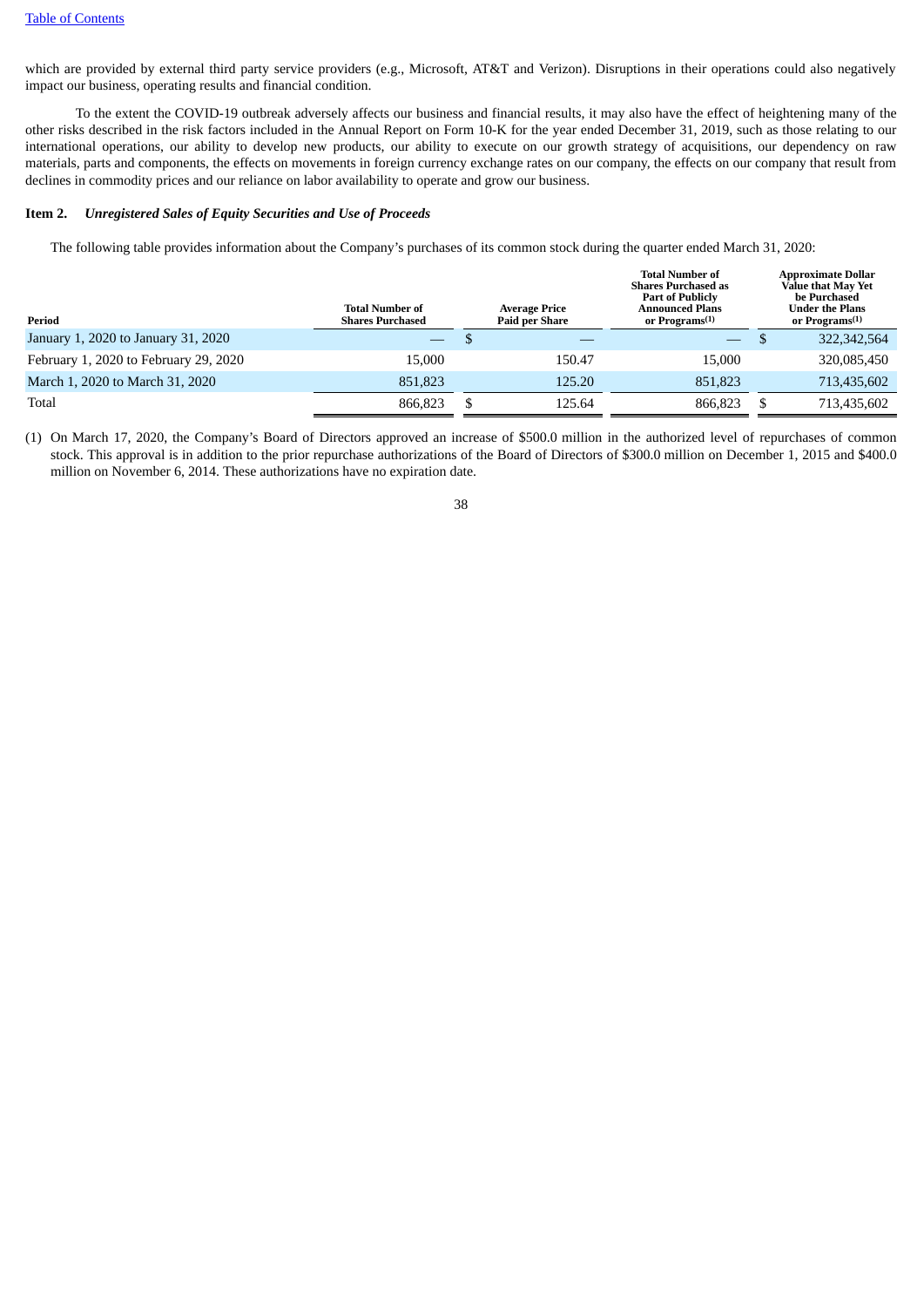which are provided by external third party service providers (e.g., Microsoft, AT&T and Verizon). Disruptions in their operations could also negatively impact our business, operating results and financial condition.

To the extent the COVID-19 outbreak adversely affects our business and financial results, it may also have the effect of heightening many of the other risks described in the risk factors included in the Annual Report on Form 10-K for the year ended December 31, 2019, such as those relating to our international operations, our ability to develop new products, our ability to execute on our growth strategy of acquisitions, our dependency on raw materials, parts and components, the effects on movements in foreign currency exchange rates on our company, the effects on our company that result from declines in commodity prices and our reliance on labor availability to operate and grow our business.

### <span id="page-40-0"></span>**Item 2.** *Unregistered Sales of Equity Securities and Use of Proceeds*

The following table provides information about the Company's purchases of its common stock during the quarter ended March 31, 2020:

| Period                                | <b>Total Number of</b><br><b>Shares Purchased</b> | <b>Average Price</b><br>Paid per Share | <b>Total Number of</b><br><b>Shares Purchased as</b><br><b>Part of Publicly</b><br><b>Announced Plans</b><br>or Programs <sup>(1)</sup> | <b>Approximate Dollar</b><br><b>Value that May Yet</b><br>be Purchased<br><b>Under the Plans</b><br>or $Programs(1)$ |               |  |
|---------------------------------------|---------------------------------------------------|----------------------------------------|-----------------------------------------------------------------------------------------------------------------------------------------|----------------------------------------------------------------------------------------------------------------------|---------------|--|
| January 1, 2020 to January 31, 2020   | $\overline{\phantom{0}}$                          |                                        | $\overline{\phantom{0}}$                                                                                                                |                                                                                                                      | 322, 342, 564 |  |
| February 1, 2020 to February 29, 2020 | 15.000                                            | 150.47                                 | 15.000                                                                                                                                  |                                                                                                                      | 320,085,450   |  |
| March 1, 2020 to March 31, 2020       | 851,823                                           | 125.20                                 | 851,823                                                                                                                                 |                                                                                                                      | 713,435,602   |  |
| Total                                 | 866.823                                           | 125.64                                 | 866.823                                                                                                                                 |                                                                                                                      | 713,435,602   |  |

(1) On March 17, 2020, the Company's Board of Directors approved an increase of \$500.0 million in the authorized level of repurchases of common stock. This approval is in addition to the prior repurchase authorizations of the Board of Directors of \$300.0 million on December 1, 2015 and \$400.0 million on November 6, 2014. These authorizations have no expiration date.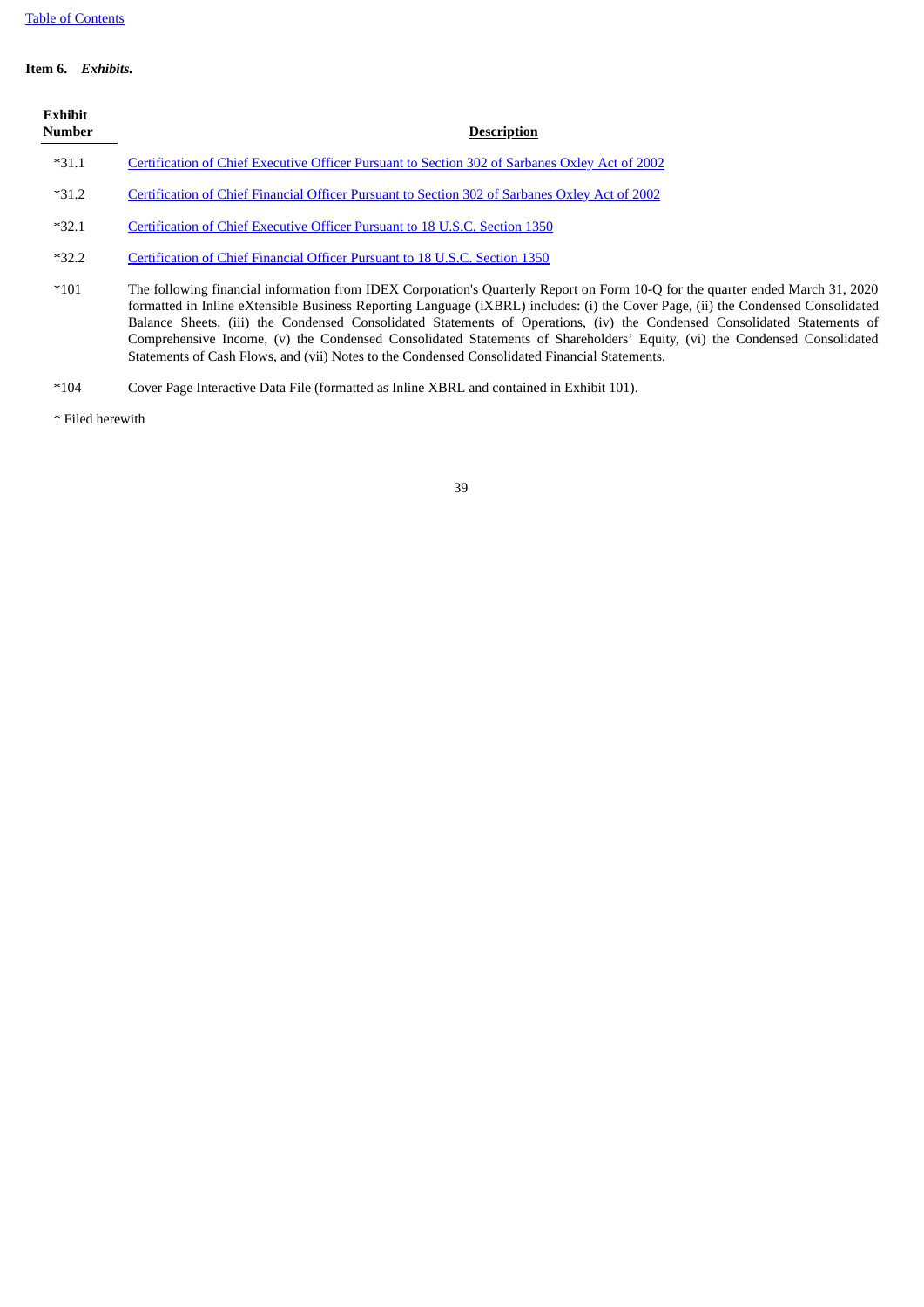### <span id="page-41-0"></span>Table of [Contents](#page-2-0)

### **Item 6.** *Exhibits.*

\*104 Cover Page Interactive Data File (formatted as Inline XBRL and contained in Exhibit 101).

\* Filed herewith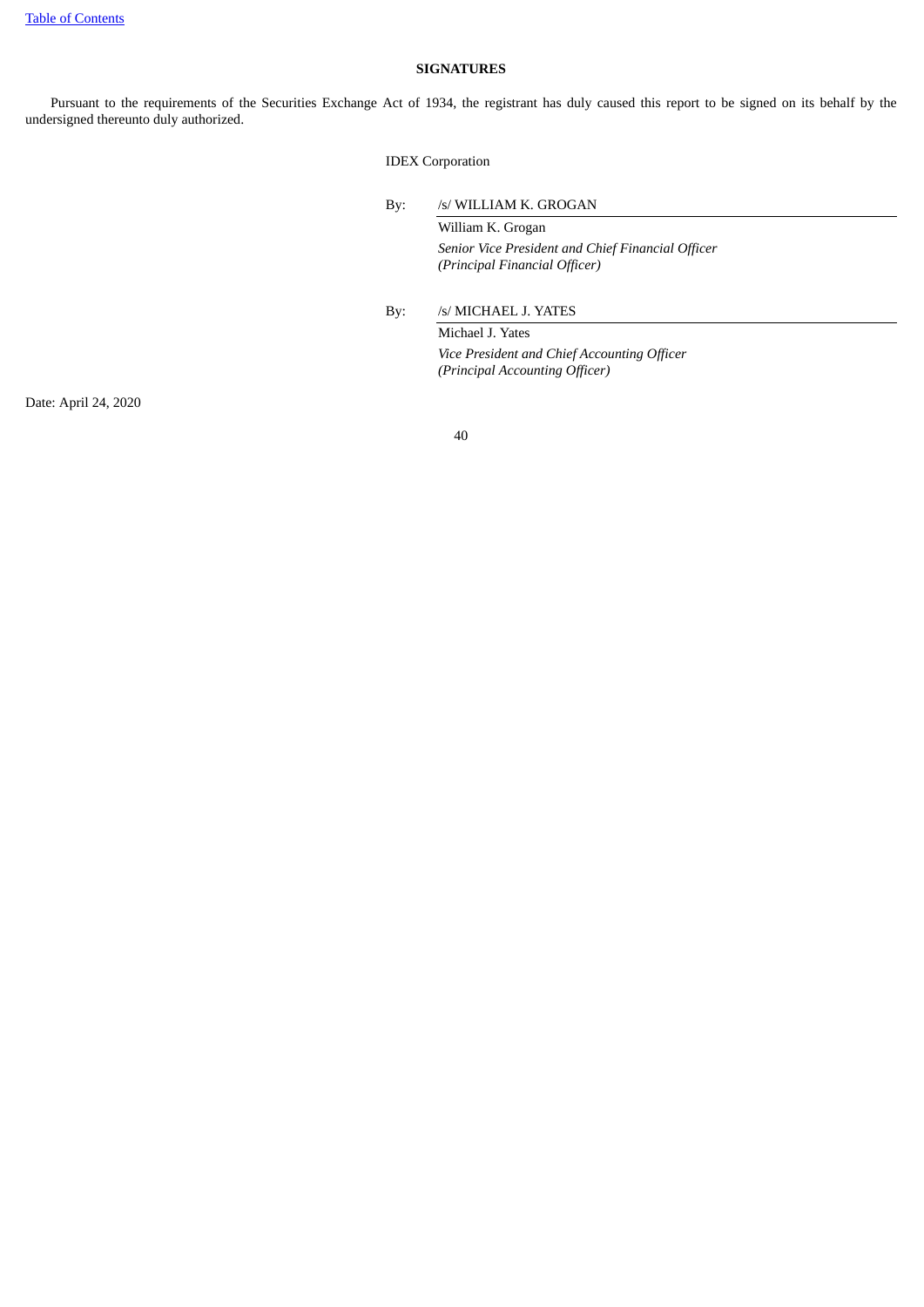### **SIGNATURES**

<span id="page-42-0"></span>Pursuant to the requirements of the Securities Exchange Act of 1934, the registrant has duly caused this report to be signed on its behalf by the undersigned thereunto duly authorized.

IDEX Corporation

By: /s/ WILLIAM K. GROGAN

William K. Grogan *Senior Vice President and Chief Financial Officer (Principal Financial Officer)*

By: /s/ MICHAEL J. YATES

Michael J. Yates *Vice President and Chief Accounting Officer (Principal Accounting Officer)*

Date: April 24, 2020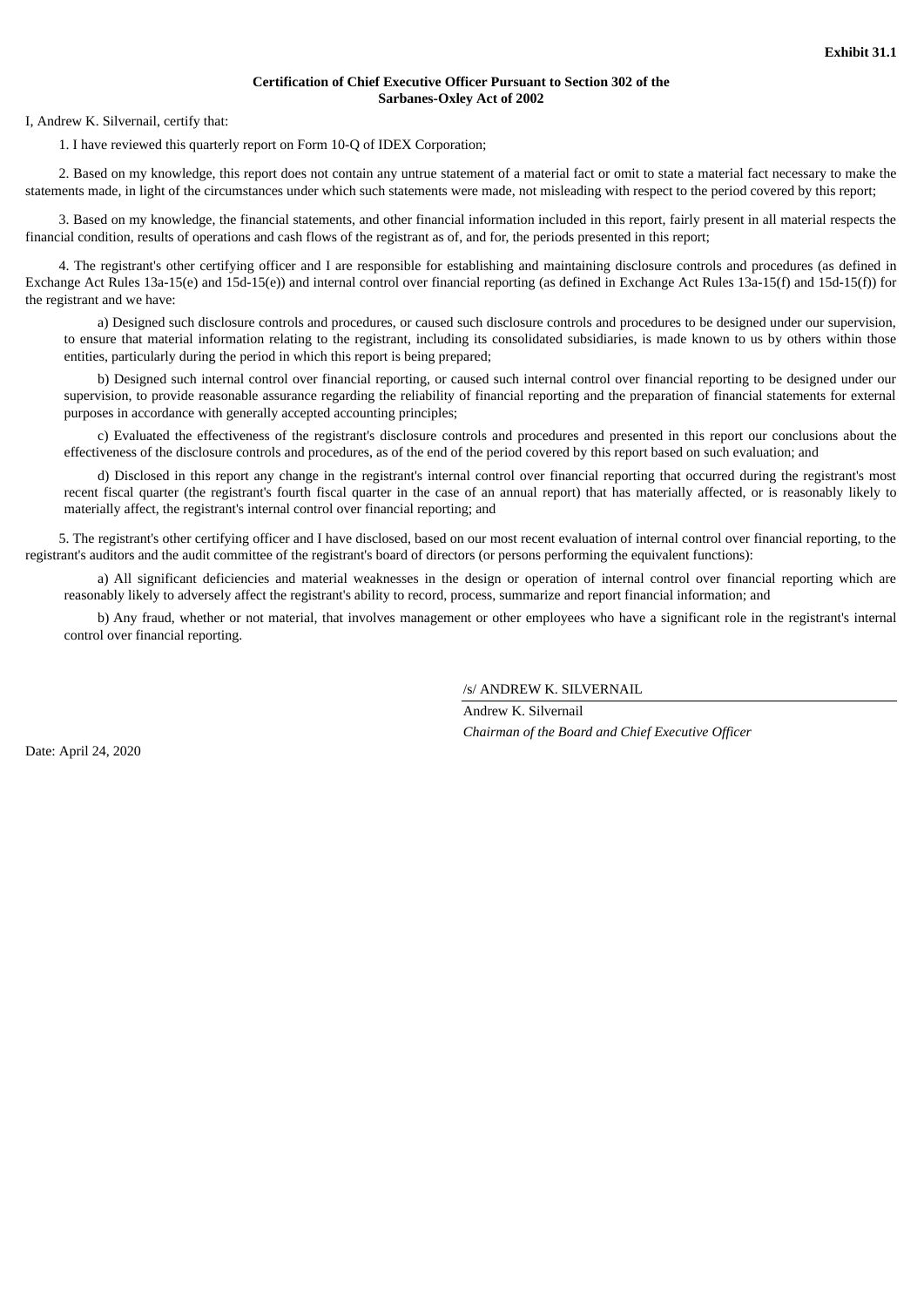### **Certification of Chief Executive Officer Pursuant to Section 302 of the Sarbanes-Oxley Act of 2002**

<span id="page-43-0"></span>I, Andrew K. Silvernail, certify that:

1. I have reviewed this quarterly report on Form 10-Q of IDEX Corporation;

2. Based on my knowledge, this report does not contain any untrue statement of a material fact or omit to state a material fact necessary to make the statements made, in light of the circumstances under which such statements were made, not misleading with respect to the period covered by this report;

3. Based on my knowledge, the financial statements, and other financial information included in this report, fairly present in all material respects the financial condition, results of operations and cash flows of the registrant as of, and for, the periods presented in this report;

4. The registrant's other certifying officer and I are responsible for establishing and maintaining disclosure controls and procedures (as defined in Exchange Act Rules 13a-15(e) and 15d-15(e)) and internal control over financial reporting (as defined in Exchange Act Rules 13a-15(f) and 15d-15(f)) for the registrant and we have:

a) Designed such disclosure controls and procedures, or caused such disclosure controls and procedures to be designed under our supervision, to ensure that material information relating to the registrant, including its consolidated subsidiaries, is made known to us by others within those entities, particularly during the period in which this report is being prepared;

b) Designed such internal control over financial reporting, or caused such internal control over financial reporting to be designed under our supervision, to provide reasonable assurance regarding the reliability of financial reporting and the preparation of financial statements for external purposes in accordance with generally accepted accounting principles;

c) Evaluated the effectiveness of the registrant's disclosure controls and procedures and presented in this report our conclusions about the effectiveness of the disclosure controls and procedures, as of the end of the period covered by this report based on such evaluation; and

d) Disclosed in this report any change in the registrant's internal control over financial reporting that occurred during the registrant's most recent fiscal quarter (the registrant's fourth fiscal quarter in the case of an annual report) that has materially affected, or is reasonably likely to materially affect, the registrant's internal control over financial reporting; and

5. The registrant's other certifying officer and I have disclosed, based on our most recent evaluation of internal control over financial reporting, to the registrant's auditors and the audit committee of the registrant's board of directors (or persons performing the equivalent functions):

a) All significant deficiencies and material weaknesses in the design or operation of internal control over financial reporting which are reasonably likely to adversely affect the registrant's ability to record, process, summarize and report financial information; and

b) Any fraud, whether or not material, that involves management or other employees who have a significant role in the registrant's internal control over financial reporting.

/s/ ANDREW K. SILVERNAIL

Andrew K. Silvernail *Chairman of the Board and Chief Executive Officer*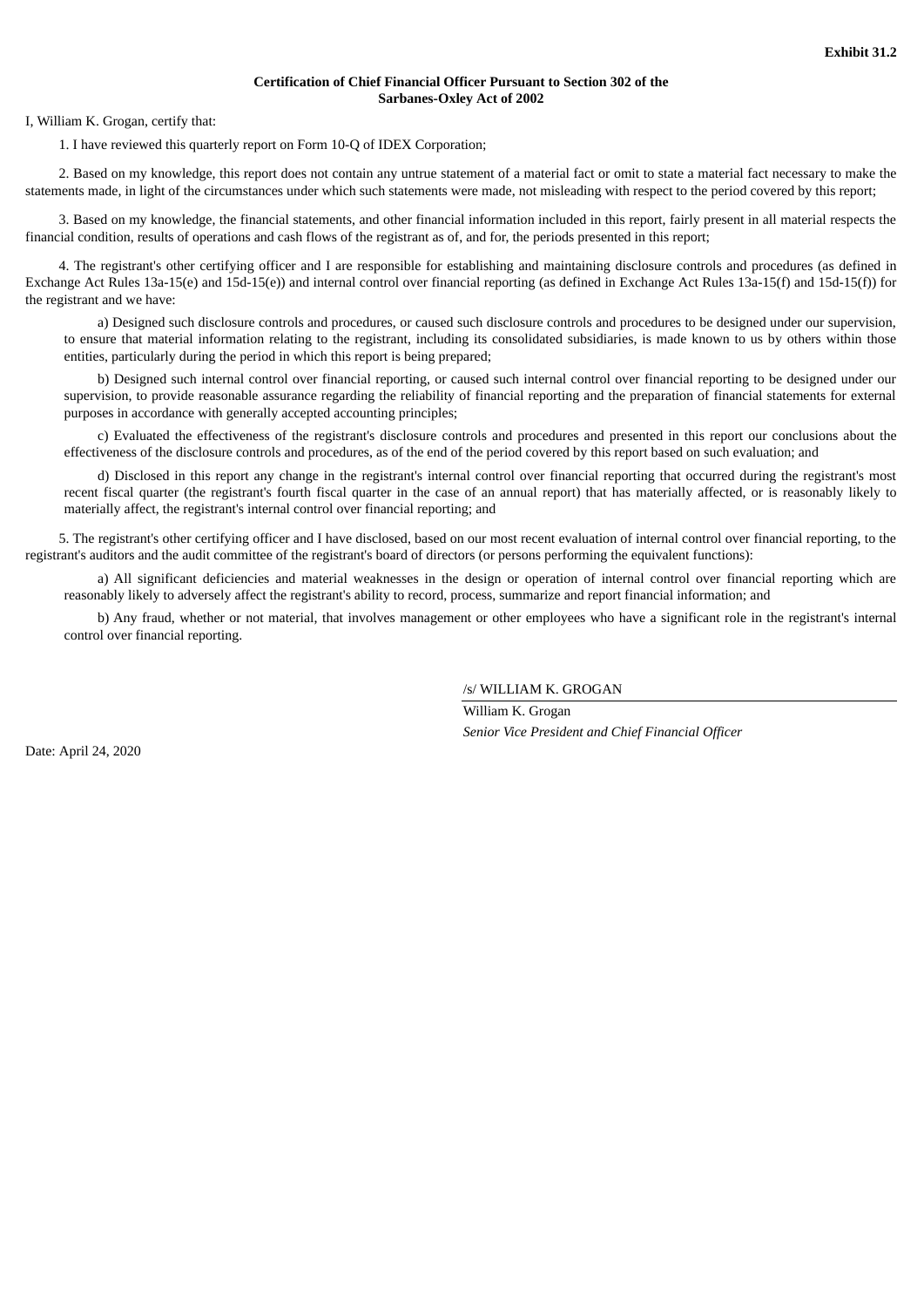### **Certification of Chief Financial Officer Pursuant to Section 302 of the Sarbanes-Oxley Act of 2002**

<span id="page-44-0"></span>I, William K. Grogan, certify that:

1. I have reviewed this quarterly report on Form 10-Q of IDEX Corporation;

2. Based on my knowledge, this report does not contain any untrue statement of a material fact or omit to state a material fact necessary to make the statements made, in light of the circumstances under which such statements were made, not misleading with respect to the period covered by this report;

3. Based on my knowledge, the financial statements, and other financial information included in this report, fairly present in all material respects the financial condition, results of operations and cash flows of the registrant as of, and for, the periods presented in this report;

4. The registrant's other certifying officer and I are responsible for establishing and maintaining disclosure controls and procedures (as defined in Exchange Act Rules 13a-15(e) and 15d-15(e)) and internal control over financial reporting (as defined in Exchange Act Rules 13a-15(f) and 15d-15(f)) for the registrant and we have:

a) Designed such disclosure controls and procedures, or caused such disclosure controls and procedures to be designed under our supervision, to ensure that material information relating to the registrant, including its consolidated subsidiaries, is made known to us by others within those entities, particularly during the period in which this report is being prepared;

b) Designed such internal control over financial reporting, or caused such internal control over financial reporting to be designed under our supervision, to provide reasonable assurance regarding the reliability of financial reporting and the preparation of financial statements for external purposes in accordance with generally accepted accounting principles;

c) Evaluated the effectiveness of the registrant's disclosure controls and procedures and presented in this report our conclusions about the effectiveness of the disclosure controls and procedures, as of the end of the period covered by this report based on such evaluation; and

d) Disclosed in this report any change in the registrant's internal control over financial reporting that occurred during the registrant's most recent fiscal quarter (the registrant's fourth fiscal quarter in the case of an annual report) that has materially affected, or is reasonably likely to materially affect, the registrant's internal control over financial reporting; and

5. The registrant's other certifying officer and I have disclosed, based on our most recent evaluation of internal control over financial reporting, to the registrant's auditors and the audit committee of the registrant's board of directors (or persons performing the equivalent functions):

a) All significant deficiencies and material weaknesses in the design or operation of internal control over financial reporting which are reasonably likely to adversely affect the registrant's ability to record, process, summarize and report financial information; and

b) Any fraud, whether or not material, that involves management or other employees who have a significant role in the registrant's internal control over financial reporting.

/s/ WILLIAM K. GROGAN

William K. Grogan *Senior Vice President and Chief Financial Officer*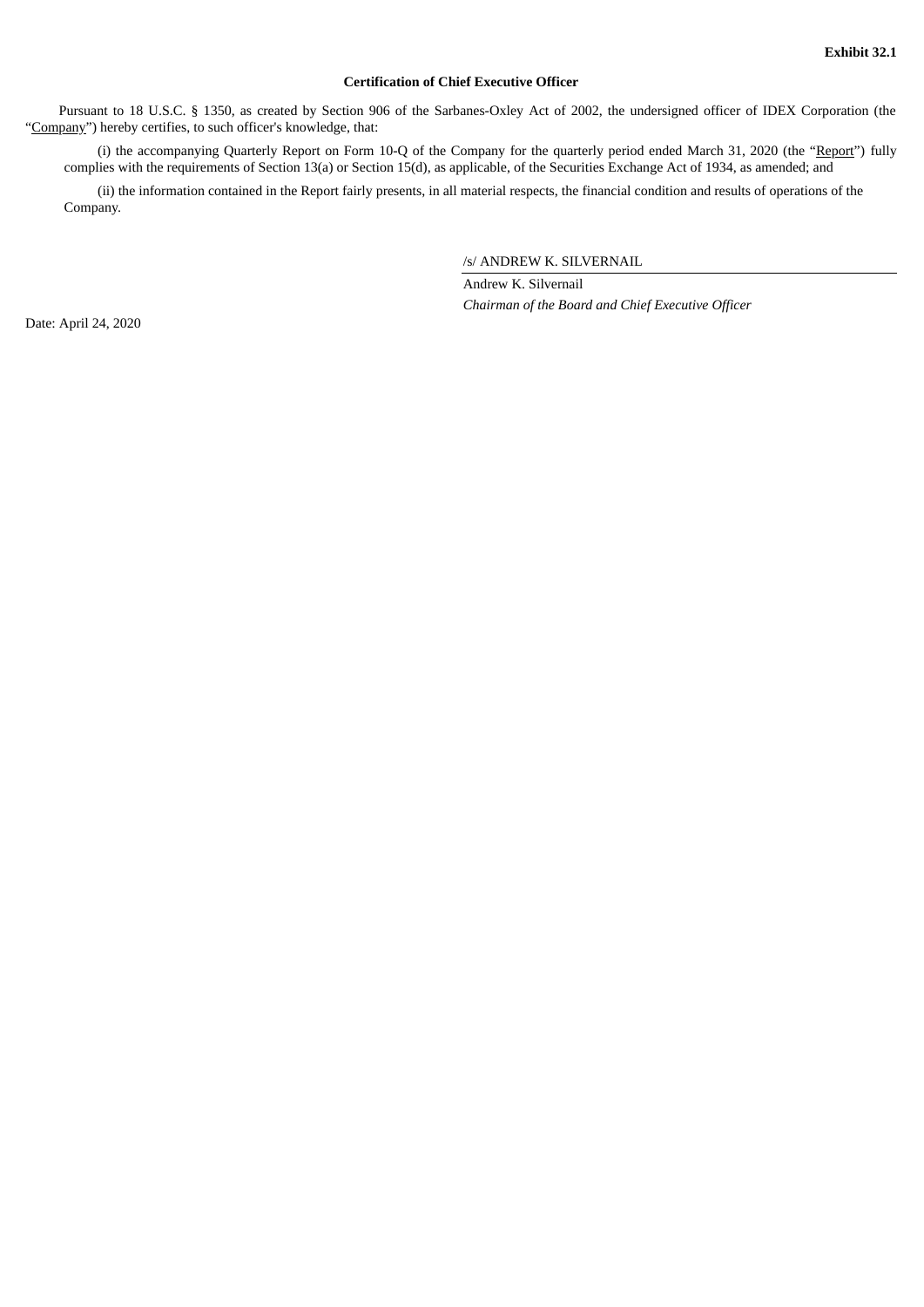### **Certification of Chief Executive Officer**

<span id="page-45-0"></span>Pursuant to 18 U.S.C. § 1350, as created by Section 906 of the Sarbanes-Oxley Act of 2002, the undersigned officer of IDEX Corporation (the "Company") hereby certifies, to such officer's knowledge, that:

(i) the accompanying Quarterly Report on Form 10-Q of the Company for the quarterly period ended March 31, 2020 (the "Report") fully complies with the requirements of Section 13(a) or Section 15(d), as applicable, of the Securities Exchange Act of 1934, as amended; and

(ii) the information contained in the Report fairly presents, in all material respects, the financial condition and results of operations of the Company.

/s/ ANDREW K. SILVERNAIL

Andrew K. Silvernail *Chairman of the Board and Chief Executive Officer*